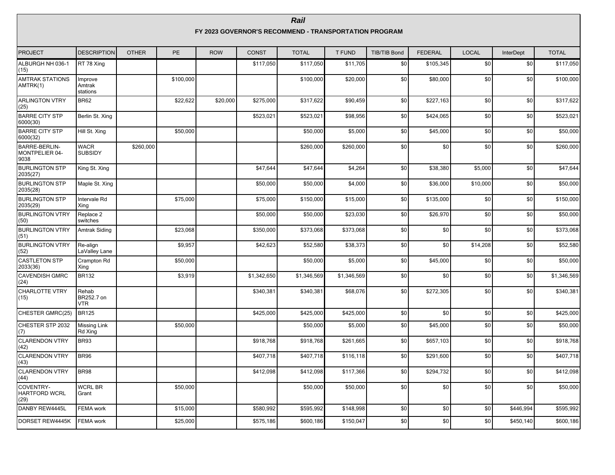#### **FY 2023 GOVERNOR'S RECOMMEND - TRANSPORTATION PROGRAM**

| <b>PROJECT</b>                            | <b>DESCRIPTION</b>            | <b>OTHER</b> | <b>PE</b> | <b>ROW</b> | <b>CONST</b> | <b>TOTAL</b> | <b>T FUND</b> | <b>TIB/TIB Bond</b> | <b>FEDERAL</b> | <b>LOCAL</b> | InterDept | <b>TOTAL</b> |
|-------------------------------------------|-------------------------------|--------------|-----------|------------|--------------|--------------|---------------|---------------------|----------------|--------------|-----------|--------------|
| ALBURGH NH 036-1<br>(15)                  | RT 78 Xing                    |              |           |            | \$117,050    | \$117,050    | \$11,705      | \$0                 | \$105,345      | \$0          | \$0       | \$117,050    |
| <b>AMTRAK STATIONS</b><br>AMTRK(1)        | Improve<br>Amtrak<br>stations |              | \$100,000 |            |              | \$100,000    | \$20,000      | \$0                 | \$80,000       | \$0          | \$0       | \$100,000    |
| <b>ARLINGTON VTRY</b><br>(25)             | BR <sub>62</sub>              |              | \$22,622  | \$20,000   | \$275,000    | \$317,622    | \$90,459      | \$0                 | \$227,163      | \$0          | \$0       | \$317,622    |
| <b>BARRE CITY STP</b><br>6000(30)         | Berlin St. Xing               |              |           |            | \$523,021    | \$523,021    | \$98,956      | \$0                 | \$424,065      | \$0          | \$0       | \$523,021    |
| <b>BARRE CITY STP</b><br>6000(32)         | Hill St. Xing                 |              | \$50,000  |            |              | \$50,000     | \$5,000       | \$0                 | \$45,000       | \$0          | \$0       | \$50,000     |
| BARRE-BERLIN-<br>MONTPELIER 04-<br>9038   | <b>WACR</b><br><b>SUBSIDY</b> | \$260,000    |           |            |              | \$260,000    | \$260,000     | \$0                 | \$0            | \$0          | \$0       | \$260,000    |
| <b>BURLINGTON STP</b><br>2035(27)         | King St. Xing                 |              |           |            | \$47,644     | \$47,644     | \$4,264       | \$0                 | \$38,380       | \$5,000      | \$0       | \$47,644     |
| <b>BURLINGTON STP</b><br>2035(28)         | Maple St. Xing                |              |           |            | \$50,000     | \$50,000     | \$4,000       | \$0                 | \$36,000       | \$10,000     | \$0       | \$50,000     |
| <b>BURLINGTON STP</b><br>2035(29)         | Intervale Rd<br>Xing          |              | \$75,000  |            | \$75,000     | \$150,000    | \$15,000      | \$0                 | \$135,000      | \$0          | \$0       | \$150,000    |
| <b>BURLINGTON VTRY</b><br>(50)            | Replace 2<br>switches         |              |           |            | \$50,000     | \$50,000     | \$23,030      | \$0                 | \$26,970       | \$0          | \$0       | \$50,000     |
| <b>BURLINGTON VTRY</b><br>(51)            | <b>Amtrak Siding</b>          |              | \$23,068  |            | \$350,000    | \$373,068    | \$373,068     | \$0                 | \$0            | \$0          | \$0       | \$373,068    |
| <b>BURLINGTON VTRY</b><br>(52)            | Re-align<br>LaValley Lane     |              | \$9,957   |            | \$42,623     | \$52,580     | \$38,373      | \$0                 | \$0            | \$14,208     | \$0       | \$52,580     |
| <b>CASTLETON STP</b><br>2033(36)          | Crampton Rd<br>Xing           |              | \$50,000  |            |              | \$50,000     | \$5,000       | \$0                 | \$45,000       | \$0          | \$0       | \$50,000     |
| <b>CAVENDISH GMRC</b><br>(24)             | <b>BR132</b>                  |              | \$3,919   |            | \$1,342,650  | \$1,346,569  | \$1,346,569   | \$0                 | \$0            | \$0          | \$0       | \$1,346,569  |
| CHARLOTTE VTRY<br>(15)                    | Rehab<br>BR252.7 on<br>VTR.   |              |           |            | \$340,381    | \$340,381    | \$68,076      | \$0                 | \$272,305      | \$0          | \$0       | \$340,381    |
| CHESTER GMRC(25)                          | <b>BR125</b>                  |              |           |            | \$425,000    | \$425,000    | \$425,000     | \$0                 | \$0            | \$0          | \$0       | \$425,000    |
| CHESTER STP 2032<br>(7)                   | Missing Link<br>Rd Xing       |              | \$50,000  |            |              | \$50,000     | \$5,000       | \$0                 | \$45,000       | \$0          | \$0       | \$50,000     |
| <b>CLARENDON VTRY</b><br>(42)             | BR93                          |              |           |            | \$918,768    | \$918,768    | \$261,665     | \$0                 | \$657,103      | \$0          | \$0       | \$918,768    |
| <b>CLARENDON VTRY</b><br>(43)             | BR96                          |              |           |            | \$407,718    | \$407,718    | \$116,118     | \$0                 | \$291,600      | \$0          | \$0       | \$407,718    |
| <b>CLARENDON VTRY</b><br>(44)             | BR98                          |              |           |            | \$412,098    | \$412,098    | \$117,366     | \$0                 | \$294,732      | \$0          | \$0       | \$412,098    |
| COVENTRY-<br><b>HARTFORD WCRL</b><br>(29) | <b>WCRL BR</b><br>Grant       |              | \$50,000  |            |              | \$50,000     | \$50,000      | \$0                 | \$0            | \$0          | \$0       | \$50,000     |
| DANBY REW4445L                            | <b>FEMA</b> work              |              | \$15,000  |            | \$580,992    | \$595,992    | \$148,998     | \$0                 | \$0            | \$0          | \$446,994 | \$595,992    |
| DORSET REW4445K                           | FEMA work                     |              | \$25,000  |            | \$575,186    | \$600,186    | \$150,047     | \$0                 | \$0            | \$0          | \$450,140 | \$600,186    |

#### **Rail**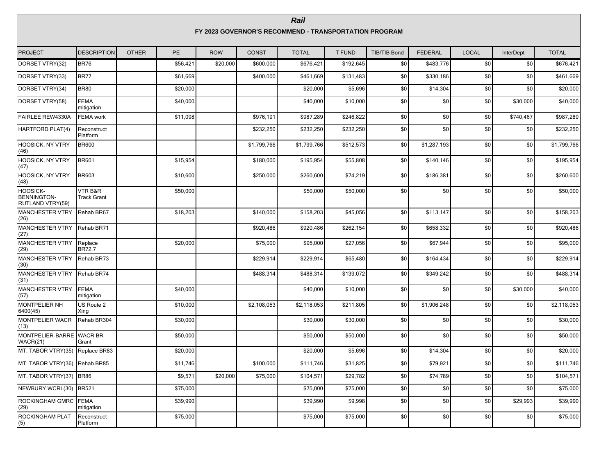#### **Rail FY 2023 GOVERNOR'S RECOMMEND - TRANSPORTATION PROGRAM**

| <b>PROJECT</b>                                            | <b>DESCRIPTION</b>            | <b>OTHER</b> | PE       | <b>ROW</b> | <b>CONST</b> | <b>TOTAL</b> | <b>T FUND</b> | <b>TIB/TIB Bond</b> | <b>FEDERAL</b> | <b>LOCAL</b> | <b>InterDept</b> | <b>TOTAL</b> |
|-----------------------------------------------------------|-------------------------------|--------------|----------|------------|--------------|--------------|---------------|---------------------|----------------|--------------|------------------|--------------|
| DORSET VTRY(32)                                           | <b>BR76</b>                   |              | \$56,421 | \$20,000   | \$600,000    | \$676,421    | \$192,645     | \$0                 | \$483,776      | \$0          | \$0              | \$676,421    |
| DORSET VTRY(33)                                           | <b>BR77</b>                   |              | \$61,669 |            | \$400,000    | \$461,669    | \$131,483     | \$0                 | \$330,186      | \$0          | \$0              | \$461,669    |
| DORSET VTRY(34)                                           | <b>BR80</b>                   |              | \$20,000 |            |              | \$20,000     | \$5,696       | \$0                 | \$14,304       | \$0          | \$0              | \$20,000     |
| DORSET VTRY(58)                                           | <b>FEMA</b><br>mitigation     |              | \$40,000 |            |              | \$40,000     | \$10,000      | \$0                 | \$0            | \$0          | \$30,000         | \$40,000     |
| <b>FAIRLEE REW4330A</b>                                   | <b>FEMA</b> work              |              | \$11,098 |            | \$976,191    | \$987,289    | \$246,822     | \$0                 | \$0            | \$0          | \$740,467        | \$987,289    |
| HARTFORD PLAT(4)                                          | Reconstruct<br>Platform       |              |          |            | \$232,250    | \$232,250    | \$232,250     | \$0                 | \$0            | \$0          | \$0              | \$232,250    |
| HOOSICK, NY VTRY<br>(46)                                  | <b>BR600</b>                  |              |          |            | \$1,799,766  | \$1,799,766  | \$512,573     | \$0                 | \$1,287,193    | \$0          | \$0              | \$1,799,766  |
| <b>HOOSICK, NY VTRY</b><br>(47)                           | <b>BR601</b>                  |              | \$15.954 |            | \$180,000    | \$195,954    | \$55,808      | \$0                 | \$140,146      | \$0          | \$0              | \$195,954    |
| <b>HOOSICK, NY VTRY</b><br>(48)                           | <b>BR603</b>                  |              | \$10,600 |            | \$250,000    | \$260,600    | \$74,219      | \$0                 | \$186,381      | \$0          | \$0              | \$260,600    |
| <b>HOOSICK-</b><br><b>BENNINGTON-</b><br>RUTLAND VTRY(59) | VTR B&R<br><b>Track Grant</b> |              | \$50,000 |            |              | \$50,000     | \$50,000      | \$0                 | \$0            | \$0          | \$0              | \$50,000     |
| MANCHESTER VTRY Rehab BR67<br>(26)                        |                               |              | \$18,203 |            | \$140,000    | \$158,203    | \$45,056      | \$0                 | \$113,147      | \$0          | \$0              | \$158,203    |
| MANCHESTER VTRY Rehab BR71<br>(27)                        |                               |              |          |            | \$920,486    | \$920,486    | \$262,154     | \$0                 | \$658,332      | \$0          | \$0              | \$920,486    |
| MANCHESTER VTRY<br>(29)                                   | Replace<br><b>BR72.7</b>      |              | \$20,000 |            | \$75,000     | \$95,000     | \$27,056      | \$0                 | \$67,944       | \$0          | \$0              | \$95,000     |
| MANCHESTER VTRY<br>(30)                                   | Rehab BR73                    |              |          |            | \$229,914    | \$229,914    | \$65,480      | \$0                 | \$164,434      | \$0          | \$0              | \$229,914    |
| MANCHESTER VTRY Rehab BR74<br>(31)                        |                               |              |          |            | \$488,314    | \$488,314    | \$139,072     | \$0                 | \$349,242      | \$0          | \$0              | \$488,314    |
| MANCHESTER VTRY<br>(57)                                   | FEMA<br>mitigation            |              | \$40,000 |            |              | \$40,000     | \$10,000      | \$0                 | \$0            | \$0          | \$30,000         | \$40,000     |
| MONTPELIER NH<br>6400(45)                                 | US Route 2<br>Xing            |              | \$10,000 |            | \$2,108,053  | \$2,118,053  | \$211,805     | \$0                 | \$1,906,248    | \$0          | \$0              | \$2,118,053  |
| MONTPELIER WACR<br>(13)                                   | Rehab BR304                   |              | \$30,000 |            |              | \$30,000     | \$30,000      | \$0                 | \$0            | \$0          | \$0              | \$30,000     |
| MONTPELIER-BARRE WACR BR<br>WACR(21)                      | Grant                         |              | \$50,000 |            |              | \$50,000     | \$50,000      | \$0                 | \$0            | \$0          | \$0              | \$50,000     |
| MT. TABOR VTRY(35) Replace BR83                           |                               |              | \$20,000 |            |              | \$20,000     | \$5,696       | \$0                 | \$14,304       | \$0          | \$0              | \$20,000     |
| MT. TABOR VTRY(36) Rehab BR85                             |                               |              | \$11,746 |            | \$100,000    | \$111,746    | \$31,825      | \$0                 | \$79,921       | \$0          | \$0              | \$111,746    |
| MT. TABOR VTRY(37) BR86                                   |                               |              | \$9,571  | \$20,000   | \$75,000     | \$104,571    | \$29,782      | \$0                 | \$74,789       | \$0          | \$0              | \$104,571    |
| NEWBURY WCRL(30) BR521                                    |                               |              | \$75,000 |            |              | \$75,000     | \$75,000      | \$0                 | \$0            | \$0          | \$0              | \$75,000     |
| ROCKINGHAM GMRC FEMA<br>(29)                              | mitigation                    |              | \$39,990 |            |              | \$39,990     | \$9,998       | \$0                 | \$0            | \$0          | \$29,993         | \$39,990     |
| <b>ROCKINGHAM PLAT</b><br>(5)                             | Reconstruct<br>Platform       |              | \$75,000 |            |              | \$75,000     | \$75,000      | \$0                 | \$0            | \$0          | \$0              | \$75,000     |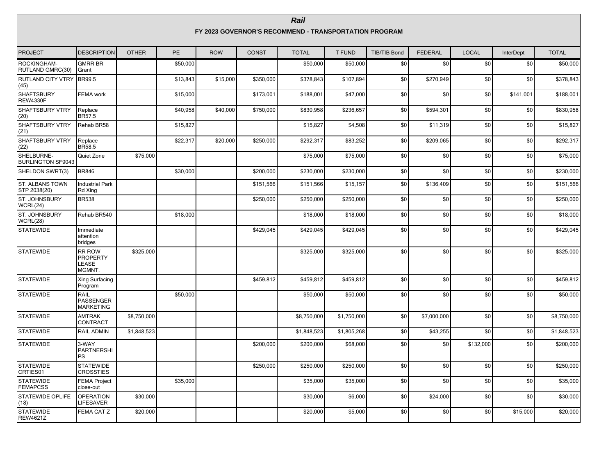#### **FY 2023 GOVERNOR'S RECOMMEND - TRANSPORTATION PROGRAM**

| <b>PROJECT</b>                         | <b>DESCRIPTION</b>                                  | <b>OTHER</b> | PE       | <b>ROW</b> | <b>CONST</b> | <b>TOTAL</b> | <b>T FUND</b> | <b>TIB/TIB Bond</b> | <b>FEDERAL</b> | <b>LOCAL</b> | InterDept | <b>TOTAL</b> |
|----------------------------------------|-----------------------------------------------------|--------------|----------|------------|--------------|--------------|---------------|---------------------|----------------|--------------|-----------|--------------|
| ROCKINGHAM-<br>RUTLAND GMRC(30)        | <b>GMRR BR</b><br>Grant                             |              | \$50,000 |            |              | \$50,000     | \$50,000      | \$0                 | \$0            | \$0          | \$0       | \$50,000     |
| RUTLAND CITY VTRY BR99.5<br>(45)       |                                                     |              | \$13,843 | \$15,000   | \$350,000    | \$378,843    | \$107,894     | \$0                 | \$270,949      | \$0          | \$0       | \$378,843    |
| <b>SHAFTSBURY</b><br><b>REW4330F</b>   | <b>FEMA</b> work                                    |              | \$15,000 |            | \$173,001    | \$188,001    | \$47,000      | \$0                 | \$0            | \$0          | \$141,001 | \$188,001    |
| <b>SHAFTSBURY VTRY</b><br>(20)         | Replace<br>BR57.5                                   |              | \$40,958 | \$40,000   | \$750,000    | \$830,958    | \$236,657     | \$0                 | \$594,301      | \$0          | \$0       | \$830,958    |
| <b>SHAFTSBURY VTRY</b><br>(21)         | Rehab BR58                                          |              | \$15,827 |            |              | \$15,827     | \$4,508       | \$0                 | \$11,319       | \$0          | \$0       | \$15,827     |
| <b>SHAFTSBURY VTRY</b><br>(22)         | Replace<br>BR58.5                                   |              | \$22,317 | \$20,000   | \$250,000    | \$292,317    | \$83,252      | \$0                 | \$209,065      | \$0          | \$0       | \$292,317    |
| SHELBURNE-<br><b>BURLINGTON SF9043</b> | Quiet Zone                                          | \$75,000     |          |            |              | \$75,000     | \$75,000      | \$0                 | \$0            | \$0          | \$0       | \$75,000     |
| SHELDON SWRT(3)                        | <b>BR846</b>                                        |              | \$30,000 |            | \$200,000    | \$230,000    | \$230,000     | \$0                 | \$0            | \$0          | \$0       | \$230,000    |
| ST. ALBANS TOWN<br>STP 2038(20)        | <b>Industrial Park</b><br>Rd Xing                   |              |          |            | \$151,566    | \$151,566    | \$15,157      | \$0                 | \$136,409      | \$0          | \$0       | \$151,566    |
| ST. JOHNSBURY<br>WCRL(24)              | <b>BR538</b>                                        |              |          |            | \$250,000    | \$250,000    | \$250,000     | \$0                 | \$0            | \$0          | \$0       | \$250,000    |
| ST. JOHNSBURY<br>WCRL(28)              | Rehab BR540                                         |              | \$18,000 |            |              | \$18,000     | \$18,000      | \$0                 | \$0            | \$0          | \$0       | \$18,000     |
| <b>STATEWIDE</b>                       | Immediate<br>attention<br>bridges                   |              |          |            | \$429,045    | \$429,045    | \$429,045     | \$0                 | \$0            | \$0          | \$0       | \$429,045    |
| <b>STATEWIDE</b>                       | <b>RR ROW</b><br><b>PROPERTY</b><br>LEASE<br>MGMNT. | \$325,000    |          |            |              | \$325,000    | \$325,000     | \$0                 | \$0            | \$0          | \$0       | \$325,000    |
| <b>STATEWIDE</b>                       | Xing Surfacing<br>Program                           |              |          |            | \$459.812    | \$459.812    | \$459,812     | \$0                 | \$0            | \$0          | \$0       | \$459,812    |
| <b>STATEWIDE</b>                       | RAIL<br>PASSENGER<br><b>MARKETING</b>               |              | \$50,000 |            |              | \$50,000     | \$50,000      | \$0                 | \$0            | \$0          | \$0       | \$50,000     |
| <b>STATEWIDE</b>                       | <b>AMTRAK</b><br>CONTRACT                           | \$8,750,000  |          |            |              | \$8,750,000  | \$1,750,000   | \$0                 | \$7,000,000    | \$0          | \$0       | \$8,750,000  |
| <b>STATEWIDE</b>                       | RAIL ADMIN                                          | \$1,848,523  |          |            |              | \$1,848,523  | \$1,805,268   | \$0                 | \$43,255       | \$0          | \$0       | \$1,848,523  |
| <b>STATEWIDE</b>                       | 3-WAY<br>PARTNERSHI<br>PS                           |              |          |            | \$200,000    | \$200,000    | \$68,000      | \$0                 | \$0            | \$132,000    | \$0       | \$200,000    |
| <b>STATEWIDE</b><br>CRTIES01           | <b>STATEWIDE</b><br><b>CROSSTIES</b>                |              |          |            | \$250,000    | \$250,000    | \$250,000     | \$0                 | \$0            | \$0          | \$0       | \$250,000    |
| <b>STATEWIDE</b><br><b>FEMAPCSS</b>    | <b>FEMA Project</b><br>close-out                    |              | \$35,000 |            |              | \$35,000     | \$35,000      | \$0                 | \$0            | \$0          | \$0       | \$35,000     |
| <b>STATEWIDE OPLIFE</b><br>(18)        | <b>OPERATION</b><br>LIFESAVER                       | \$30,000     |          |            |              | \$30,000     | \$6,000       | \$0                 | \$24,000       | \$0          | \$0       | \$30,000     |
| <b>STATEWIDE</b><br><b>REW4621Z</b>    | FEMA CAT Z                                          | \$20,000     |          |            |              | \$20,000     | \$5,000       | \$0                 | \$0            | \$0          | \$15,000  | \$20,000     |

#### **Rail**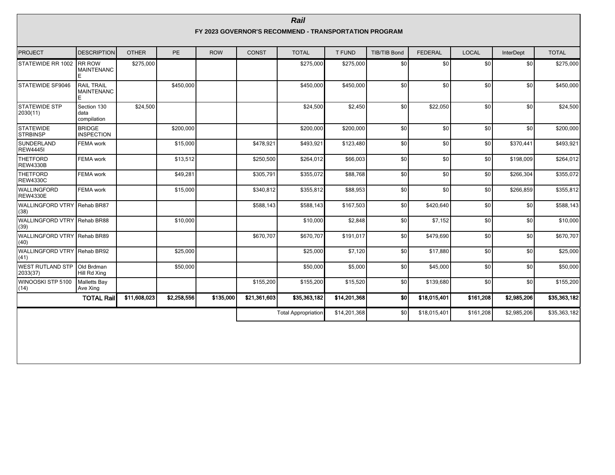|                                     | Rail<br>FY 2023 GOVERNOR'S RECOMMEND - TRANSPORTATION PROGRAM |              |             |            |              |                            |               |                  |                |              |                  |              |  |  |
|-------------------------------------|---------------------------------------------------------------|--------------|-------------|------------|--------------|----------------------------|---------------|------------------|----------------|--------------|------------------|--------------|--|--|
| <b>PROJECT</b>                      | <b>DESCRIPTION</b>                                            | <b>OTHER</b> | <b>PE</b>   | <b>ROW</b> | <b>CONST</b> | <b>TOTAL</b>               | <b>T FUND</b> | TIB/TIB Bond     | <b>FEDERAL</b> | <b>LOCAL</b> | <b>InterDept</b> | <b>TOTAL</b> |  |  |
| STATEWIDE RR 1002                   | <b>IRR ROW</b><br><b>MAINTENANC</b>                           | \$275,000    |             |            |              | \$275,000                  | \$275,000     | \$0              | \$0            | \$0          | \$0              | \$275,000    |  |  |
| STATEWIDE SF9046                    | <b>RAIL TRAIL</b><br><b>MAINTENANC</b>                        |              | \$450,000   |            |              | \$450,000                  | \$450,000     | \$0              | \$0            | \$0          | \$0              | \$450,000    |  |  |
| <b>STATEWIDE STP</b><br>2030(11)    | Section 130<br>data<br>compilation                            | \$24,500     |             |            |              | \$24,500                   | \$2,450       | \$0              | \$22,050       | \$0          | \$0              | \$24,500     |  |  |
| <b>STATEWIDE</b><br>STRBINSP        | <b>BRIDGE</b><br><b>INSPECTION</b>                            |              | \$200,000   |            |              | \$200,000                  | \$200,000     | \$0              | \$0            | \$0          | \$0              | \$200,000    |  |  |
| SUNDERLAND<br><b>REW4445I</b>       | FEMA work                                                     |              | \$15,000    |            | \$478.921    | \$493,921                  | \$123,480     | \$0              | \$0            | \$0          | \$370,441        | \$493,921    |  |  |
| THETFORD<br><b>REW4330B</b>         | <b>FEMA</b> work                                              |              | \$13,512    |            | \$250,500    | \$264,012                  | \$66,003      | \$0              | \$0            | \$0          | \$198,009        | \$264,012    |  |  |
| <b>THETFORD</b><br><b>REW4330C</b>  | FEMA work                                                     |              | \$49,281    |            | \$305,791    | \$355,072                  | \$88,768      | \$0              | \$0            | \$0          | \$266,304        | \$355,072    |  |  |
| WALLINGFORD<br><b>REW4330E</b>      | FEMA work                                                     |              | \$15,000    |            | \$340.812    | \$355,812                  | \$88,953      | \$0              | \$0            | \$0          | \$266,859        | \$355,812    |  |  |
| WALLINGFORD VTRY Rehab BR87<br>(38) |                                                               |              |             |            | \$588.143    | \$588,143                  | \$167,503     | \$0              | \$420,640      | \$0          | \$0              | \$588.143    |  |  |
| WALLINGFORD VTRY Rehab BR88<br>(39) |                                                               |              | \$10,000    |            |              | \$10,000                   | \$2,848       | \$0              | \$7,152        | \$0          | \$0              | \$10,000     |  |  |
| WALLINGFORD VTRY Rehab BR89<br>(40) |                                                               |              |             |            | \$670.707    | \$670,707                  | \$191,017     | \$0 <sub>1</sub> | \$479,690      | \$0          | \$0              | \$670,707    |  |  |
| WALLINGFORD VTRY Rehab BR92<br>(41) |                                                               |              | \$25,000    |            |              | \$25,000                   | \$7,120       | \$0              | \$17,880       | \$0          | \$0              | \$25,000     |  |  |
| <b>WEST RUTLAND STP</b><br>2033(37) | <b>Old Brdman</b><br>Hill Rd Xing                             |              | \$50,000    |            |              | \$50,000                   | \$5,000       | \$0              | \$45,000       | \$0          | \$0              | \$50,000     |  |  |
| WINOOSKI STP 5100<br>(14)           | Malletts Bay<br>Ave Xing                                      |              |             |            | \$155,200    | \$155,200                  | \$15,520      | \$0              | \$139,680      | \$0          | \$0              | \$155,200    |  |  |
|                                     | <b>TOTAL Rail</b>                                             | \$11,608,023 | \$2,258,556 | \$135,000  | \$21,361,603 | \$35,363,182               | \$14,201,368  | \$0              | \$18,015,401   | \$161,208    | \$2,985,206      | \$35,363,182 |  |  |
|                                     |                                                               |              |             |            |              | <b>Total Appropriation</b> | \$14,201,368  | \$0              | \$18,015,401   | \$161,208    | \$2,985,206      | \$35,363,182 |  |  |
|                                     |                                                               |              |             |            |              |                            |               |                  |                |              |                  |              |  |  |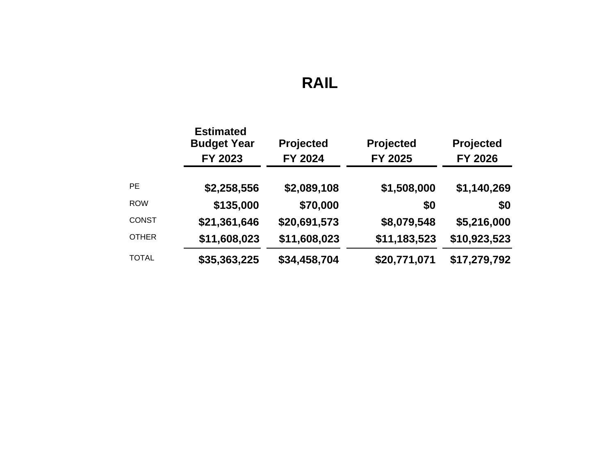# **RAIL**

|              | <b>Estimated</b><br><b>Budget Year</b><br>FY 2023 | Projected<br>FY 2024 | Projected<br>FY 2025 | <b>Projected</b><br>FY 2026 |
|--------------|---------------------------------------------------|----------------------|----------------------|-----------------------------|
| <b>PE</b>    | \$2,258,556                                       | \$2,089,108          | \$1,508,000          | \$1,140,269                 |
| <b>ROW</b>   | \$135,000                                         | \$70,000             | \$0                  | \$0                         |
| <b>CONST</b> | \$21,361,646                                      | \$20,691,573         | \$8,079,548          | \$5,216,000                 |
| <b>OTHER</b> | \$11,608,023                                      | \$11,608,023         | \$11,183,523         | \$10,923,523                |
| <b>TOTAL</b> | \$35,363,225                                      | \$34,458,704         | \$20,771,071         | \$17,279,792                |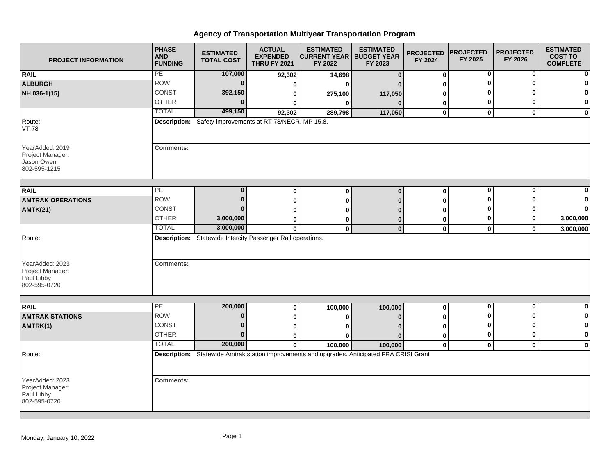| <b>PROJECT INFORMATION</b>                                                  | <b>PHASE</b><br><b>AND</b><br><b>FUNDING</b> | <b>ESTIMATED</b><br><b>TOTAL COST</b>                       | <b>ACTUAL</b><br><b>EXPENDED</b><br><b>THRU FY 2021</b> | <b>ESTIMATED</b><br><b>CURRENT YEAR   BUDGET YEAR</b><br>FY 2022                             | <b>ESTIMATED</b><br>FY 2023 | <b>PROJECTED</b><br>FY 2024 | <b>PROJECTED</b><br>FY 2025 | <b>PROJECTED</b><br>FY 2026 | <b>ESTIMATED</b><br><b>COST TO</b><br><b>COMPLETE</b> |
|-----------------------------------------------------------------------------|----------------------------------------------|-------------------------------------------------------------|---------------------------------------------------------|----------------------------------------------------------------------------------------------|-----------------------------|-----------------------------|-----------------------------|-----------------------------|-------------------------------------------------------|
| <b>RAIL</b>                                                                 | PE                                           | 107,000                                                     | 92,302                                                  | 14,698                                                                                       | $\bf{0}$                    | $\boldsymbol{0}$            | 0                           | 0                           | $\mathbf{0}$                                          |
| <b>ALBURGH</b>                                                              | <b>ROW</b>                                   | $\bf{0}$                                                    | 0                                                       | <sup>0</sup>                                                                                 |                             | O                           |                             |                             | $\bf{0}$                                              |
| NH 036-1(15)                                                                | CONST                                        | 392,150                                                     | 0                                                       | 275,100                                                                                      | 117,050                     | 0                           |                             |                             | $\mathbf{0}$                                          |
|                                                                             | <b>OTHER</b>                                 | $\Omega$                                                    | 0                                                       | 0                                                                                            | $\bf{0}$                    | 0                           | 0                           |                             | $\mathbf{0}$                                          |
|                                                                             | <b>TOTAL</b>                                 | 499,150                                                     | 92,302                                                  | 289,798                                                                                      | 117,050                     | $\mathbf 0$                 | $\mathbf 0$                 | $\mathbf{0}$                | $\mathbf{0}$                                          |
| Route:<br><b>VT-78</b>                                                      |                                              | Description: Safety improvements at RT 78/NECR. MP 15.8.    |                                                         |                                                                                              |                             |                             |                             |                             |                                                       |
| YearAdded: 2019<br>Project Manager:<br>Jason Owen<br>802-595-1215           | <b>Comments:</b>                             |                                                             |                                                         |                                                                                              |                             |                             |                             |                             |                                                       |
| <b>RAIL</b>                                                                 | PE                                           | $\bf{0}$                                                    |                                                         |                                                                                              | $\Omega$                    |                             | 0                           | 0                           | 0                                                     |
| <b>AMTRAK OPERATIONS</b>                                                    | <b>ROW</b>                                   | $\Omega$                                                    | $\bf{0}$<br>0                                           | $\bf{0}$<br>O                                                                                | n                           | $\bf{0}$<br>0               | 0                           |                             |                                                       |
| <b>AMTK(21)</b>                                                             | <b>CONST</b>                                 |                                                             | $\Omega$                                                |                                                                                              |                             |                             |                             |                             | $\mathbf{0}$                                          |
|                                                                             | <b>OTHER</b>                                 | 3,000,000                                                   |                                                         |                                                                                              |                             | o                           | 0                           |                             | 3,000,000                                             |
|                                                                             | <b>TOTAL</b>                                 | 3,000,000                                                   | 0<br>$\mathbf 0$                                        | 0<br>$\mathbf 0$                                                                             | 0<br>$\mathbf{0}$           | 0<br>$\mathbf 0$            | $\mathbf 0$                 | 0                           | 3,000,000                                             |
| Route:<br>YearAdded: 2023<br>Project Manager:<br>Paul Libby<br>802-595-0720 | <b>Comments:</b>                             | Description: Statewide Intercity Passenger Rail operations. |                                                         |                                                                                              |                             |                             |                             |                             |                                                       |
|                                                                             |                                              |                                                             |                                                         |                                                                                              |                             |                             |                             |                             |                                                       |
| <b>RAIL</b>                                                                 | PE<br><b>ROW</b>                             | 200,000<br>n                                                | 0                                                       | 100,000                                                                                      | 100,000                     | $\mathbf 0$                 | 0                           | 0                           | $\mathbf{0}$                                          |
| <b>AMTRAK STATIONS</b>                                                      |                                              |                                                             | 0                                                       | 0                                                                                            | $\Omega$                    | 0                           |                             |                             | $\mathbf{0}$                                          |
| AMTRK(1)                                                                    | <b>CONST</b><br><b>OTHER</b>                 | $\Omega$<br>$\Omega$                                        | 0                                                       |                                                                                              |                             | O                           | n<br>0                      |                             | $\mathbf{0}$<br>$\mathbf{0}$                          |
|                                                                             | <b>TOTAL</b>                                 | 200,000                                                     | 0                                                       | n                                                                                            | n                           | 0                           |                             |                             |                                                       |
|                                                                             |                                              |                                                             | $\mathbf{0}$                                            | 100,000                                                                                      | 100,000                     | $\mathbf 0$                 | $\mathbf 0$                 | $\mathbf 0$                 | $\mathbf{0}$                                          |
| Route:                                                                      |                                              |                                                             |                                                         | Description: Statewide Amtrak station improvements and upgrades. Anticipated FRA CRISI Grant |                             |                             |                             |                             |                                                       |
| YearAdded: 2023<br>Project Manager:<br>Paul Libby<br>802-595-0720           | <b>Comments:</b>                             |                                                             |                                                         |                                                                                              |                             |                             |                             |                             |                                                       |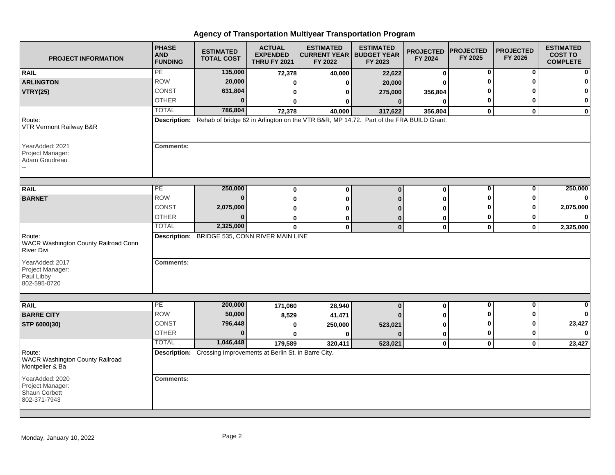| <b>PROJECT INFORMATION</b>                                                 | <b>PHASE</b><br><b>AND</b><br><b>FUNDING</b> | <b>ESTIMATED</b><br><b>TOTAL COST</b>                           | <b>ACTUAL</b><br><b>EXPENDED</b><br><b>THRU FY 2021</b> | <b>ESTIMATED</b><br><b>CURRENT YEAR   BUDGET YEAR</b><br>FY 2022                                    | <b>ESTIMATED</b><br>FY 2023 | <b>PROJECTED</b><br>FY 2024 | <b>PROJECTED</b><br>FY 2025 | <b>PROJECTED</b><br>FY 2026 | <b>ESTIMATED</b><br><b>COST TO</b><br><b>COMPLETE</b> |
|----------------------------------------------------------------------------|----------------------------------------------|-----------------------------------------------------------------|---------------------------------------------------------|-----------------------------------------------------------------------------------------------------|-----------------------------|-----------------------------|-----------------------------|-----------------------------|-------------------------------------------------------|
| <b>RAIL</b>                                                                | PE                                           | 135,000                                                         | 72,378                                                  | 40,000                                                                                              | 22,622                      | $\bf{0}$                    | 0                           | 0                           | $\mathbf{0}$                                          |
| <b>ARLINGTON</b>                                                           | <b>ROW</b>                                   | 20,000                                                          | 0                                                       | 0                                                                                                   | 20,000                      | 0                           |                             |                             | $\mathbf{0}$                                          |
| <b>VTRY(25)</b>                                                            | CONST                                        | 631,804                                                         | 0                                                       | 0                                                                                                   | 275,000                     | 356,804                     |                             |                             | $\mathbf{0}$                                          |
|                                                                            | <b>OTHER</b>                                 | $\bf{0}$                                                        | 0                                                       | 0                                                                                                   | $\mathbf{0}$                | $\Omega$                    | 0                           |                             | $\mathbf{0}$                                          |
|                                                                            | <b>TOTAL</b>                                 | 786,804                                                         | 72,378                                                  | 40,000                                                                                              | 317,622                     | 356,804                     | $\mathbf 0$                 | $\mathbf{0}$                | $\mathbf{0}$                                          |
| Route:<br>VTR Vermont Railway B&R                                          |                                              |                                                                 |                                                         | Description: Rehab of bridge 62 in Arlington on the VTR B&R, MP 14.72. Part of the FRA BUILD Grant. |                             |                             |                             |                             |                                                       |
| YearAdded: 2021<br>Project Manager:<br>Adam Goudreau                       | <b>Comments:</b>                             |                                                                 |                                                         |                                                                                                     |                             |                             |                             |                             |                                                       |
|                                                                            |                                              |                                                                 |                                                         |                                                                                                     |                             |                             | $\mathbf 0$                 | $\bf{0}$                    |                                                       |
| <b>RAIL</b>                                                                | PE                                           | 250,000                                                         | $\mathbf 0$                                             | $\mathbf{0}$                                                                                        | $\mathbf 0$                 | $\pmb{0}$                   | Λ                           |                             | 250,000                                               |
| <b>BARNET</b>                                                              | <b>ROW</b>                                   | $\bf{0}$                                                        | 0                                                       | 0                                                                                                   | Ю                           | 0                           |                             |                             | $\mathbf{0}$                                          |
|                                                                            | CONST                                        | 2,075,000                                                       | 0                                                       | 0                                                                                                   |                             | ŋ                           |                             |                             | 2,075,000                                             |
|                                                                            | <b>OTHER</b><br><b>TOTAL</b>                 | $\bf{0}$<br>2,325,000                                           | 0                                                       | 0                                                                                                   | 0                           | 0                           | 0                           |                             | $\mathbf{0}$                                          |
| Route:<br><b>WACR Washington County Railroad Conn</b><br><b>River Divi</b> |                                              | Description: BRIDGE 535, CONN RIVER MAIN LINE                   | $\mathbf{0}$                                            | $\mathbf{0}$                                                                                        | $\mathbf 0$                 | $\mathbf 0$                 | $\mathbf 0$                 | $\mathbf{0}$                | 2,325,000                                             |
| YearAdded: 2017<br>Project Manager:<br>Paul Libby<br>802-595-0720          | <b>Comments:</b>                             |                                                                 |                                                         |                                                                                                     |                             |                             |                             |                             |                                                       |
| <b>RAIL</b>                                                                | PE                                           | 200,000                                                         | 171,060                                                 | 28,940                                                                                              | $\mathbf{0}$                |                             | $\bf{0}$                    | $\bf{0}$                    | $\mathbf{0}$                                          |
| <b>BARRE CITY</b>                                                          | <b>ROW</b>                                   | 50,000                                                          | 8,529                                                   | 41,471                                                                                              |                             | $\pmb{0}$<br>0              |                             |                             | $\mathbf{0}$                                          |
| STP 6000(30)                                                               | <b>CONST</b>                                 | 796,448                                                         | 0                                                       | 250,000                                                                                             | 523,021                     | 0                           | Ω                           |                             | 23,427                                                |
|                                                                            | <b>OTHER</b>                                 | $\bf{0}$                                                        | $\mathbf{0}$                                            | $\bf{0}$                                                                                            |                             | 0                           | 0                           | 0                           | $\mathbf{0}$                                          |
|                                                                            | <b>TOTAL</b>                                 | 1,046,448                                                       | 179,589                                                 | 320,411                                                                                             | 523,021                     | $\mathbf 0$                 | $\mathbf 0$                 | $\mathbf{0}$                | 23,427                                                |
| Route:<br><b>WACR Washington County Railroad</b><br>Montpelier & Ba        |                                              | Description: Crossing Improvements at Berlin St. in Barre City. |                                                         |                                                                                                     |                             |                             |                             |                             |                                                       |
| YearAdded: 2020<br>Project Manager:<br>Shaun Corbett<br>802-371-7943       | <b>Comments:</b>                             |                                                                 |                                                         |                                                                                                     |                             |                             |                             |                             |                                                       |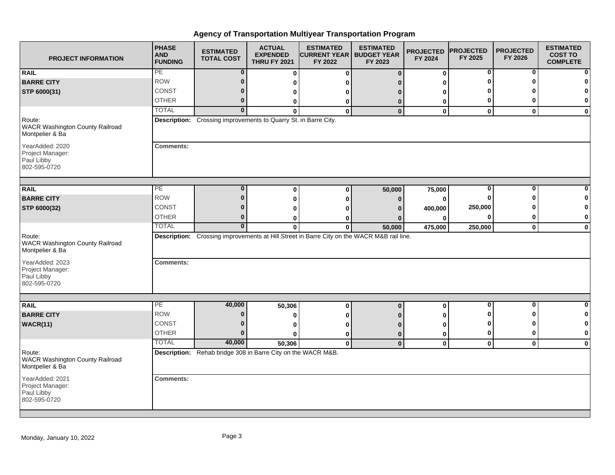| <b>PROJECT INFORMATION</b>                                          | <b>PHASE</b><br><b>AND</b><br><b>FUNDING</b> | <b>ESTIMATED</b><br><b>TOTAL COST</b>                           | <b>ACTUAL</b><br><b>EXPENDED</b><br><b>THRU FY 2021</b> | <b>ESTIMATED</b><br><b>CURRENT YEAR   BUDGET YEAR</b><br>FY 2022 | <b>ESTIMATED</b><br>FY 2023                                                                | <b>PROJECTED</b><br>FY 2024 | <b>PROJECTED</b><br>FY 2025 | <b>PROJECTED</b><br>FY 2026 | <b>ESTIMATED</b><br><b>COST TO</b><br><b>COMPLETE</b> |
|---------------------------------------------------------------------|----------------------------------------------|-----------------------------------------------------------------|---------------------------------------------------------|------------------------------------------------------------------|--------------------------------------------------------------------------------------------|-----------------------------|-----------------------------|-----------------------------|-------------------------------------------------------|
| <b>RAIL</b>                                                         | PE                                           | $\bf{0}$                                                        | 0                                                       | 0                                                                | $\bf{0}$                                                                                   | 0                           | $\mathbf 0$                 | $\bf{0}$                    |                                                       |
| <b>BARRE CITY</b>                                                   | <b>ROW</b>                                   | $\bf{0}$                                                        | 0                                                       | O                                                                |                                                                                            | 0                           | n                           | ŋ                           |                                                       |
| STP 6000(31)                                                        | CONST                                        | $\bf{0}$                                                        | 0                                                       | ŋ                                                                | $\Omega$                                                                                   | 0                           |                             |                             | 0                                                     |
|                                                                     | <b>OTHER</b>                                 | $\bf{0}$                                                        | 0                                                       | 0                                                                | $\bf{0}$                                                                                   | 0                           | 0                           | 0                           | 0                                                     |
|                                                                     | <b>TOTAL</b>                                 | $\overline{0}$                                                  | $\Omega$                                                | $\mathbf{0}$                                                     | $\mathbf 0$                                                                                | 0                           | $\mathbf 0$                 | $\mathbf 0$                 | $\mathbf{0}$                                          |
| Route:<br><b>WACR Washington County Railroad</b><br>Montpelier & Ba |                                              | Description: Crossing improvements to Quarry St. in Barre City. |                                                         |                                                                  |                                                                                            |                             |                             |                             |                                                       |
| YearAdded: 2020<br>Project Manager:<br>Paul Libby<br>802-595-0720   | <b>Comments:</b>                             |                                                                 |                                                         |                                                                  |                                                                                            |                             |                             |                             |                                                       |
| <b>RAIL</b>                                                         | PE                                           | $\mathbf{0}$                                                    | $\bf{0}$                                                | $\bf{0}$                                                         | 50,000                                                                                     | 75,000                      | 0                           | $\bf{0}$                    |                                                       |
| <b>BARRE CITY</b>                                                   | <b>ROW</b>                                   | $\mathbf{0}$                                                    | 0                                                       | 0                                                                | $\bf{0}$                                                                                   | 0                           | $\bf{0}$                    | ŋ                           |                                                       |
| STP 6000(32)                                                        | CONST                                        | 0                                                               | ŋ                                                       | ŋ                                                                | $\Omega$                                                                                   | 400,000                     | 250,000                     |                             | n                                                     |
|                                                                     | <b>OTHER</b>                                 | $\bf{0}$                                                        | 0                                                       | 0                                                                | $\Omega$                                                                                   | 0                           | 0                           | 0                           | 0                                                     |
|                                                                     | <b>TOTAL</b>                                 | $\mathbf{0}$                                                    | $\bf{0}$                                                | $\bf{0}$                                                         | 50,000                                                                                     | 475,000                     | 250,000                     | $\mathbf 0$                 | $\mathbf 0$                                           |
| Route:<br><b>WACR Washington County Railroad</b><br>Montpelier & Ba |                                              |                                                                 |                                                         |                                                                  | Description: Crossing improvements at Hill Street in Barre City on the WACR M&B rail line. |                             |                             |                             |                                                       |
| YearAdded: 2023<br>Project Manager:<br>Paul Libby<br>802-595-0720   | <b>Comments:</b>                             |                                                                 |                                                         |                                                                  |                                                                                            |                             |                             |                             |                                                       |
|                                                                     |                                              |                                                                 |                                                         |                                                                  |                                                                                            |                             |                             |                             |                                                       |
| <b>RAIL</b>                                                         | PE                                           | 40,000                                                          | 50,306                                                  | 0                                                                | $\bf{0}$                                                                                   | 0                           | 0                           | 0                           | 0                                                     |
| <b>BARRE CITY</b>                                                   | <b>ROW</b>                                   | $\bf{0}$                                                        | 0                                                       | 0                                                                | n                                                                                          | 0                           | o                           | ŋ                           | 0                                                     |
| <b>WACR(11)</b>                                                     | CONST                                        | $\mathbf{0}$                                                    | 0                                                       | O                                                                | $\Omega$                                                                                   | $\bf{0}$                    | Ω                           | ŋ                           | $\mathbf 0$                                           |
|                                                                     | <b>OTHER</b>                                 | $\bf{0}$                                                        | 0                                                       | 0                                                                | $\bf{0}$                                                                                   | 0                           | 0                           | $\bf{0}$                    | $\mathbf 0$                                           |
|                                                                     | <b>TOTAL</b>                                 | 40,000                                                          | 50,306                                                  | $\mathbf 0$                                                      | $\mathbf 0$                                                                                | 0                           | $\mathbf 0$                 | $\mathbf 0$                 | $\mathbf 0$                                           |
| Route:<br>WACR Washington County Railroad<br>Montpelier & Ba        |                                              | Description: Rehab bridge 308 in Barre City on the WACR M&B.    |                                                         |                                                                  |                                                                                            |                             |                             |                             |                                                       |
| YearAdded: 2021<br>Project Manager:<br>Paul Libby<br>802-595-0720   | <b>Comments:</b>                             |                                                                 |                                                         |                                                                  |                                                                                            |                             |                             |                             |                                                       |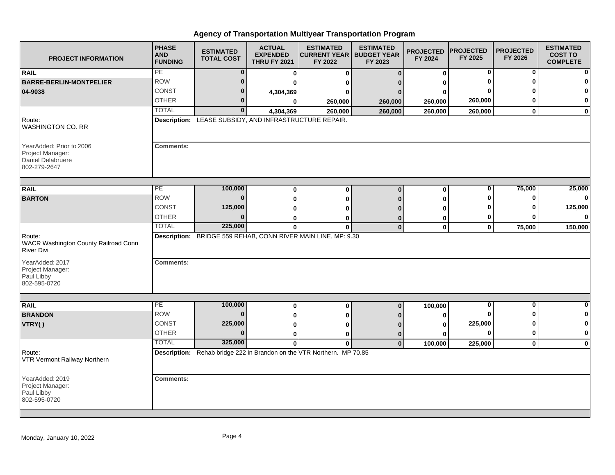| <b>PROJECT INFORMATION</b>                                                        | <b>PHASE</b><br><b>AND</b><br><b>FUNDING</b> | <b>ESTIMATED</b><br><b>TOTAL COST</b>                  | <b>ACTUAL</b><br><b>EXPENDED</b><br><b>THRU FY 2021</b> | <b>ESTIMATED</b><br><b>CURRENT YEAR   BUDGET YEAR</b><br>FY 2022       | <b>ESTIMATED</b><br>FY 2023 | <b>PROJECTED</b><br>FY 2024 | <b>PROJECTED</b><br>FY 2025 | <b>PROJECTED</b><br>FY 2026 | <b>ESTIMATED</b><br><b>COST TO</b><br><b>COMPLETE</b> |
|-----------------------------------------------------------------------------------|----------------------------------------------|--------------------------------------------------------|---------------------------------------------------------|------------------------------------------------------------------------|-----------------------------|-----------------------------|-----------------------------|-----------------------------|-------------------------------------------------------|
| <b>RAIL</b>                                                                       | PE                                           | 0                                                      | $\bf{0}$                                                | 0                                                                      | $\Omega$                    | $\bf{0}$                    | 0                           | 0                           | $\mathbf{0}$                                          |
| <b>BARRE-BERLIN-MONTPELIER</b>                                                    | <b>ROW</b>                                   | $\bf{0}$                                               |                                                         |                                                                        |                             |                             |                             |                             | $\mathbf{0}$                                          |
| 04-9038                                                                           | CONST                                        | 0                                                      | 4,304,369                                               |                                                                        |                             |                             |                             |                             | $\mathbf{0}$                                          |
|                                                                                   | <b>OTHER</b>                                 | 0                                                      |                                                         | 260,000                                                                | 260,000                     | 260,000                     | 260,000                     |                             | $\mathbf{0}$                                          |
|                                                                                   | <b>TOTAL</b>                                 | 0                                                      | 4,304,369                                               | 260,000                                                                | 260,000                     | 260,000                     | 260,000                     | $\mathbf{0}$                | $\mathbf{0}$                                          |
| Route:<br>WASHINGTON CO. RR                                                       |                                              | Description: LEASE SUBSIDY, AND INFRASTRUCTURE REPAIR. |                                                         |                                                                        |                             |                             |                             |                             |                                                       |
| YearAdded: Prior to 2006<br>Project Manager:<br>Daniel Delabruere<br>802-279-2647 | <b>Comments:</b>                             |                                                        |                                                         |                                                                        |                             |                             |                             |                             |                                                       |
| <b>RAIL</b>                                                                       | PE                                           | 100,000                                                |                                                         |                                                                        | $\Omega$                    |                             | 0                           | 75,000                      | 25,000                                                |
| <b>BARTON</b>                                                                     | <b>ROW</b>                                   | $\bf{0}$                                               | $\bf{0}$                                                | 0                                                                      |                             | 0                           |                             |                             | $\mathbf{0}$                                          |
|                                                                                   | <b>CONST</b>                                 | 125,000                                                | $\bf{0}$<br>ŋ                                           |                                                                        |                             | O                           |                             |                             | 125,000                                               |
|                                                                                   | <b>OTHER</b>                                 | $\Omega$                                               |                                                         |                                                                        |                             |                             | 0                           |                             | $\mathbf{0}$                                          |
|                                                                                   | <b>TOTAL</b>                                 | 225,000                                                | 0<br>$\mathbf 0$                                        | $\bf{0}$                                                               | $\mathbf 0$                 | ŋ<br>$\mathbf 0$            | $\mathbf 0$                 | 75,000                      | 150,000                                               |
| Route:<br>WACR Washington County Railroad Conn<br><b>River Divi</b>               |                                              |                                                        |                                                         | Description: BRIDGE 559 REHAB, CONN RIVER MAIN LINE, MP: 9.30          |                             |                             |                             |                             |                                                       |
| YearAdded: 2017<br>Project Manager:<br>Paul Libby<br>802-595-0720                 | <b>Comments:</b>                             |                                                        |                                                         |                                                                        |                             |                             |                             |                             |                                                       |
|                                                                                   | PE                                           | 100,000                                                |                                                         |                                                                        |                             |                             | $\bf{0}$                    | $\bf{0}$                    | $\mathbf{0}$                                          |
| <b>RAIL</b><br><b>BRANDON</b>                                                     | <b>ROW</b>                                   | $\bf{0}$                                               | $\bf{0}$                                                | 0                                                                      | $\mathbf 0$                 | 100,000                     |                             |                             | $\mathbf{0}$                                          |
| VTRY()                                                                            | CONST                                        | 225,000                                                | 0                                                       |                                                                        |                             | ŋ                           | 225,000                     |                             | $\mathbf{0}$                                          |
|                                                                                   | <b>OTHER</b>                                 | $\bf{0}$                                               | $\bf{0}$                                                |                                                                        |                             | ŋ<br>O                      | $\Omega$                    | ŋ                           | $\mathbf{0}$                                          |
|                                                                                   | <b>TOTAL</b>                                 | 325,000                                                | $\bf{0}$<br>$\mathbf{0}$                                | ŋ<br>$\mathbf{0}$                                                      | 0<br>$\Omega$               |                             |                             | $\mathbf{0}$                |                                                       |
| Route:<br>VTR Vermont Railway Northern                                            |                                              |                                                        |                                                         | Description: Rehab bridge 222 in Brandon on the VTR Northern. MP 70.85 |                             | 100,000                     | 225,000                     |                             | $\mathbf{0}$                                          |
| YearAdded: 2019<br>Project Manager:<br>Paul Libby<br>802-595-0720                 | <b>Comments:</b>                             |                                                        |                                                         |                                                                        |                             |                             |                             |                             |                                                       |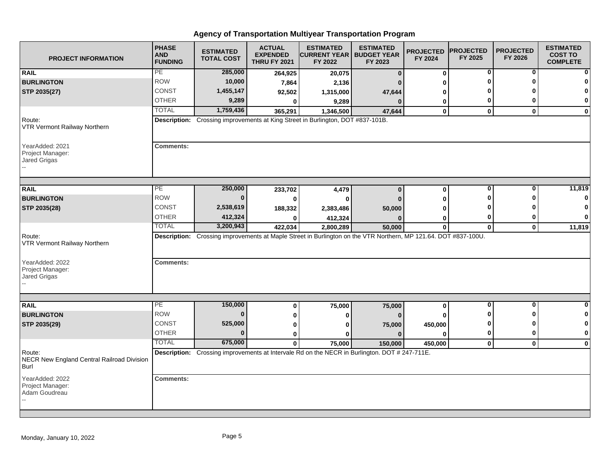| <b>PROJECT INFORMATION</b>                                   | <b>PHASE</b><br><b>AND</b><br><b>FUNDING</b> | <b>ESTIMATED</b><br><b>TOTAL COST</b> | <b>ACTUAL</b><br><b>EXPENDED</b><br><b>THRU FY 2021</b> | <b>ESTIMATED</b><br><b>CURRENT YEAR   BUDGET YEAR</b><br>FY 2022                                                | <b>ESTIMATED</b><br>FY 2023 | <b>PROJECTED</b><br>FY 2024 | <b>PROJECTED</b><br>FY 2025 | <b>PROJECTED</b><br>FY 2026 | <b>ESTIMATED</b><br><b>COST TO</b><br><b>COMPLETE</b> |
|--------------------------------------------------------------|----------------------------------------------|---------------------------------------|---------------------------------------------------------|-----------------------------------------------------------------------------------------------------------------|-----------------------------|-----------------------------|-----------------------------|-----------------------------|-------------------------------------------------------|
| <b>RAIL</b>                                                  | PE                                           | 285,000                               | 264,925                                                 | 20,075                                                                                                          | $\mathbf{0}$                | $\bf{0}$                    | 0                           | 0                           |                                                       |
| <b>BURLINGTON</b>                                            | <b>ROW</b>                                   | 10,000                                | 7,864                                                   | 2,136                                                                                                           |                             | ŋ                           | O                           | ŋ                           |                                                       |
| STP 2035(27)                                                 | <b>CONST</b>                                 | 1,455,147                             | 92,502                                                  | 1,315,000                                                                                                       | 47,644                      | 0                           |                             |                             | O                                                     |
|                                                              | <b>OTHER</b>                                 | 9,289                                 | $\bf{0}$                                                | 9,289                                                                                                           |                             | 0                           | 0                           | 0                           | $\bf{0}$                                              |
|                                                              | <b>TOTAL</b>                                 | 1,759,436                             | 365,291                                                 | 1,346,500                                                                                                       | 47,644                      | $\bf{0}$                    | $\mathbf 0$                 | $\mathbf{0}$                | $\mathbf 0$                                           |
| Route:<br><b>VTR Vermont Railway Northern</b>                |                                              |                                       |                                                         | Description: Crossing improvements at King Street in Burlington, DOT #837-101B.                                 |                             |                             |                             |                             |                                                       |
| YearAdded: 2021<br>Project Manager:<br><b>Jared Grigas</b>   | <b>Comments:</b>                             |                                       |                                                         |                                                                                                                 |                             |                             |                             |                             |                                                       |
|                                                              |                                              |                                       |                                                         |                                                                                                                 |                             |                             |                             |                             |                                                       |
| <b>RAIL</b>                                                  | PE.                                          | 250,000                               | 233,702                                                 | 4,479                                                                                                           | $\mathbf{0}$                | $\bf{0}$                    | 0                           | 0                           | 11,819                                                |
| <b>BURLINGTON</b>                                            | <b>ROW</b>                                   | $\Omega$                              | 0                                                       | $\bf{0}$                                                                                                        |                             | O                           | Ω                           | ŋ                           |                                                       |
| STP 2035(28)                                                 | <b>CONST</b>                                 | 2,538,619                             | 188,332                                                 | 2,383,486                                                                                                       | 50,000                      | O                           |                             |                             | n                                                     |
|                                                              | <b>OTHER</b>                                 | 412,324                               |                                                         | 412,324                                                                                                         |                             | 0                           | 0                           | 0                           | $\Omega$                                              |
|                                                              | <b>TOTAL</b>                                 | 3,200,943                             | 422,034                                                 | 2,800,289                                                                                                       | 50,000                      | $\bf{0}$                    | $\mathbf{0}$                | $\mathbf{0}$                | 11,819                                                |
| Route:<br>VTR Vermont Railway Northern                       |                                              |                                       |                                                         | Description: Crossing improvements at Maple Street in Burlington on the VTR Northern, MP 121.64. DOT #837-100U. |                             |                             |                             |                             |                                                       |
| YearAdded: 2022<br>Project Manager:<br>Jared Grigas          | <b>Comments:</b>                             |                                       |                                                         |                                                                                                                 |                             |                             |                             |                             |                                                       |
|                                                              |                                              |                                       |                                                         |                                                                                                                 |                             |                             |                             |                             |                                                       |
| <b>RAIL</b>                                                  | PE                                           | 150,000                               | 0                                                       | 75,000                                                                                                          | 75,000                      | 0                           | 0                           | $\bf{0}$                    | 0                                                     |
| <b>BURLINGTON</b>                                            | <b>ROW</b>                                   | $\mathbf{0}$                          | 0                                                       | 0                                                                                                               |                             | O                           | 0                           | U                           | n                                                     |
| STP 2035(29)                                                 | CONST                                        | 525,000                               | 0                                                       | ŋ                                                                                                               | 75,000                      | 450,000                     | 0                           | ŋ                           |                                                       |
|                                                              | <b>OTHER</b>                                 | $\bf{0}$                              | $\bf{0}$                                                | ŋ                                                                                                               | $\Omega$                    | $\Omega$                    | 0                           | 0                           | $\mathbf 0$                                           |
|                                                              | <b>TOTAL</b>                                 | 675,000                               | $\mathbf{0}$                                            | 75,000                                                                                                          | 150,000                     | 450,000                     | $\mathbf 0$                 | $\mathbf{0}$                | $\bf{0}$                                              |
| Route:<br>NECR New England Central Railroad Division<br>Burl |                                              |                                       |                                                         | Description: Crossing improvements at Intervale Rd on the NECR in Burlington. DOT # 247-711E.                   |                             |                             |                             |                             |                                                       |
| YearAdded: 2022<br>Project Manager:<br>Adam Goudreau         | <b>Comments:</b>                             |                                       |                                                         |                                                                                                                 |                             |                             |                             |                             |                                                       |
|                                                              |                                              |                                       |                                                         |                                                                                                                 |                             |                             |                             |                             |                                                       |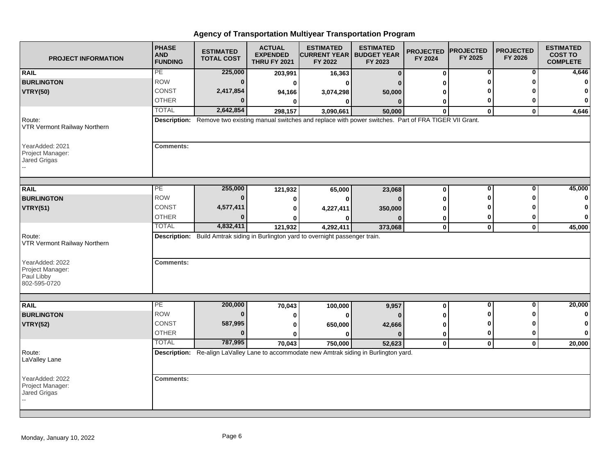| <b>PROJECT INFORMATION</b>                                        | <b>PHASE</b><br><b>AND</b><br><b>FUNDING</b> | <b>ESTIMATED</b><br><b>TOTAL COST</b> | <b>ACTUAL</b><br><b>EXPENDED</b><br><b>THRU FY 2021</b> | <b>ESTIMATED</b><br><b>CURRENT YEAR   BUDGET YEAR</b><br>FY 2022                                               | <b>ESTIMATED</b><br>FY 2023 | <b>PROJECTED</b><br>FY 2024 | <b>PROJECTED</b><br>FY 2025 | <b>PROJECTED</b><br>FY 2026 | <b>ESTIMATED</b><br><b>COST TO</b><br><b>COMPLETE</b> |
|-------------------------------------------------------------------|----------------------------------------------|---------------------------------------|---------------------------------------------------------|----------------------------------------------------------------------------------------------------------------|-----------------------------|-----------------------------|-----------------------------|-----------------------------|-------------------------------------------------------|
| <b>RAIL</b>                                                       | PE                                           | 225,000                               | 203,991                                                 | 16,363                                                                                                         | $\bf{0}$                    | $\bf{0}$                    | 0                           | 0                           | 4,646                                                 |
| <b>BURLINGTON</b>                                                 | <b>ROW</b>                                   | $\bf{0}$                              | 0                                                       | ŋ                                                                                                              |                             | 0                           | 0                           | U                           | $\mathbf{0}$                                          |
| <b>VTRY(50)</b>                                                   | <b>CONST</b>                                 | 2,417,854                             | 94,166                                                  | 3,074,298                                                                                                      | 50,000                      | 0                           |                             |                             | n                                                     |
|                                                                   | <b>OTHER</b>                                 | 0                                     | 0                                                       | 0                                                                                                              | $\Omega$                    | 0                           | 0                           | 0                           | $\bf{0}$                                              |
|                                                                   | <b>TOTAL</b>                                 | 2,642,854                             | 298,157                                                 | 3,090,661                                                                                                      | 50,000                      | $\Omega$                    | $\mathbf{0}$                | $\mathbf{0}$                | 4,646                                                 |
| Route:<br>VTR Vermont Railway Northern                            |                                              |                                       |                                                         | Description: Remove two existing manual switches and replace with power switches. Part of FRA TIGER VII Grant. |                             |                             |                             |                             |                                                       |
| YearAdded: 2021<br>Project Manager:<br>Jared Grigas               | <b>Comments:</b>                             |                                       |                                                         |                                                                                                                |                             |                             |                             |                             |                                                       |
| <b>RAIL</b>                                                       | $\overline{PE}$                              | 255,000                               | 121,932                                                 | 65,000                                                                                                         | 23,068                      | $\bf{0}$                    | 0                           | $\bf{0}$                    | 45,000                                                |
| <b>BURLINGTON</b>                                                 | <b>ROW</b>                                   | $\bf{0}$                              | 0                                                       | 0                                                                                                              | $\Omega$                    | 0                           | ŋ                           | ŋ                           |                                                       |
| <b>VTRY(51)</b>                                                   | CONST                                        | 4,577,411                             | 0                                                       | 4,227,411                                                                                                      | 350,000                     | 0                           |                             |                             | n                                                     |
|                                                                   | <b>OTHER</b>                                 | 0                                     | 0                                                       | ŋ                                                                                                              |                             | 0                           | 0                           | 0                           | 0                                                     |
|                                                                   | <b>TOTAL</b>                                 | 4,832,411                             | 121,932                                                 | 4,292,411                                                                                                      | 373,068                     | $\mathbf 0$                 | $\mathbf 0$                 | $\mathbf{0}$                | 45,000                                                |
| Route:<br>VTR Vermont Railway Northern                            |                                              |                                       |                                                         | Description: Build Amtrak siding in Burlington yard to overnight passenger train.                              |                             |                             |                             |                             |                                                       |
| YearAdded: 2022<br>Project Manager:<br>Paul Libby<br>802-595-0720 | <b>Comments:</b>                             |                                       |                                                         |                                                                                                                |                             |                             |                             |                             |                                                       |
|                                                                   |                                              |                                       |                                                         |                                                                                                                |                             |                             |                             |                             |                                                       |
| <b>RAIL</b>                                                       | PE                                           | 200,000                               | 70,043                                                  | 100,000                                                                                                        | 9,957                       | $\bf{0}$                    | 0                           | $\bf{0}$                    | 20,000                                                |
| <b>BURLINGTON</b>                                                 | <b>ROW</b>                                   | $\bf{0}$                              | 0                                                       | 0                                                                                                              |                             | 0                           | O                           | ŋ                           | 0                                                     |
| <b>VTRY(52)</b>                                                   | <b>CONST</b>                                 | 587,995                               | 0                                                       | 650,000                                                                                                        | 42,666                      | 0                           | 0                           | ŋ                           |                                                       |
|                                                                   | <b>OTHER</b>                                 | 0                                     | $\bf{0}$                                                | 0                                                                                                              |                             | $\mathbf 0$                 | 0                           | 0                           | $\bf{0}$                                              |
|                                                                   | <b>TOTAL</b>                                 | 787,995                               | 70,043                                                  | 750,000                                                                                                        | 52,623                      | $\mathbf 0$                 | $\mathbf{0}$                | $\mathbf{0}$                | 20,000                                                |
| Route:<br>LaValley Lane                                           |                                              |                                       |                                                         | Description: Re-align LaValley Lane to accommodate new Amtrak siding in Burlington yard.                       |                             |                             |                             |                             |                                                       |
| YearAdded: 2022<br>Project Manager:<br>Jared Grigas               | <b>Comments:</b>                             |                                       |                                                         |                                                                                                                |                             |                             |                             |                             |                                                       |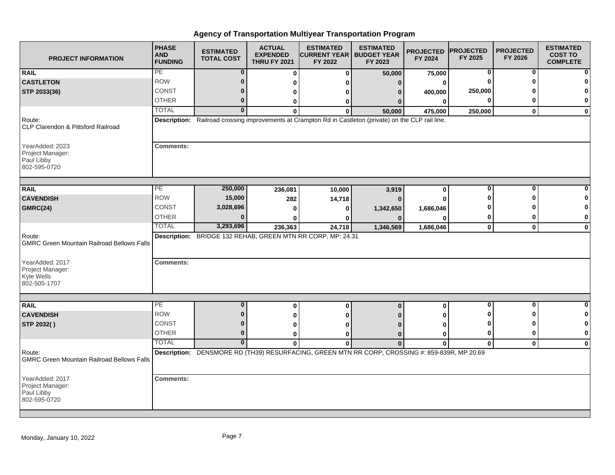| <b>PROJECT INFORMATION</b>                                        | <b>PHASE</b><br><b>AND</b><br><b>FUNDING</b> | <b>ESTIMATED</b><br><b>TOTAL COST</b> | <b>ACTUAL</b><br><b>EXPENDED</b><br><b>THRU FY 2021</b> | <b>ESTIMATED</b><br><b>CURRENT YEAR   BUDGET YEAR</b><br>FY 2022                                        | <b>ESTIMATED</b><br>FY 2023 | <b>PROJECTED</b><br>FY 2024 | <b>PROJECTED</b><br>FY 2025 | <b>PROJECTED</b><br>FY 2026 | <b>ESTIMATED</b><br><b>COST TO</b><br><b>COMPLETE</b> |
|-------------------------------------------------------------------|----------------------------------------------|---------------------------------------|---------------------------------------------------------|---------------------------------------------------------------------------------------------------------|-----------------------------|-----------------------------|-----------------------------|-----------------------------|-------------------------------------------------------|
| <b>RAIL</b>                                                       | PE                                           | $\bf{0}$                              | $\bf{0}$                                                | $\bf{0}$                                                                                                | 50,000                      | 75,000                      | 0                           | 0                           |                                                       |
| <b>CASTLETON</b>                                                  | <b>ROW</b>                                   | $\bf{0}$                              | 0                                                       | ŋ                                                                                                       | 0                           | 0                           |                             |                             |                                                       |
| STP 2033(36)                                                      | <b>CONST</b>                                 | $\bf{0}$                              | 0                                                       | o                                                                                                       | n                           | 400,000                     | 250,000                     |                             |                                                       |
|                                                                   | <b>OTHER</b>                                 | $\mathbf{0}$                          | 0                                                       | 0                                                                                                       | n                           | $\bf{0}$                    | 0                           | 0                           | 0                                                     |
|                                                                   | <b>TOTAL</b>                                 | $\mathbf{0}$                          | $\bf{0}$                                                | $\bf{0}$                                                                                                | 50,000                      | 475,000                     | 250,000                     | $\bf{0}$                    | $\mathbf 0$                                           |
| Route:<br>CLP Clarendon & Pittsford Railroad                      |                                              |                                       |                                                         | Description: Railroad crossing improvements at Crampton Rd in Castleton (private) on the CLP rail line. |                             |                             |                             |                             |                                                       |
| YearAdded: 2023<br>Project Manager:<br>Paul Libby<br>802-595-0720 | <b>Comments:</b>                             |                                       |                                                         |                                                                                                         |                             |                             |                             |                             |                                                       |
| <b>RAIL</b>                                                       | PE                                           | 250,000                               | 236,081                                                 | 10,000                                                                                                  | 3,919                       | 0                           | 0                           | 0                           |                                                       |
| <b>CAVENDISH</b>                                                  | <b>ROW</b>                                   | 15,000                                | 282                                                     | 14,718                                                                                                  |                             | O                           | Ω                           | Λ                           |                                                       |
| <b>GMRC(24)</b>                                                   | <b>CONST</b>                                 | 3,028,696                             | O                                                       | ŋ                                                                                                       | 1,342,650                   | 1,686,046                   |                             |                             |                                                       |
|                                                                   | <b>OTHER</b>                                 | $\Omega$                              |                                                         | ŋ                                                                                                       |                             | ŋ                           | 0                           | 0                           | $\mathbf 0$                                           |
|                                                                   | <b>TOTAL</b>                                 | 3,293,696                             | 236,363                                                 | 24,718                                                                                                  | 1,346,569                   | 1,686,046                   | $\mathbf 0$                 | $\mathbf{0}$                | $\bf{0}$                                              |
| Route:<br><b>GMRC Green Mountain Railroad Bellows Falls</b>       |                                              |                                       |                                                         | Description: BRIDGE 132 REHAB, GREEN MTN RR CORP, MP: 24.31                                             |                             |                             |                             |                             |                                                       |
| YearAdded: 2017<br>Project Manager:<br>Kyle Wells<br>802-505-1707 | <b>Comments:</b>                             |                                       |                                                         |                                                                                                         |                             |                             |                             |                             |                                                       |
|                                                                   |                                              |                                       |                                                         |                                                                                                         |                             |                             |                             |                             |                                                       |
| <b>RAIL</b>                                                       | PE<br><b>ROW</b>                             | $\bf{0}$<br>$\bf{0}$                  | $\bf{0}$                                                | $\bf{0}$                                                                                                | $\mathbf{0}$                | 0                           | 0<br>Ω                      | $\bf{0}$<br>U               | O                                                     |
| <b>CAVENDISH</b>                                                  | CONST                                        | $\Omega$                              | 0                                                       | ŋ                                                                                                       |                             | 0                           |                             |                             |                                                       |
| STP 2032()                                                        |                                              |                                       | 0                                                       |                                                                                                         |                             | ŋ                           | Ω                           | 0                           | $\mathbf 0$                                           |
|                                                                   | <b>OTHER</b>                                 | $\bf{0}$                              | 0                                                       | 0                                                                                                       | $\Omega$                    | 0                           | 0                           |                             |                                                       |
|                                                                   | <b>TOTAL</b>                                 | $\mathbf{0}$                          | $\mathbf{0}$                                            | $\bf{0}$                                                                                                | $\mathbf 0$                 | $\mathbf{0}$                | $\mathbf{0}$                | $\mathbf 0$                 | $\bf{0}$                                              |
| Route:<br><b>GMRC Green Mountain Railroad Bellows Falls</b>       |                                              |                                       |                                                         | Description: DENSMORE RD (TH39) RESURFACING, GREEN MTN RR CORP, CROSSING #: 859-839R, MP 20.69          |                             |                             |                             |                             |                                                       |
| YearAdded: 2017<br>Project Manager:<br>Paul Libby<br>802-595-0720 | <b>Comments:</b>                             |                                       |                                                         |                                                                                                         |                             |                             |                             |                             |                                                       |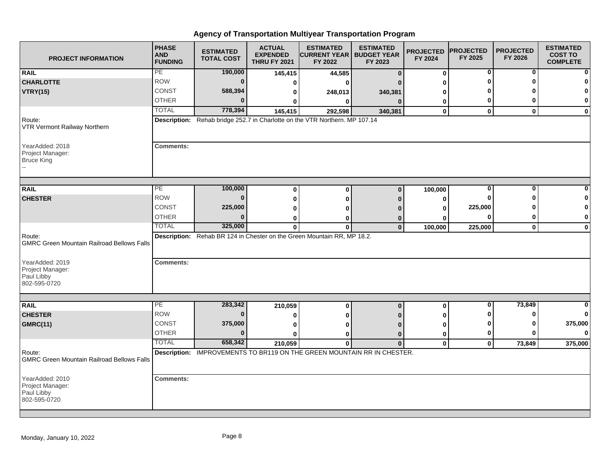| <b>PROJECT INFORMATION</b>                                        | <b>PHASE</b><br><b>AND</b><br><b>FUNDING</b> | <b>ESTIMATED</b><br><b>TOTAL COST</b> | <b>ACTUAL</b><br><b>EXPENDED</b><br><b>THRU FY 2021</b> | <b>ESTIMATED</b><br><b>CURRENT YEAR   BUDGET YEAR</b><br>FY 2022               | <b>ESTIMATED</b><br>FY 2023 | <b>PROJECTED</b><br>FY 2024 | <b>PROJECTED</b><br>FY 2025 | <b>PROJECTED</b><br>FY 2026 | <b>ESTIMATED</b><br><b>COST TO</b><br><b>COMPLETE</b> |
|-------------------------------------------------------------------|----------------------------------------------|---------------------------------------|---------------------------------------------------------|--------------------------------------------------------------------------------|-----------------------------|-----------------------------|-----------------------------|-----------------------------|-------------------------------------------------------|
| <b>RAIL</b>                                                       | PE                                           | 190,000                               | 145,415                                                 | 44,585                                                                         | $\Omega$                    | $\mathbf 0$                 | 0                           | 0                           | $\mathbf{0}$                                          |
| <b>CHARLOTTE</b>                                                  | <b>ROW</b>                                   | $\bf{0}$                              | 0                                                       |                                                                                |                             |                             |                             |                             | $\bf{0}$                                              |
| <b>VTRY(15)</b>                                                   | <b>CONST</b>                                 | 588,394                               |                                                         | 248,013                                                                        | 340,381                     |                             |                             |                             | $\mathbf{0}$                                          |
|                                                                   | <b>OTHER</b>                                 | ŋ                                     |                                                         | 0                                                                              | $\Omega$                    | 0                           | 0                           |                             | $\mathbf{0}$                                          |
|                                                                   | <b>TOTAL</b>                                 | 778,394                               | 145,415                                                 | 292,598                                                                        | 340,381                     | $\mathbf 0$                 | $\mathbf{0}$                | $\mathbf{0}$                | $\mathbf{0}$                                          |
| Route:<br>VTR Vermont Railway Northern                            |                                              |                                       |                                                         | Description: Rehab bridge 252.7 in Charlotte on the VTR Northern. MP 107.14    |                             |                             |                             |                             |                                                       |
| YearAdded: 2018<br>Project Manager:<br><b>Bruce King</b>          | <b>Comments:</b>                             |                                       |                                                         |                                                                                |                             |                             |                             |                             |                                                       |
|                                                                   |                                              |                                       |                                                         |                                                                                |                             |                             |                             |                             |                                                       |
| <b>RAIL</b>                                                       | PE                                           | 100,000                               | $\bf{0}$                                                | $\Omega$                                                                       | $\Omega$                    | 100,000                     | 0                           | $\Omega$                    | 0                                                     |
| <b>CHESTER</b>                                                    | <b>ROW</b>                                   | $\bf{0}$                              | 0                                                       |                                                                                |                             | 0                           |                             |                             | $\bf{0}$                                              |
|                                                                   | CONST                                        | 225,000                               | 0                                                       |                                                                                |                             | ŋ                           | 225,000                     |                             | $\mathbf{0}$                                          |
|                                                                   | <b>OTHER</b>                                 | $\bf{0}$                              | 0                                                       |                                                                                |                             |                             |                             |                             | 0                                                     |
|                                                                   | <b>TOTAL</b>                                 | 325,000                               | $\mathbf{0}$                                            | 0                                                                              | $\Omega$                    | 100,000                     | 225,000                     | $\mathbf 0$                 | $\mathbf{0}$                                          |
| Route:<br><b>GMRC Green Mountain Railroad Bellows Falls</b>       |                                              |                                       |                                                         | Description: Rehab BR 124 in Chester on the Green Mountain RR, MP 18.2.        |                             |                             |                             |                             |                                                       |
| YearAdded: 2019<br>Project Manager:<br>Paul Libby<br>802-595-0720 | <b>Comments:</b>                             |                                       |                                                         |                                                                                |                             |                             |                             |                             |                                                       |
|                                                                   |                                              |                                       |                                                         |                                                                                |                             |                             |                             |                             |                                                       |
| <b>RAIL</b>                                                       | PE                                           | 283,342                               | 210,059                                                 | $\bf{0}$                                                                       | $\mathbf{0}$                | $\bf{0}$                    | $\bf{0}$                    | 73,849                      | $\mathbf{0}$                                          |
| <b>CHESTER</b>                                                    | <b>ROW</b>                                   | $\bf{0}$                              | 0                                                       |                                                                                |                             |                             |                             | n                           | $\mathbf{0}$                                          |
| <b>GMRC(11)</b>                                                   | <b>CONST</b>                                 | 375,000                               | 0                                                       |                                                                                |                             | ŋ                           |                             |                             | 375,000                                               |
|                                                                   | <b>OTHER</b>                                 | $\bf{0}$                              | O                                                       | o                                                                              | $\Omega$                    | 0                           | 0                           |                             | $\mathbf{0}$                                          |
|                                                                   | <b>TOTAL</b>                                 | 658,342                               | 210,059                                                 | $\bf{0}$                                                                       | $\Omega$                    | $\mathbf 0$                 | $\mathbf{0}$                | 73,849                      | 375,000                                               |
| Route:<br><b>GMRC Green Mountain Railroad Bellows Falls</b>       |                                              |                                       |                                                         | <b>Description: IMPROVEMENTS TO BR119 ON THE GREEN MOUNTAIN RR IN CHESTER.</b> |                             |                             |                             |                             |                                                       |
| YearAdded: 2010<br>Project Manager:<br>Paul Libby<br>802-595-0720 | <b>Comments:</b>                             |                                       |                                                         |                                                                                |                             |                             |                             |                             |                                                       |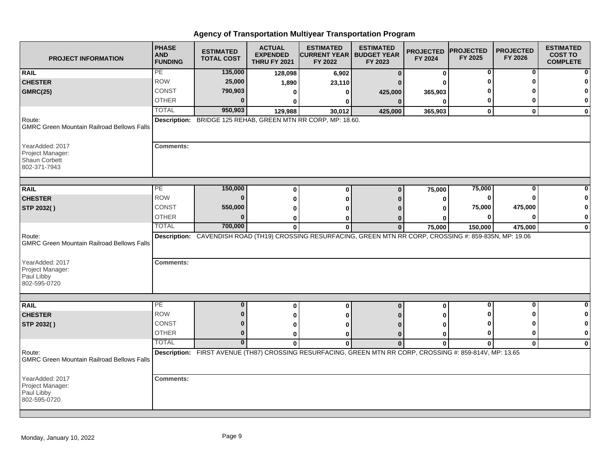| <b>PROJECT INFORMATION</b>                                                     | <b>PHASE</b><br><b>AND</b><br><b>FUNDING</b> | <b>ESTIMATED</b><br><b>TOTAL COST</b> | <b>ACTUAL</b><br><b>EXPENDED</b><br><b>THRU FY 2021</b> | <b>ESTIMATED</b><br><b>CURRENT YEAR   BUDGET YEAR</b><br>FY 2022                                            | <b>ESTIMATED</b><br>FY 2023 | <b>PROJECTED</b><br>FY 2024 | <b>PROJECTED</b><br>FY 2025 | <b>PROJECTED</b><br>FY 2026 | <b>ESTIMATED</b><br><b>COST TO</b><br><b>COMPLETE</b> |
|--------------------------------------------------------------------------------|----------------------------------------------|---------------------------------------|---------------------------------------------------------|-------------------------------------------------------------------------------------------------------------|-----------------------------|-----------------------------|-----------------------------|-----------------------------|-------------------------------------------------------|
| <b>RAIL</b>                                                                    | PE                                           | 135,000                               | 128,098                                                 | 6,902                                                                                                       | $\Omega$                    | 0                           | 0                           | 0                           |                                                       |
| <b>CHESTER</b>                                                                 | <b>ROW</b>                                   | 25,000                                | 1,890                                                   | 23,110                                                                                                      |                             | ŋ                           | n                           |                             |                                                       |
| <b>GMRC(25)</b>                                                                | <b>CONST</b>                                 | 790,903                               | 0                                                       | 0                                                                                                           | 425,000                     | 365,903                     |                             |                             |                                                       |
|                                                                                | <b>OTHER</b>                                 | $\bf{0}$                              | <sup>0</sup>                                            | 0                                                                                                           | $\mathbf{0}$                | $\Omega$                    | 0                           | 0                           | 0                                                     |
|                                                                                | <b>TOTAL</b>                                 | 950,903                               | 129,988                                                 | 30,012                                                                                                      | 425,000                     | 365,903                     | $\mathbf 0$                 | $\bf{0}$                    | $\bf{0}$                                              |
| Route:<br><b>GMRC Green Mountain Railroad Bellows Falls</b>                    |                                              |                                       |                                                         | Description: BRIDGE 125 REHAB, GREEN MTN RR CORP, MP: 18.60.                                                |                             |                             |                             |                             |                                                       |
| YearAdded: 2017<br>Project Manager:<br>Shaun Corbett<br>802-371-7943           | <b>Comments:</b>                             |                                       |                                                         |                                                                                                             |                             |                             |                             |                             |                                                       |
| <b>RAIL</b>                                                                    | PE                                           | 150,000                               |                                                         |                                                                                                             |                             |                             | 75,000                      | 0                           |                                                       |
| <b>CHESTER</b>                                                                 | <b>ROW</b>                                   | $\Omega$                              | $\bf{0}$                                                | $\bf{0}$                                                                                                    | $\mathbf{0}$                | 75,000                      | 0                           | ŋ                           |                                                       |
| STP 2032()                                                                     | <b>CONST</b>                                 | 550,000                               | $\bf{0}$                                                | ŋ                                                                                                           | n                           | $\bf{0}$                    | 75,000                      | 475,000                     |                                                       |
|                                                                                | <b>OTHER</b>                                 | $\Omega$                              | 0                                                       |                                                                                                             |                             | 0                           | 0                           | 0                           | 0                                                     |
|                                                                                | <b>TOTAL</b>                                 | 700,000                               | 0<br>$\bf{0}$                                           | 0<br>$\mathbf{0}$                                                                                           | $\bf{0}$                    | 0<br>75,000                 | 150,000                     | 475,000                     | $\bf{0}$                                              |
| Route:<br><b>GMRC Green Mountain Railroad Bellows Falls</b><br>YearAdded: 2017 | <b>Comments:</b>                             |                                       |                                                         | Description: CAVENDISH ROAD (TH19) CROSSING RESURFACING, GREEN MTN RR CORP, CROSSING #: 859-835N, MP: 19.06 |                             |                             |                             |                             |                                                       |
| Project Manager:<br>Paul Libby<br>802-595-0720                                 |                                              |                                       |                                                         |                                                                                                             |                             |                             |                             |                             |                                                       |
| <b>RAIL</b>                                                                    | $\overline{PE}$                              | $\bf{0}$                              | 0                                                       | 0                                                                                                           | $\bf{0}$                    | 0                           | $\bf{0}$                    | $\bf{0}$                    | n                                                     |
| <b>CHESTER</b>                                                                 | <b>ROW</b>                                   | $\bf{0}$                              | 0                                                       | ŋ                                                                                                           |                             | 0                           | o                           |                             |                                                       |
| STP 2032()                                                                     | <b>CONST</b>                                 | $\bf{0}$                              | 0                                                       | ŋ                                                                                                           |                             | 0                           |                             |                             |                                                       |
|                                                                                | <b>OTHER</b>                                 | $\mathbf{0}$                          | 0                                                       | ŋ                                                                                                           | n                           | $\bf{0}$                    | 0                           | 0                           | 0                                                     |
|                                                                                | <b>TOTAL</b>                                 | $\overline{0}$                        | $\bf{0}$                                                | $\bf{0}$                                                                                                    | $\mathbf 0$                 | $\bf{0}$                    | $\mathbf 0$                 | $\mathbf 0$                 | $\mathbf 0$                                           |
| Route:<br><b>GMRC Green Mountain Railroad Bellows Falls</b>                    |                                              |                                       |                                                         | Description: FIRST AVENUE (TH87) CROSSING RESURFACING, GREEN MTN RR CORP, CROSSING #: 859-814V, MP: 13.65   |                             |                             |                             |                             |                                                       |
| YearAdded: 2017<br>Project Manager:<br>Paul Libby<br>802-595-0720              | <b>Comments:</b>                             |                                       |                                                         |                                                                                                             |                             |                             |                             |                             |                                                       |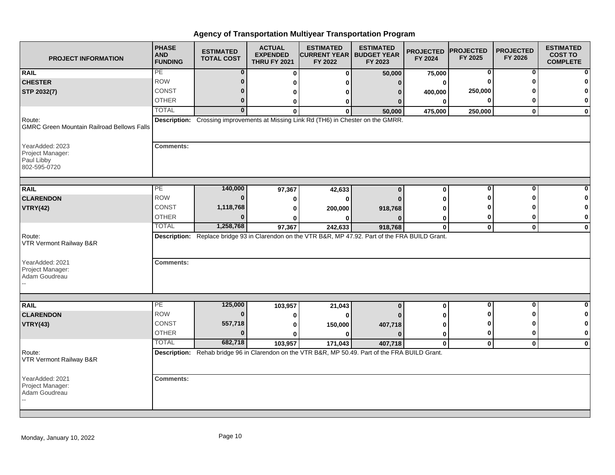| <b>PROJECT INFORMATION</b>                                        | <b>PHASE</b><br><b>AND</b><br><b>FUNDING</b> | <b>ESTIMATED</b><br><b>TOTAL COST</b> | <b>ACTUAL</b><br><b>EXPENDED</b><br><b>THRU FY 2021</b> | <b>ESTIMATED</b><br><b>CURRENT YEAR   BUDGET YEAR</b><br>FY 2022                                   | <b>ESTIMATED</b><br>FY 2023 | <b>PROJECTED</b><br>FY 2024 | <b>PROJECTED</b><br>FY 2025 | <b>PROJECTED</b><br>FY 2026 | <b>ESTIMATED</b><br><b>COST TO</b><br><b>COMPLETE</b> |
|-------------------------------------------------------------------|----------------------------------------------|---------------------------------------|---------------------------------------------------------|----------------------------------------------------------------------------------------------------|-----------------------------|-----------------------------|-----------------------------|-----------------------------|-------------------------------------------------------|
| <b>RAIL</b>                                                       | PE                                           | 0                                     | $\bf{0}$                                                | $\bf{0}$                                                                                           | 50,000                      | 75,000                      | 0                           | 0                           |                                                       |
| <b>CHESTER</b>                                                    | <b>ROW</b>                                   | $\bf{0}$                              | O                                                       | ŋ                                                                                                  | $\Omega$                    | 0                           |                             |                             |                                                       |
| STP 2032(7)                                                       | CONST                                        | $\bf{0}$                              | 0                                                       | o                                                                                                  | n                           | 400,000                     | 250,000                     |                             |                                                       |
|                                                                   | <b>OTHER</b>                                 | $\bf{0}$                              | 0                                                       | 0                                                                                                  | 0                           | 0                           | $\bf{0}$                    | o                           | $\bf{0}$                                              |
|                                                                   | <b>TOTAL</b>                                 | $\overline{\mathbf{0}}$               | $\bf{0}$                                                | $\bf{0}$                                                                                           | 50,000                      | 475,000                     | 250,000                     | $\mathbf{0}$                | $\mathbf 0$                                           |
| Route:<br><b>GMRC Green Mountain Railroad Bellows Falls</b>       |                                              |                                       |                                                         | Description: Crossing improvements at Missing Link Rd (TH6) in Chester on the GMRR.                |                             |                             |                             |                             |                                                       |
| YearAdded: 2023<br>Project Manager:<br>Paul Libby<br>802-595-0720 | <b>Comments:</b>                             |                                       |                                                         |                                                                                                    |                             |                             |                             |                             |                                                       |
| <b>RAIL</b>                                                       | PE                                           | 140,000                               | 97,367                                                  | 42,633                                                                                             | $\bf{0}$                    | 0                           | $\bf{0}$                    | 0                           |                                                       |
| <b>CLARENDON</b>                                                  | <b>ROW</b>                                   | $\bf{0}$                              | 0                                                       | 0                                                                                                  |                             | ŋ                           | n                           | ŋ                           |                                                       |
| <b>VTRY(42)</b>                                                   | CONST                                        | 1,118,768                             | 0                                                       | 200,000                                                                                            | 918,768                     | ŋ                           |                             |                             | 0                                                     |
|                                                                   | <b>OTHER</b>                                 | 0                                     |                                                         | ŋ                                                                                                  |                             | 0                           | 0                           | 0                           | 0                                                     |
|                                                                   | <b>TOTAL</b>                                 | 1,258,768                             | 97,367                                                  | 242,633                                                                                            | 918,768                     | $\mathbf 0$                 | $\mathbf{0}$                | $\mathbf 0$                 | $\mathbf 0$                                           |
| Route:<br>VTR Vermont Railway B&R                                 |                                              |                                       |                                                         | Description: Replace bridge 93 in Clarendon on the VTR B&R, MP 47.92. Part of the FRA BUILD Grant. |                             |                             |                             |                             |                                                       |
| YearAdded: 2021<br>Project Manager:<br>Adam Goudreau              | <b>Comments:</b>                             |                                       |                                                         |                                                                                                    |                             |                             |                             |                             |                                                       |
| <b>RAIL</b>                                                       | PE                                           | 125,000                               |                                                         |                                                                                                    |                             |                             | 0                           | $\bf{0}$                    | $\bf{0}$                                              |
| <b>CLARENDON</b>                                                  | <b>ROW</b>                                   | $\bf{0}$                              | 103,957<br>O                                            | 21,043<br>$\bf{0}$                                                                                 | $\bf{0}$                    | 0                           |                             | ŋ                           | 0                                                     |
| <b>VTRY(43)</b>                                                   | <b>CONST</b>                                 | 557,718                               | 0                                                       | 150,000                                                                                            | 407,718                     | ŋ                           | 0                           | ŋ                           | 0                                                     |
|                                                                   | <b>OTHER</b>                                 | $\bf{0}$                              | 0                                                       | 0                                                                                                  | n                           | 0                           | 0                           | $\bf{0}$                    | $\mathbf 0$                                           |
|                                                                   | <b>TOTAL</b>                                 | 682,718                               | 103,957                                                 | 171,043                                                                                            | 407,718                     | 0                           | $\mathbf 0$                 | $\mathbf 0$                 | $\bf{0}$                                              |
| Route:<br>VTR Vermont Railway B&R                                 |                                              |                                       |                                                         | Description: Rehab bridge 96 in Clarendon on the VTR B&R, MP 50.49. Part of the FRA BUILD Grant.   |                             |                             |                             |                             |                                                       |
| YearAdded: 2021<br>Project Manager:<br>Adam Goudreau              | <b>Comments:</b>                             |                                       |                                                         |                                                                                                    |                             |                             |                             |                             |                                                       |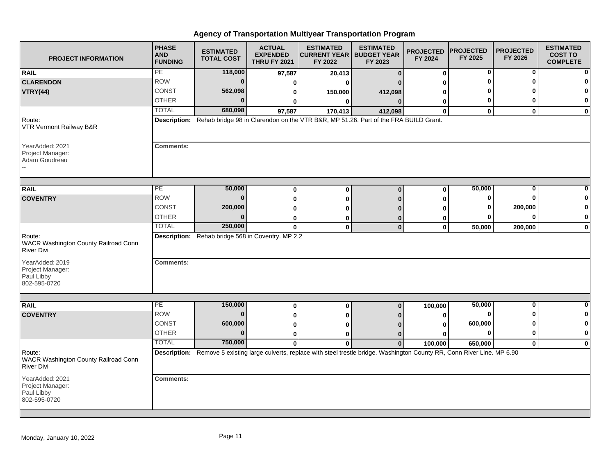| <b>PROJECT INFORMATION</b>                                          | <b>PHASE</b><br><b>AND</b><br><b>FUNDING</b> | <b>ESTIMATED</b><br><b>TOTAL COST</b>             | <b>ACTUAL</b><br><b>EXPENDED</b><br><b>THRU FY 2021</b> | <b>ESTIMATED</b><br><b>CURRENT YEAR   BUDGET YEAR</b><br>FY 2022                                                                 | <b>ESTIMATED</b><br>FY 2023 | <b>PROJECTED</b><br>FY 2024 | <b>PROJECTED</b><br>FY 2025 | <b>PROJECTED</b><br>FY 2026 | <b>ESTIMATED</b><br><b>COST TO</b><br><b>COMPLETE</b> |
|---------------------------------------------------------------------|----------------------------------------------|---------------------------------------------------|---------------------------------------------------------|----------------------------------------------------------------------------------------------------------------------------------|-----------------------------|-----------------------------|-----------------------------|-----------------------------|-------------------------------------------------------|
| <b>RAIL</b>                                                         | PE                                           | 118,000                                           | 97,587                                                  | 20,413                                                                                                                           | $\mathbf{0}$                | $\bf{0}$                    | 0                           | 0                           |                                                       |
| <b>CLARENDON</b>                                                    | <b>ROW</b>                                   | $\bf{0}$                                          | 0                                                       | ŋ                                                                                                                                |                             | 0                           | ŋ                           | ŋ                           |                                                       |
| <b>VTRY(44)</b>                                                     | <b>CONST</b>                                 | 562,098                                           | 0                                                       | 150,000                                                                                                                          | 412,098                     | 0                           |                             |                             |                                                       |
|                                                                     | <b>OTHER</b>                                 | 0                                                 | 0                                                       | 0                                                                                                                                | $\Omega$                    | 0                           | 0                           | 0                           | 0                                                     |
|                                                                     | <b>TOTAL</b>                                 | 680,098                                           | 97,587                                                  | 170,413                                                                                                                          | 412,098                     | $\mathbf{0}$                | $\mathbf{0}$                | $\bf{0}$                    | $\mathbf 0$                                           |
| Route:<br>VTR Vermont Railway B&R                                   |                                              |                                                   |                                                         | Description: Rehab bridge 98 in Clarendon on the VTR B&R, MP 51.26. Part of the FRA BUILD Grant.                                 |                             |                             |                             |                             |                                                       |
| YearAdded: 2021<br>Project Manager:<br>Adam Goudreau                | <b>Comments:</b>                             |                                                   |                                                         |                                                                                                                                  |                             |                             |                             |                             |                                                       |
| <b>RAIL</b>                                                         | $\overline{PE}$                              | 50,000                                            |                                                         |                                                                                                                                  |                             |                             | 50,000                      | $\mathbf 0$                 |                                                       |
| <b>COVENTRY</b>                                                     | <b>ROW</b>                                   | $\bf{0}$                                          | $\bf{0}$                                                | $\bf{0}$                                                                                                                         | $\bf{0}$                    | $\bf{0}$                    | 0                           | U                           |                                                       |
|                                                                     | CONST                                        | 200,000                                           | 0                                                       | 0                                                                                                                                | n                           | 0                           | 0                           | 200,000                     |                                                       |
|                                                                     | <b>OTHER</b>                                 | 0                                                 | 0                                                       | 0                                                                                                                                |                             | ŋ                           | 0                           | $\bf{0}$                    | 0                                                     |
|                                                                     | <b>TOTAL</b>                                 | 250,000                                           | 0<br>$\mathbf{0}$                                       | 0<br>$\mathbf{0}$                                                                                                                | $\Omega$<br>$\bf{0}$        | 0<br>$\mathbf 0$            | 50,000                      | 200,000                     | $\mathbf 0$                                           |
| Route:<br>WACR Washington County Railroad Conn<br><b>River Divi</b> |                                              | Description: Rehab bridge 568 in Coventry. MP 2.2 |                                                         |                                                                                                                                  |                             |                             |                             |                             |                                                       |
| YearAdded: 2019<br>Project Manager:<br>Paul Libby<br>802-595-0720   | <b>Comments:</b>                             |                                                   |                                                         |                                                                                                                                  |                             |                             |                             |                             |                                                       |
|                                                                     |                                              |                                                   |                                                         |                                                                                                                                  |                             |                             |                             |                             |                                                       |
| <b>RAIL</b>                                                         | PE                                           | 150,000                                           | $\bf{0}$                                                | 0                                                                                                                                | $\bf{0}$                    | 100,000                     | 50,000                      | $\bf{0}$                    | $\bf{0}$                                              |
| <b>COVENTRY</b>                                                     | <b>ROW</b>                                   | $\bf{0}$                                          | 0                                                       | 0                                                                                                                                |                             | 0                           | $\bf{0}$                    | U                           |                                                       |
|                                                                     | <b>CONST</b>                                 | 600,000                                           | 0                                                       | ŋ                                                                                                                                |                             | 0                           | 600,000                     | ŋ                           |                                                       |
|                                                                     | <b>OTHER</b>                                 | $\bf{0}$                                          | 0                                                       | 0                                                                                                                                | $\Omega$                    | O                           | 0                           | 0                           | $\mathbf 0$                                           |
|                                                                     | <b>TOTAL</b>                                 | 750,000                                           | $\mathbf{0}$                                            | $\mathbf{0}$                                                                                                                     | $\Omega$                    | 100,000                     | 650,000                     | $\mathbf{0}$                | $\bf{0}$                                              |
| Route:<br>WACR Washington County Railroad Conn<br><b>River Divi</b> |                                              |                                                   |                                                         | Description: Remove 5 existing large culverts, replace with steel trestle bridge. Washington County RR, Conn River Line. MP 6.90 |                             |                             |                             |                             |                                                       |
| YearAdded: 2021<br>Project Manager:<br>Paul Libby<br>802-595-0720   | <b>Comments:</b>                             |                                                   |                                                         |                                                                                                                                  |                             |                             |                             |                             |                                                       |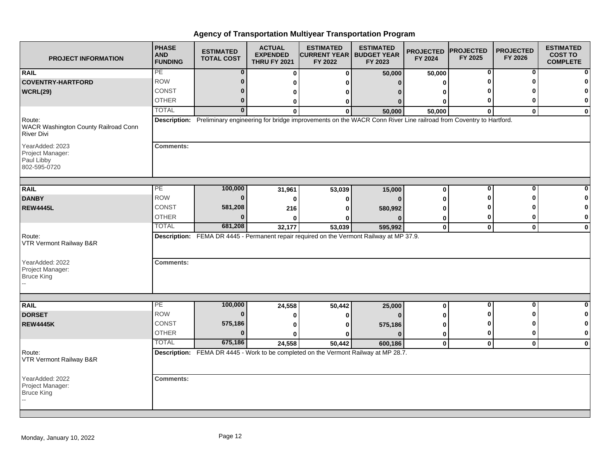| <b>PROJECT INFORMATION</b>                                          | <b>PHASE</b><br><b>AND</b><br><b>FUNDING</b> | <b>ESTIMATED</b><br><b>TOTAL COST</b> | <b>ACTUAL</b><br><b>EXPENDED</b><br><b>THRU FY 2021</b> | <b>ESTIMATED</b><br><b>CURRENT YEAR</b><br>FY 2022 | <b>ESTIMATED</b><br><b>BUDGET YEAR</b><br>FY 2023                                                                            | <b>PROJECTED</b><br>FY 2024 | <b>PROJECTED</b><br>FY 2025 | <b>PROJECTED</b><br>FY 2026 | <b>ESTIMATED</b><br><b>COST TO</b><br><b>COMPLETE</b> |
|---------------------------------------------------------------------|----------------------------------------------|---------------------------------------|---------------------------------------------------------|----------------------------------------------------|------------------------------------------------------------------------------------------------------------------------------|-----------------------------|-----------------------------|-----------------------------|-------------------------------------------------------|
| <b>RAIL</b>                                                         | PE                                           | 0                                     | O                                                       | $\Omega$                                           | 50,000                                                                                                                       | 50,000                      | 0                           | 0                           |                                                       |
| <b>COVENTRY-HARTFORD</b>                                            | <b>ROW</b>                                   | 0                                     |                                                         |                                                    | 0                                                                                                                            |                             |                             | O                           |                                                       |
| WCRL(29)                                                            | CONST                                        |                                       | o                                                       |                                                    |                                                                                                                              |                             |                             |                             |                                                       |
|                                                                     | <b>OTHER</b>                                 | 0                                     | 0                                                       | O                                                  |                                                                                                                              |                             |                             | 0                           | 0                                                     |
|                                                                     | <b>TOTAL</b>                                 | $\mathbf{0}$                          | O                                                       | $\Omega$                                           | 50,000                                                                                                                       | 50,000                      | $\bf{0}$                    | $\mathbf{0}$                | $\bf{0}$                                              |
| Route:<br>WACR Washington County Railroad Conn<br><b>River Divi</b> |                                              |                                       |                                                         |                                                    | Description: Preliminary engineering for bridge improvements on the WACR Conn River Line railroad from Coventry to Hartford. |                             |                             |                             |                                                       |
| YearAdded: 2023<br>Project Manager:<br>Paul Libby<br>802-595-0720   | <b>Comments:</b>                             |                                       |                                                         |                                                    |                                                                                                                              |                             |                             |                             |                                                       |
| <b>RAIL</b>                                                         | PE                                           | 100,000                               | 31,961                                                  | 53,039                                             | 15,000                                                                                                                       | $\bf{0}$                    | 0                           | $\mathbf 0$                 |                                                       |
| <b>DANBY</b>                                                        | <b>ROW</b>                                   |                                       | 0                                                       |                                                    | $\Omega$                                                                                                                     |                             |                             | O                           |                                                       |
| <b>REW4445L</b>                                                     | CONST                                        | 581,208                               | 216                                                     |                                                    | 580,992                                                                                                                      |                             |                             |                             | ŋ                                                     |
|                                                                     | <b>OTHER</b>                                 |                                       |                                                         |                                                    |                                                                                                                              | 0                           | 0                           | 0                           | 0                                                     |
|                                                                     | <b>TOTAL</b>                                 | 681,208                               | 32,177                                                  | 53,039                                             | 595,992                                                                                                                      | $\mathbf 0$                 | $\mathbf{0}$                | $\mathbf 0$                 | $\mathbf{0}$                                          |
| Route:<br>VTR Vermont Railway B&R<br>YearAdded: 2022                | <b>Comments:</b>                             |                                       |                                                         |                                                    | Description: FEMA DR 4445 - Permanent repair required on the Vermont Railway at MP 37.9.                                     |                             |                             |                             |                                                       |
| Project Manager:<br><b>Bruce King</b>                               |                                              |                                       |                                                         |                                                    |                                                                                                                              |                             |                             |                             |                                                       |
| <b>RAIL</b>                                                         | PE                                           | 100,000                               | 24,558                                                  | 50,442                                             | 25,000                                                                                                                       | $\bf{0}$                    | 0                           | $\mathbf 0$                 | O                                                     |
| <b>DORSET</b>                                                       | <b>ROW</b>                                   | U                                     |                                                         |                                                    | $\Omega$                                                                                                                     |                             |                             | O                           | 0                                                     |
| <b>REW4445K</b>                                                     | CONST                                        | 575,186                               |                                                         |                                                    | 575,186                                                                                                                      |                             |                             | O                           |                                                       |
|                                                                     | <b>OTHER</b>                                 |                                       |                                                         |                                                    | $\Omega$                                                                                                                     | 0                           | 0                           | 0                           | 0                                                     |
|                                                                     | <b>TOTAL</b>                                 | 675,186                               | 24,558                                                  | 50,442                                             | 600,186                                                                                                                      | $\mathbf 0$                 | $\mathbf{0}$                | $\mathbf 0$                 | $\Omega$                                              |
| Route:<br>VTR Vermont Railway B&R                                   |                                              |                                       |                                                         |                                                    | Description: FEMA DR 4445 - Work to be completed on the Vermont Railway at MP 28.7.                                          |                             |                             |                             |                                                       |
| YearAdded: 2022<br>Project Manager:<br><b>Bruce King</b>            | <b>Comments:</b>                             |                                       |                                                         |                                                    |                                                                                                                              |                             |                             |                             |                                                       |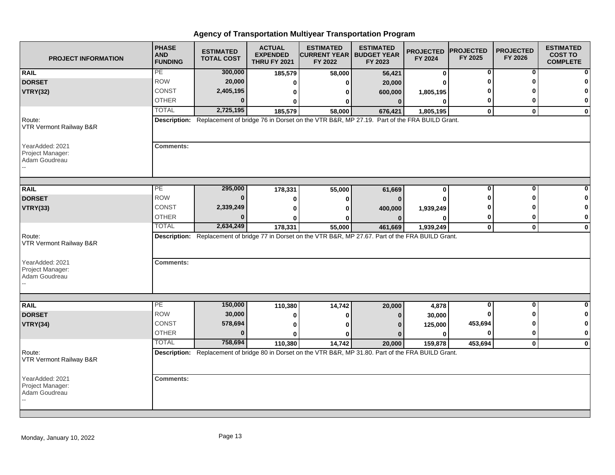| <b>PROJECT INFORMATION</b>                           | <b>PHASE</b><br><b>AND</b><br><b>FUNDING</b> | <b>ESTIMATED</b><br><b>TOTAL COST</b> | <b>ACTUAL</b><br><b>EXPENDED</b><br><b>THRU FY 2021</b> | <b>ESTIMATED</b><br><b>CURRENT YEAR   BUDGET YEAR</b><br>FY 2022                                       | <b>ESTIMATED</b><br>FY 2023 | <b>PROJECTED</b><br>FY 2024 | <b>PROJECTED</b><br>FY 2025 | <b>PROJECTED</b><br>FY 2026 | <b>ESTIMATED</b><br><b>COST TO</b><br><b>COMPLETE</b> |
|------------------------------------------------------|----------------------------------------------|---------------------------------------|---------------------------------------------------------|--------------------------------------------------------------------------------------------------------|-----------------------------|-----------------------------|-----------------------------|-----------------------------|-------------------------------------------------------|
| <b>RAIL</b>                                          | PE                                           | 300,000                               | 185,579                                                 | 58,000                                                                                                 | 56,421                      | $\mathbf 0$                 | 0                           | 0                           |                                                       |
| <b>DORSET</b>                                        | <b>ROW</b>                                   | 20,000                                | O                                                       | O                                                                                                      | 20,000                      | ŋ                           |                             | ŋ                           |                                                       |
| <b>VTRY(32)</b>                                      | CONST                                        | 2,405,195                             | 0                                                       | 0                                                                                                      | 600,000                     | 1,805,195                   |                             |                             |                                                       |
|                                                      | <b>OTHER</b>                                 | U                                     | 0                                                       | 0                                                                                                      | $\bf{0}$                    | 0                           | 0                           | ŋ                           | 0                                                     |
|                                                      | <b>TOTAL</b>                                 | 2,725,195                             | 185,579                                                 | 58,000                                                                                                 | 676,421                     | 1,805,195                   | $\mathbf 0$                 | $\mathbf{0}$                | $\mathbf 0$                                           |
| Route:<br>VTR Vermont Railway B&R                    |                                              |                                       |                                                         | Description: Replacement of bridge 76 in Dorset on the VTR B&R, MP 27.19. Part of the FRA BUILD Grant. |                             |                             |                             |                             |                                                       |
| YearAdded: 2021<br>Project Manager:<br>Adam Goudreau | <b>Comments:</b>                             |                                       |                                                         |                                                                                                        |                             |                             |                             |                             |                                                       |
| <b>RAIL</b>                                          | PE                                           | 295,000                               | 178,331                                                 | 55,000                                                                                                 | 61,669                      | 0                           | 0                           | 0                           |                                                       |
| <b>DORSET</b>                                        | <b>ROW</b>                                   | 0                                     | 0                                                       | 0                                                                                                      | $\Omega$                    | ŋ                           |                             |                             |                                                       |
| <b>VTRY(33)</b>                                      | <b>CONST</b>                                 | 2,339,249                             | $\bf{0}$                                                | ŋ                                                                                                      | 400,000                     | 1,939,249                   |                             |                             | O                                                     |
|                                                      | <b>OTHER</b>                                 | U                                     |                                                         | 0                                                                                                      | $\Omega$                    | 0                           | 0                           | ŋ                           | 0                                                     |
|                                                      | <b>TOTAL</b>                                 | 2,634,249                             | 178,331                                                 | 55,000                                                                                                 | 461,669                     | 1,939,249                   | $\mathbf 0$                 | $\mathbf 0$                 | $\mathbf 0$                                           |
| Route:<br>VTR Vermont Railway B&R                    |                                              |                                       |                                                         | Description: Replacement of bridge 77 in Dorset on the VTR B&R, MP 27.67. Part of the FRA BUILD Grant. |                             |                             |                             |                             |                                                       |
| YearAdded: 2021<br>Project Manager:<br>Adam Goudreau | <b>Comments:</b>                             |                                       |                                                         |                                                                                                        |                             |                             |                             |                             |                                                       |
|                                                      | PE                                           | 150,000                               |                                                         |                                                                                                        |                             |                             | 0                           | 0                           | ŋ                                                     |
| <b>RAIL</b><br><b>DORSET</b>                         | <b>ROW</b>                                   | 30,000                                | 110,380<br>0                                            | 14,742                                                                                                 | 20,000<br>$\Omega$          | 4,878                       |                             | ∩                           | 0                                                     |
| <b>VTRY(34)</b>                                      | <b>CONST</b>                                 | 578,694                               | 0                                                       | 0<br>O                                                                                                 |                             | 30,000                      | 453,694                     | ŋ                           | 0                                                     |
|                                                      | <b>OTHER</b>                                 | $\bf{0}$                              | $\bf{0}$                                                | ŋ                                                                                                      |                             | 125,000<br>$\bf{0}$         | $\bf{0}$                    | 0                           | $\mathbf{0}$                                          |
|                                                      | <b>TOTAL</b>                                 | 758,694                               | 110,380                                                 | 14,742                                                                                                 | 20,000                      | 159,878                     | 453,694                     | $\mathbf 0$                 | $\mathbf{0}$                                          |
| Route:<br>VTR Vermont Railway B&R                    |                                              |                                       |                                                         | Description: Replacement of bridge 80 in Dorset on the VTR B&R, MP 31.80. Part of the FRA BUILD Grant. |                             |                             |                             |                             |                                                       |
| YearAdded: 2021<br>Project Manager:<br>Adam Goudreau | <b>Comments:</b>                             |                                       |                                                         |                                                                                                        |                             |                             |                             |                             |                                                       |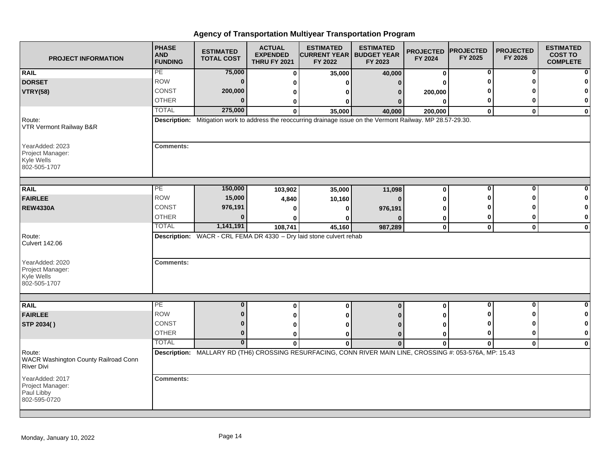| <b>PROJECT INFORMATION</b>                                          | <b>PHASE</b><br><b>AND</b><br><b>FUNDING</b> | <b>ESTIMATED</b><br><b>TOTAL COST</b> | <b>ACTUAL</b><br><b>EXPENDED</b><br><b>THRU FY 2021</b> | <b>ESTIMATED</b><br><b>CURRENT YEAR   BUDGET YEAR</b><br>FY 2022                                                          | <b>ESTIMATED</b><br>FY 2023 | <b>PROJECTED</b><br>FY 2024 | <b>PROJECTED</b><br>FY 2025 | <b>PROJECTED</b><br>FY 2026 | <b>ESTIMATED</b><br><b>COST TO</b><br><b>COMPLETE</b> |
|---------------------------------------------------------------------|----------------------------------------------|---------------------------------------|---------------------------------------------------------|---------------------------------------------------------------------------------------------------------------------------|-----------------------------|-----------------------------|-----------------------------|-----------------------------|-------------------------------------------------------|
| <b>RAIL</b>                                                         | PE                                           | 75,000                                | $\bf{0}$                                                | 35,000                                                                                                                    | 40,000                      | $\bf{0}$                    | 0                           | 0                           |                                                       |
| <b>DORSET</b>                                                       | <b>ROW</b>                                   | $\mathbf{0}$                          | n                                                       | O                                                                                                                         | 0                           |                             |                             | ŋ                           |                                                       |
| <b>VTRY(58)</b>                                                     | <b>CONST</b>                                 | 200,000                               | 0                                                       | O                                                                                                                         | 0                           | 200,000                     |                             |                             |                                                       |
|                                                                     | <b>OTHER</b>                                 | 0                                     | 0                                                       | 0                                                                                                                         | 0                           | $\mathbf{0}$                | 0                           | ŋ                           | 0                                                     |
|                                                                     | <b>TOTAL</b>                                 | 275,000                               | $\Omega$                                                | 35,000                                                                                                                    | 40,000                      | 200,000                     | $\bf{0}$                    | $\bf{0}$                    | $\mathbf 0$                                           |
| Route:<br>VTR Vermont Railway B&R                                   |                                              |                                       |                                                         | Description: Mitigation work to address the reoccurring drainage issue on the Vermont Railway. MP 28.57-29.30.            |                             |                             |                             |                             |                                                       |
| YearAdded: 2023<br>Project Manager:<br>Kyle Wells<br>802-505-1707   | <b>Comments:</b>                             |                                       |                                                         |                                                                                                                           |                             |                             |                             |                             |                                                       |
| <b>RAIL</b>                                                         | PE                                           | 150,000                               | 103,902                                                 | 35,000                                                                                                                    | 11,098                      | $\bf{0}$                    | $\bf{0}$                    | 0                           |                                                       |
| <b>FAIRLEE</b>                                                      | <b>ROW</b>                                   | 15,000                                | 4,840                                                   | 10,160                                                                                                                    | $\bf{0}$                    | Λ                           |                             | O                           |                                                       |
| <b>REW4330A</b>                                                     | CONST                                        | 976,191                               |                                                         | 0                                                                                                                         | 976,191                     | ŋ                           |                             |                             | n                                                     |
|                                                                     | <b>OTHER</b>                                 |                                       |                                                         | O                                                                                                                         |                             | 0                           | 0                           | 0                           | 0                                                     |
|                                                                     | <b>TOTAL</b>                                 | 1,141,191                             | 108,741                                                 | 45,160                                                                                                                    | 987,289                     | $\mathbf 0$                 | $\mathbf 0$                 | $\mathbf 0$                 | $\mathbf 0$                                           |
| Route:<br><b>Culvert 142.06</b>                                     |                                              |                                       |                                                         | <b>Description:</b> WACR - CRL FEMA DR 4330 - Dry laid stone culvert rehab                                                |                             |                             |                             |                             |                                                       |
| YearAdded: 2020<br>Project Manager:<br>Kyle Wells<br>802-505-1707   | <b>Comments:</b>                             |                                       |                                                         |                                                                                                                           |                             |                             |                             |                             |                                                       |
|                                                                     |                                              |                                       |                                                         |                                                                                                                           |                             |                             |                             |                             |                                                       |
| <b>RAIL</b>                                                         | PE                                           | 0                                     | $\bf{0}$                                                | $\mathbf 0$                                                                                                               | $\bf{0}$                    | $\mathbf{0}$                | $\bf{0}$                    | $\bf{0}$                    | $\bf{0}$                                              |
| <b>FAIRLEE</b>                                                      | <b>ROW</b>                                   | $\mathbf{0}$                          | 0                                                       | O                                                                                                                         |                             |                             |                             | n                           | 0                                                     |
| STP 2034()                                                          | <b>CONST</b>                                 | 0                                     | 0                                                       | O                                                                                                                         |                             | ŋ                           |                             | n                           | 0                                                     |
|                                                                     | <b>OTHER</b>                                 | $\mathbf{0}$                          | 0                                                       | 0                                                                                                                         | $\Omega$                    | 0                           | 0                           | 0                           | 0                                                     |
| Route:<br>WACR Washington County Railroad Conn<br><b>River Divi</b> | <b>TOTAL</b>                                 | $\bf{0}$                              | $\mathbf{0}$                                            | $\mathbf{0}$<br>Description: MALLARY RD (TH6) CROSSING RESURFACING, CONN RIVER MAIN LINE, CROSSING #: 053-576A, MP: 15.43 | $\mathbf 0$                 | $\mathbf 0$                 | $\mathbf{0}$                | $\mathbf{0}$                | $\mathbf 0$                                           |
| YearAdded: 2017<br>Project Manager:<br>Paul Libby<br>802-595-0720   | <b>Comments:</b>                             |                                       |                                                         |                                                                                                                           |                             |                             |                             |                             |                                                       |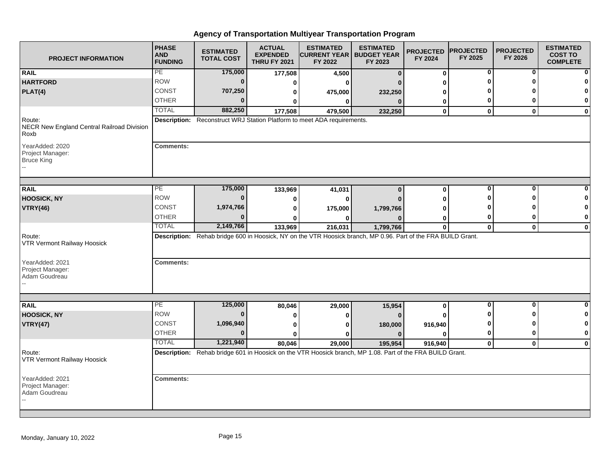| <b>PROJECT INFORMATION</b>                                   | <b>PHASE</b><br><b>AND</b><br><b>FUNDING</b> | <b>ESTIMATED</b><br><b>TOTAL COST</b> | <b>ACTUAL</b><br><b>EXPENDED</b><br><b>THRU FY 2021</b> | <b>ESTIMATED</b><br><b>CURRENT YEAR   BUDGET YEAR</b><br>FY 2022                                              | <b>ESTIMATED</b><br>FY 2023 | <b>PROJECTED</b><br>FY 2024 | <b>PROJECTED</b><br>FY 2025 | <b>PROJECTED</b><br>FY 2026 | <b>ESTIMATED</b><br><b>COST TO</b><br><b>COMPLETE</b> |
|--------------------------------------------------------------|----------------------------------------------|---------------------------------------|---------------------------------------------------------|---------------------------------------------------------------------------------------------------------------|-----------------------------|-----------------------------|-----------------------------|-----------------------------|-------------------------------------------------------|
| <b>RAIL</b>                                                  | PE                                           | 175,000                               | 177,508                                                 | 4,500                                                                                                         | $\bf{0}$                    | $\bf{0}$                    | 0                           | 0                           |                                                       |
| <b>HARTFORD</b>                                              | <b>ROW</b>                                   | $\mathbf{0}$                          | 0                                                       | $\bf{0}$                                                                                                      |                             | ŋ                           |                             |                             |                                                       |
| PLAT(4)                                                      | <b>CONST</b>                                 | 707,250                               | 0                                                       | 475,000                                                                                                       | 232,250                     |                             |                             |                             |                                                       |
|                                                              | <b>OTHER</b>                                 | 0                                     | 0                                                       | 0                                                                                                             | $\Omega$                    | 0                           | 0                           | ŋ                           | 0                                                     |
|                                                              | <b>TOTAL</b>                                 | 882,250                               | 177,508                                                 | 479,500                                                                                                       | 232,250                     | $\mathbf{0}$                | $\mathbf{0}$                | $\mathbf{0}$                | $\mathbf 0$                                           |
| Route:<br>NECR New England Central Railroad Division<br>Roxb |                                              |                                       |                                                         | Description: Reconstruct WRJ Station Platform to meet ADA requirements.                                       |                             |                             |                             |                             |                                                       |
| YearAdded: 2020<br>Project Manager:<br><b>Bruce King</b>     | <b>Comments:</b>                             |                                       |                                                         |                                                                                                               |                             |                             |                             |                             |                                                       |
| <b>RAIL</b>                                                  | PE                                           | 175,000                               | 133,969                                                 | 41,031                                                                                                        | $\bf{0}$                    | $\bf{0}$                    | 0                           | $\bf{0}$                    |                                                       |
| <b>HOOSICK, NY</b>                                           | <b>ROW</b>                                   | $\bf{0}$                              | 0                                                       | 0                                                                                                             |                             | ŋ                           |                             | ŋ                           |                                                       |
| <b>VTRY(46)</b>                                              | CONST                                        | 1,974,766                             | 0                                                       | 175,000                                                                                                       | 1,799,766                   |                             |                             |                             | n                                                     |
|                                                              | <b>OTHER</b>                                 | $\bf{0}$                              | ŋ                                                       | ŋ                                                                                                             |                             | 0                           | 0                           | 0                           | 0                                                     |
|                                                              | <b>TOTAL</b>                                 | 2,149,766                             | 133,969                                                 | 216,031                                                                                                       | 1,799,766                   | $\mathbf 0$                 | $\mathbf{0}$                | $\mathbf 0$                 | $\mathbf 0$                                           |
| Route:<br>VTR Vermont Railway Hoosick                        |                                              |                                       |                                                         | Description: Rehab bridge 600 in Hoosick, NY on the VTR Hoosick branch, MP 0.96. Part of the FRA BUILD Grant. |                             |                             |                             |                             |                                                       |
| YearAdded: 2021<br>Project Manager:<br>Adam Goudreau         | <b>Comments:</b>                             |                                       |                                                         |                                                                                                               |                             |                             |                             |                             |                                                       |
|                                                              |                                              |                                       |                                                         |                                                                                                               |                             |                             |                             |                             |                                                       |
| <b>RAIL</b>                                                  | PE                                           | 125,000                               | 80,046                                                  | 29,000                                                                                                        | 15,954                      | $\mathbf{0}$                | $\bf{0}$                    | $\bf{0}$                    | $\bf{0}$                                              |
| <b>HOOSICK, NY</b>                                           | <b>ROW</b>                                   | $\bf{0}$                              | 0                                                       | 0                                                                                                             | $\Omega$                    |                             |                             | ŋ                           | 0                                                     |
| <b>VTRY(47)</b>                                              | <b>CONST</b>                                 | 1,096,940                             | 0                                                       | 0                                                                                                             | 180,000                     | 916,940                     | n                           | ŋ                           | 0                                                     |
|                                                              | <b>OTHER</b>                                 | $\bf{0}$                              | $\bf{0}$                                                | 0                                                                                                             | $\mathbf{0}$                | $\bf{0}$                    | 0                           | 0                           | 0                                                     |
|                                                              | <b>TOTAL</b>                                 | 1,221,940                             | 80,046                                                  | 29,000                                                                                                        | 195,954                     | 916,940                     | $\mathbf{0}$                | $\mathbf 0$                 | $\mathbf{0}$                                          |
| Route:<br>VTR Vermont Railway Hoosick                        |                                              |                                       |                                                         | Description: Rehab bridge 601 in Hoosick on the VTR Hoosick branch, MP 1.08. Part of the FRA BUILD Grant.     |                             |                             |                             |                             |                                                       |
| YearAdded: 2021<br>Project Manager:<br>Adam Goudreau         | <b>Comments:</b>                             |                                       |                                                         |                                                                                                               |                             |                             |                             |                             |                                                       |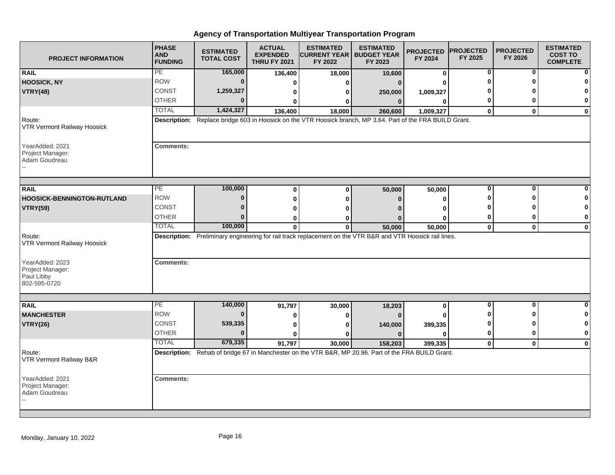| <b>PROJECT INFORMATION</b>                                        | <b>PHASE</b><br><b>AND</b><br><b>FUNDING</b> | <b>ESTIMATED</b><br><b>TOTAL COST</b> | <b>ACTUAL</b><br><b>EXPENDED</b><br><b>THRU FY 2021</b> | <b>ESTIMATED</b><br><b>CURRENT YEAR   BUDGET YEAR</b><br>FY 2022                                            | <b>ESTIMATED</b><br>FY 2023 | <b>PROJECTED</b><br>FY 2024 | <b>PROJECTED</b><br>FY 2025 | <b>PROJECTED</b><br>FY 2026 | <b>ESTIMATED</b><br><b>COST TO</b><br><b>COMPLETE</b> |
|-------------------------------------------------------------------|----------------------------------------------|---------------------------------------|---------------------------------------------------------|-------------------------------------------------------------------------------------------------------------|-----------------------------|-----------------------------|-----------------------------|-----------------------------|-------------------------------------------------------|
| <b>RAIL</b>                                                       | PE                                           | 165,000                               | 136,400                                                 | 18,000                                                                                                      | 10,600                      | 0                           | 0                           | 0                           |                                                       |
| <b>HOOSICK, NY</b>                                                | <b>ROW</b>                                   | $\bf{0}$                              | ŋ                                                       | ŋ                                                                                                           | $\Omega$                    |                             |                             |                             |                                                       |
| <b>VTRY(48)</b>                                                   | CONST                                        | 1,259,327                             | 0                                                       | 0                                                                                                           | 250,000                     | 1,009,327                   |                             |                             |                                                       |
|                                                                   | <b>OTHER</b>                                 | U                                     | 0                                                       | 0                                                                                                           | $\bf{0}$                    | 0                           | 0                           | n                           | 0                                                     |
|                                                                   | <b>TOTAL</b>                                 | 1,424,327                             | 136,400                                                 | 18,000                                                                                                      | 260,600                     | 1,009,327                   | $\mathbf 0$                 | $\mathbf{0}$                | 0                                                     |
| Route:<br><b>VTR Vermont Railway Hoosick</b>                      |                                              |                                       |                                                         | Description: Replace bridge 603 in Hoosick on the VTR Hoosick branch, MP 3.64. Part of the FRA BUILD Grant. |                             |                             |                             |                             |                                                       |
| YearAdded: 2021<br>Project Manager:<br>Adam Goudreau              | Comments:                                    |                                       |                                                         |                                                                                                             |                             |                             |                             |                             |                                                       |
| <b>RAIL</b>                                                       | PE                                           | 100,000                               | $\bf{0}$                                                | $\bf{0}$                                                                                                    | 50,000                      | 50,000                      | 0                           | 0                           |                                                       |
| <b>HOOSICK-BENNINGTON-RUTLAND</b>                                 | <b>ROW</b>                                   | $\bf{0}$                              | $\bf{0}$                                                | $\bf{0}$                                                                                                    | $\Omega$                    | 0                           |                             | ŋ                           |                                                       |
| <b>VTRY(59)</b>                                                   | <b>CONST</b>                                 | 0                                     | O                                                       |                                                                                                             |                             | ŋ                           |                             |                             | O                                                     |
|                                                                   | <b>OTHER</b>                                 | $\bf{0}$                              | 0                                                       | O                                                                                                           |                             | 0                           | 0                           | 0                           | 0                                                     |
|                                                                   | <b>TOTAL</b>                                 | 100,000                               | $\mathbf 0$                                             | 0                                                                                                           | 50,000                      | 50,000                      | $\mathbf 0$                 | $\mathbf 0$                 | $\mathbf 0$                                           |
| Route:<br><b>VTR Vermont Railway Hoosick</b>                      |                                              |                                       |                                                         | Description: Preliminary engineering for rail track replacement on the VTR B&R and VTR Hoosick rail lines.  |                             |                             |                             |                             |                                                       |
| YearAdded: 2023<br>Project Manager:<br>Paul Libby<br>802-595-0720 | <b>Comments:</b>                             |                                       |                                                         |                                                                                                             |                             |                             |                             |                             |                                                       |
|                                                                   |                                              |                                       |                                                         |                                                                                                             |                             |                             |                             |                             |                                                       |
| <b>RAIL</b>                                                       | PE                                           | 140,000                               | 91,797                                                  | 30,000                                                                                                      | 18,203                      | 0                           | $\bf{0}$                    | $\bf{0}$                    | <sup>0</sup>                                          |
| <b>MANCHESTER</b>                                                 | <b>ROW</b>                                   | $\bf{0}$                              |                                                         | 0                                                                                                           |                             |                             |                             | ŋ                           | 0                                                     |
| <b>VTRY(26)</b>                                                   | <b>CONST</b>                                 | 539,335                               | 0                                                       | ŋ                                                                                                           | 140,000                     | 399,335                     |                             | n                           | 0                                                     |
|                                                                   | <b>OTHER</b>                                 | $\bf{0}$                              | $\bf{0}$                                                | ŋ                                                                                                           | $\Omega$                    | $\bf{0}$                    | 0                           | $\bf{0}$                    | $\mathbf 0$                                           |
|                                                                   | <b>TOTAL</b>                                 | 679,335                               | 91,797                                                  | 30,000                                                                                                      | 158,203                     | 399,335                     | $\pmb{0}$                   | $\mathbf 0$                 | $\mathbf 0$                                           |
| Route:<br>VTR Vermont Railway B&R                                 |                                              |                                       |                                                         | Description: Rehab of bridge 67 in Manchester on the VTR B&R, MP 20.96. Part of the FRA BUILD Grant.        |                             |                             |                             |                             |                                                       |
| YearAdded: 2021<br>Project Manager:<br>Adam Goudreau              | <b>Comments:</b>                             |                                       |                                                         |                                                                                                             |                             |                             |                             |                             |                                                       |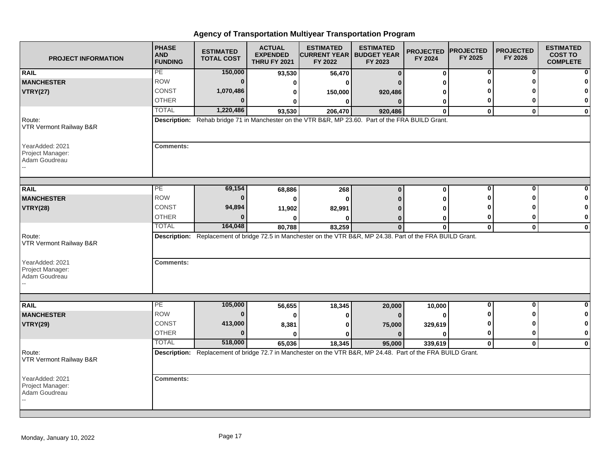| <b>PROJECT INFORMATION</b>                           | <b>PHASE</b><br><b>AND</b><br><b>FUNDING</b> | <b>ESTIMATED</b><br><b>TOTAL COST</b> | <b>ACTUAL</b><br><b>EXPENDED</b><br><b>THRU FY 2021</b> | <b>ESTIMATED</b><br><b>CURRENT YEAR   BUDGET YEAR</b><br>FY 2022                                             | <b>ESTIMATED</b><br>FY 2023 | <b>PROJECTED</b><br>FY 2024 | <b>PROJECTED</b><br>FY 2025 | <b>PROJECTED</b><br>FY 2026 | <b>ESTIMATED</b><br><b>COST TO</b><br><b>COMPLETE</b> |
|------------------------------------------------------|----------------------------------------------|---------------------------------------|---------------------------------------------------------|--------------------------------------------------------------------------------------------------------------|-----------------------------|-----------------------------|-----------------------------|-----------------------------|-------------------------------------------------------|
| <b>RAIL</b>                                          | PE                                           | 150,000                               | 93,530                                                  | 56,470                                                                                                       | $\bf{0}$                    | $\bf{0}$                    | 0                           | 0                           |                                                       |
| <b>MANCHESTER</b>                                    | <b>ROW</b>                                   | $\bf{0}$                              | 0                                                       | ŋ                                                                                                            |                             | ŋ                           |                             |                             |                                                       |
| <b>VTRY(27)</b>                                      | CONST                                        | 1,070,486                             | 0                                                       | 150,000                                                                                                      | 920,486                     |                             |                             |                             |                                                       |
|                                                      | <b>OTHER</b>                                 | U                                     | 0                                                       | $\bf{0}$                                                                                                     | $\mathbf{0}$                | 0                           | 0                           | ŋ                           | 0                                                     |
|                                                      | <b>TOTAL</b>                                 | 1,220,486                             | 93,530                                                  | 206,470                                                                                                      | 920,486                     | $\mathbf{0}$                | $\bf{0}$                    | $\mathbf{0}$                | $\mathbf 0$                                           |
| Route:<br>VTR Vermont Railway B&R                    |                                              |                                       |                                                         | Description: Rehab bridge 71 in Manchester on the VTR B&R, MP 23.60. Part of the FRA BUILD Grant.            |                             |                             |                             |                             |                                                       |
| YearAdded: 2021<br>Project Manager:<br>Adam Goudreau | <b>Comments:</b>                             |                                       |                                                         |                                                                                                              |                             |                             |                             |                             |                                                       |
| <b>RAIL</b>                                          | PE                                           | 69,154                                | 68,886                                                  | 268                                                                                                          | $\bf{0}$                    | 0                           | 0                           | 0                           |                                                       |
| <b>MANCHESTER</b>                                    | <b>ROW</b>                                   | $\bf{0}$                              | $\bf{0}$                                                | $\mathbf{0}$                                                                                                 |                             | ŋ                           | ŋ                           | ŋ                           |                                                       |
| <b>VTRY(28)</b>                                      | <b>CONST</b>                                 | 94,894                                | 11,902                                                  | 82,991                                                                                                       |                             |                             |                             |                             | 0                                                     |
|                                                      | <b>OTHER</b>                                 | $\bf{0}$                              | ŋ                                                       | ŋ                                                                                                            | $\Omega$                    | 0                           | 0                           | 0                           | 0                                                     |
|                                                      | <b>TOTAL</b>                                 | 164,048                               | 80,788                                                  | 83,259                                                                                                       | $\bf{0}$                    | $\mathbf 0$                 | $\mathbf 0$                 | $\mathbf 0$                 | $\mathbf 0$                                           |
| Route:<br>VTR Vermont Railway B&R                    |                                              |                                       |                                                         | Description: Replacement of bridge 72.5 in Manchester on the VTR B&R, MP 24.38. Part of the FRA BUILD Grant. |                             |                             |                             |                             |                                                       |
| YearAdded: 2021<br>Project Manager:<br>Adam Goudreau | <b>Comments:</b>                             |                                       |                                                         |                                                                                                              |                             |                             |                             |                             |                                                       |
|                                                      |                                              |                                       |                                                         |                                                                                                              |                             |                             |                             |                             |                                                       |
| <b>RAIL</b>                                          | PE                                           | 105,000                               | 56,655                                                  | 18,345                                                                                                       | 20,000                      | 10,000                      | $\overline{\mathbf{0}}$     | $\mathbf 0$                 | $\bf{0}$                                              |
| <b>MANCHESTER</b>                                    | <b>ROW</b>                                   | $\bf{0}$                              | 0                                                       | 0                                                                                                            | $\Omega$                    | $\bf{0}$                    |                             | ∩                           | 0                                                     |
| <b>VTRY(29)</b>                                      | <b>CONST</b>                                 | 413,000                               | 8,381                                                   | $\bf{0}$                                                                                                     | 75,000                      | 329,619                     |                             | ŋ                           | 0                                                     |
|                                                      | <b>OTHER</b>                                 | $\bf{0}$                              | $\bf{0}$                                                | ŋ                                                                                                            | $\Omega$                    | $\bf{0}$                    | 0                           | $\bf{0}$                    | $\bf{0}$                                              |
|                                                      | <b>TOTAL</b>                                 | 518,000                               | 65,036                                                  | 18,345                                                                                                       | 95,000                      | 339,619                     | $\mathbf{0}$                | $\mathbf 0$                 | $\mathbf 0$                                           |
| Route:<br>VTR Vermont Railway B&R                    |                                              |                                       |                                                         | Description: Replacement of bridge 72.7 in Manchester on the VTR B&R, MP 24.48. Part of the FRA BUILD Grant. |                             |                             |                             |                             |                                                       |
| YearAdded: 2021<br>Project Manager:<br>Adam Goudreau | <b>Comments:</b>                             |                                       |                                                         |                                                                                                              |                             |                             |                             |                             |                                                       |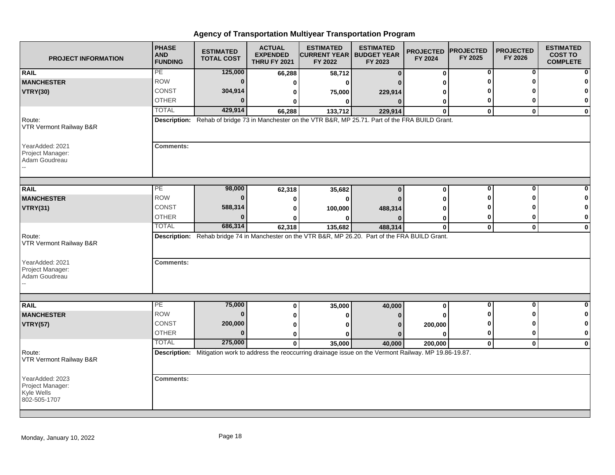| <b>PROJECT INFORMATION</b>                                        | <b>PHASE</b><br><b>AND</b><br><b>FUNDING</b> | <b>ESTIMATED</b><br><b>TOTAL COST</b> | <b>ACTUAL</b><br><b>EXPENDED</b><br><b>THRU FY 2021</b> | <b>ESTIMATED</b><br><b>CURRENT YEAR   BUDGET YEAR</b><br>FY 2022                                                         | <b>ESTIMATED</b><br>FY 2023 | <b>PROJECTED</b><br>FY 2024 | <b>PROJECTED</b><br>FY 2025 | <b>PROJECTED</b><br>FY 2026 | <b>ESTIMATED</b><br><b>COST TO</b><br><b>COMPLETE</b> |
|-------------------------------------------------------------------|----------------------------------------------|---------------------------------------|---------------------------------------------------------|--------------------------------------------------------------------------------------------------------------------------|-----------------------------|-----------------------------|-----------------------------|-----------------------------|-------------------------------------------------------|
| <b>RAIL</b>                                                       | PE                                           | 125,000                               | 66,288                                                  | 58,712                                                                                                                   | $\bf{0}$                    | 0                           | 0                           | 0                           |                                                       |
| <b>MANCHESTER</b>                                                 | <b>ROW</b>                                   | $\bf{0}$                              | $\bf{0}$                                                | $\Omega$                                                                                                                 |                             |                             |                             |                             |                                                       |
| <b>VTRY(30)</b>                                                   | CONST                                        | 304,914                               | 0                                                       | 75,000                                                                                                                   | 229,914                     |                             |                             |                             |                                                       |
|                                                                   | <b>OTHER</b>                                 | U                                     | 0                                                       | 0                                                                                                                        | $\Omega$                    | 0                           | 0                           | o                           | $\bf{0}$                                              |
|                                                                   | <b>TOTAL</b>                                 | 429,914                               | 66,288                                                  | 133,712                                                                                                                  | 229,914                     | $\mathbf{0}$                | $\mathbf{0}$                | $\mathbf{0}$                | $\mathbf 0$                                           |
| Route:<br>VTR Vermont Railway B&R                                 |                                              |                                       |                                                         | Description: Rehab of bridge 73 in Manchester on the VTR B&R, MP 25.71. Part of the FRA BUILD Grant.                     |                             |                             |                             |                             |                                                       |
| YearAdded: 2021<br>Project Manager:<br>Adam Goudreau              | <b>Comments:</b>                             |                                       |                                                         |                                                                                                                          |                             |                             |                             |                             |                                                       |
| <b>RAIL</b>                                                       | PE                                           | 98,000                                | 62,318                                                  | 35,682                                                                                                                   | $\bf{0}$                    | 0                           | $\bf{0}$                    | 0                           |                                                       |
| <b>MANCHESTER</b>                                                 | <b>ROW</b>                                   | $\bf{0}$                              | 0                                                       | 0                                                                                                                        |                             | ŋ                           |                             | ŋ                           |                                                       |
| <b>VTRY(31)</b>                                                   | CONST                                        | 588,314                               | 0                                                       | 100,000                                                                                                                  | 488,314                     |                             |                             |                             | 0                                                     |
|                                                                   | <b>OTHER</b>                                 | U                                     |                                                         | O                                                                                                                        |                             | 0                           | 0                           | 0                           | 0                                                     |
|                                                                   | <b>TOTAL</b>                                 | 686,314                               | 62,318                                                  | 135,682                                                                                                                  | 488,314                     | $\mathbf 0$                 | $\mathbf{0}$                | $\mathbf 0$                 | $\mathbf 0$                                           |
| Route:<br>VTR Vermont Railway B&R                                 |                                              |                                       |                                                         | Description: Rehab bridge 74 in Manchester on the VTR B&R, MP 26.20. Part of the FRA BUILD Grant.                        |                             |                             |                             |                             |                                                       |
| YearAdded: 2021<br>Project Manager:<br>Adam Goudreau              | <b>Comments:</b>                             |                                       |                                                         |                                                                                                                          |                             |                             |                             |                             |                                                       |
|                                                                   |                                              |                                       |                                                         |                                                                                                                          |                             |                             | 0                           | $\bf{0}$                    | $\bf{0}$                                              |
| <b>RAIL</b>                                                       | PE<br><b>ROW</b>                             | 75,000<br>$\bf{0}$                    | 0                                                       | 35,000                                                                                                                   | 40,000                      | 0                           |                             | ŋ                           | 0                                                     |
| <b>MANCHESTER</b>                                                 | <b>CONST</b>                                 | 200,000                               | O                                                       | 0                                                                                                                        |                             |                             | 0                           | ŋ                           | 0                                                     |
| <b>VTRY(57)</b>                                                   | <b>OTHER</b>                                 | $\Omega$                              | ŋ                                                       | ŋ                                                                                                                        |                             | 200,000                     | 0                           | $\bf{0}$                    | $\mathbf{0}$                                          |
|                                                                   | <b>TOTAL</b>                                 | 275,000                               | 0                                                       | ŋ                                                                                                                        | $\Omega$                    | 0                           |                             |                             |                                                       |
| Route:<br>VTR Vermont Railway B&R                                 |                                              |                                       | $\mathbf{0}$                                            | 35,000<br>Description: Mitigation work to address the reoccurring drainage issue on the Vermont Railway. MP 19.86-19.87. | 40,000                      | 200,000                     | $\mathbf 0$                 | $\mathbf 0$                 | $\mathbf 0$                                           |
| YearAdded: 2023<br>Project Manager:<br>Kyle Wells<br>802-505-1707 | <b>Comments:</b>                             |                                       |                                                         |                                                                                                                          |                             |                             |                             |                             |                                                       |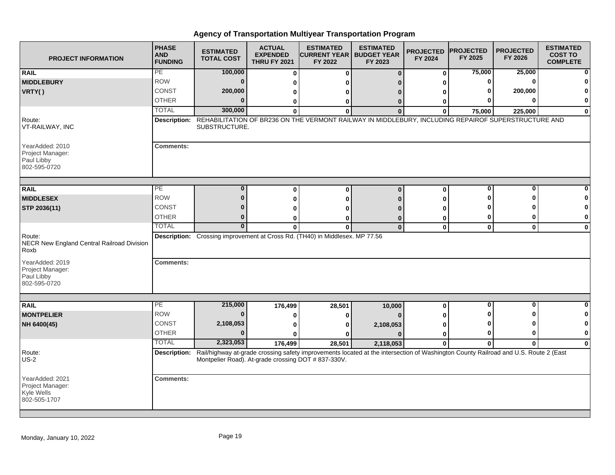| <b>PROJECT INFORMATION</b>                                        | <b>PHASE</b><br><b>AND</b><br><b>FUNDING</b> | <b>ESTIMATED</b><br><b>TOTAL COST</b>               | <b>ACTUAL</b><br><b>EXPENDED</b><br><b>THRU FY 2021</b> | <b>ESTIMATED</b><br><b>CURRENT YEAR   BUDGET YEAR</b><br>FY 2022                                                                                           | <b>ESTIMATED</b><br>FY 2023 | <b>PROJECTED</b><br>FY 2024 | <b>PROJECTED</b><br>FY 2025 | <b>PROJECTED</b><br>FY 2026 | <b>ESTIMATED</b><br><b>COST TO</b><br><b>COMPLETE</b> |
|-------------------------------------------------------------------|----------------------------------------------|-----------------------------------------------------|---------------------------------------------------------|------------------------------------------------------------------------------------------------------------------------------------------------------------|-----------------------------|-----------------------------|-----------------------------|-----------------------------|-------------------------------------------------------|
| <b>RAIL</b>                                                       | PE                                           | 100,000                                             | $\bf{0}$                                                | $\Omega$                                                                                                                                                   | $\bf{0}$                    | 0                           | 75,000                      | 25,000                      |                                                       |
| <b>MIDDLEBURY</b>                                                 | <b>ROW</b>                                   | $\mathbf{0}$                                        | ŋ                                                       | ŋ                                                                                                                                                          |                             | ŋ                           | 0                           | $\mathbf{0}$                |                                                       |
| VRTY()                                                            | <b>CONST</b>                                 | 200,000                                             | 0                                                       | n                                                                                                                                                          |                             |                             |                             | 200,000                     |                                                       |
|                                                                   | <b>OTHER</b>                                 | $\bf{0}$                                            | 0                                                       | 0                                                                                                                                                          | 0                           | 0                           |                             | <sup>0</sup>                | 0                                                     |
|                                                                   | <b>TOTAL</b>                                 | 300,000                                             | $\bf{0}$                                                | $\bf{0}$                                                                                                                                                   | $\Omega$                    | $\bf{0}$                    | 75,000                      | 225,000                     | $\bf{0}$                                              |
| Route:<br>VT-RAILWAY, INC                                         | <b>Description:</b>                          | SUBSTRUCTURE.                                       |                                                         | REHABILITATION OF BR236 ON THE VERMONT RAILWAY IN MIDDLEBURY, INCLUDING REPAIROF SUPERSTRUCTURE AND                                                        |                             |                             |                             |                             |                                                       |
| YearAdded: 2010<br>Project Manager:<br>Paul Libby<br>802-595-0720 | <b>Comments:</b>                             |                                                     |                                                         |                                                                                                                                                            |                             |                             |                             |                             |                                                       |
|                                                                   | PE                                           | 0                                                   |                                                         |                                                                                                                                                            |                             |                             | 0                           | 0                           |                                                       |
| <b>RAIL</b>                                                       | <b>ROW</b>                                   | $\bf{0}$                                            | $\bf{0}$                                                | $\bf{0}$                                                                                                                                                   | $\bf{0}$                    | 0                           | ŋ                           | ŋ                           |                                                       |
| <b>MIDDLESEX</b>                                                  | <b>CONST</b>                                 | 0                                                   | $\bf{0}$                                                | $\Omega$                                                                                                                                                   |                             | O                           |                             |                             | O                                                     |
| STP 2036(11)                                                      | <b>OTHER</b>                                 | $\bf{0}$                                            |                                                         | ŋ                                                                                                                                                          |                             |                             | 0                           | 0                           | 0                                                     |
|                                                                   | <b>TOTAL</b>                                 | $\mathbf{0}$                                        | 0                                                       | ŋ                                                                                                                                                          | 0                           | 0                           |                             |                             |                                                       |
| Route:<br>NECR New England Central Railroad Division<br>Roxb      |                                              |                                                     | 0                                                       | $\bf{0}$<br>Description: Crossing improvement at Cross Rd. (TH40) in Middlesex. MP 77.56                                                                   | $\bf{0}$                    | $\pmb{0}$                   | $\mathbf 0$                 | $\mathbf 0$                 | $\mathbf 0$                                           |
| YearAdded: 2019<br>Project Manager:<br>Paul Libby<br>802-595-0720 | <b>Comments:</b>                             |                                                     |                                                         |                                                                                                                                                            |                             |                             |                             |                             |                                                       |
|                                                                   | PE                                           | 215,000                                             |                                                         |                                                                                                                                                            |                             |                             | $\bf{0}$                    | $\bf{0}$                    | <sup>0</sup>                                          |
| <b>RAIL</b>                                                       | <b>ROW</b>                                   | $\bf{0}$                                            | 176,499                                                 | 28,501                                                                                                                                                     | 10,000                      | 0                           |                             | ∩                           | 0                                                     |
| <b>MONTPELIER</b>                                                 | <b>CONST</b>                                 | 2,108,053                                           | 0                                                       | 0                                                                                                                                                          |                             |                             |                             | ŋ                           | 0                                                     |
| NH 6400(45)                                                       | <b>OTHER</b>                                 | $\bf{0}$                                            | $\bf{0}$                                                | 0                                                                                                                                                          | 2,108,053                   | 0                           | 0                           | 0                           | $\mathbf 0$                                           |
|                                                                   | <b>TOTAL</b>                                 | 2,323,053                                           | $\bf{0}$                                                | ŋ                                                                                                                                                          | $\Omega$                    | 0                           |                             |                             |                                                       |
| Route:                                                            |                                              |                                                     | 176,499                                                 | 28,501<br>Description: Rail/highway at-grade crossing safety improvements located at the intersection of Washington County Railroad and U.S. Route 2 (East | 2,118,053                   | 0                           | $\mathbf 0$                 | $\bf{0}$                    | $\mathbf 0$                                           |
| $US-2$                                                            |                                              | Montpelier Road). At-grade crossing DOT # 837-330V. |                                                         |                                                                                                                                                            |                             |                             |                             |                             |                                                       |
| YearAdded: 2021<br>Project Manager:<br>Kyle Wells<br>802-505-1707 | <b>Comments:</b>                             |                                                     |                                                         |                                                                                                                                                            |                             |                             |                             |                             |                                                       |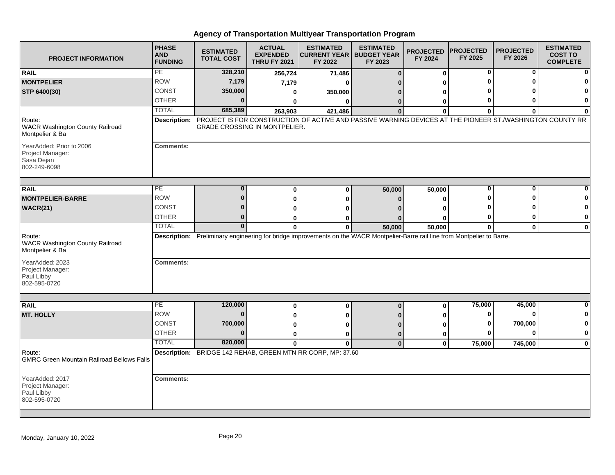| <b>PROJECT INFORMATION</b>                                                 | <b>PHASE</b><br><b>AND</b><br><b>FUNDING</b> | <b>ESTIMATED</b><br><b>TOTAL COST</b> | <b>ACTUAL</b><br><b>EXPENDED</b><br><b>THRU FY 2021</b> | <b>ESTIMATED</b><br><b>ICURRENT YEAR   BUDGET YEAR</b><br>FY 2022                                                             | <b>ESTIMATED</b><br>FY 2023 | <b>PROJECTED</b><br>FY 2024 | <b>PROJECTED</b><br>FY 2025 | <b>PROJECTED</b><br>FY 2026 | <b>ESTIMATED</b><br><b>COST TO</b><br><b>COMPLETE</b> |
|----------------------------------------------------------------------------|----------------------------------------------|---------------------------------------|---------------------------------------------------------|-------------------------------------------------------------------------------------------------------------------------------|-----------------------------|-----------------------------|-----------------------------|-----------------------------|-------------------------------------------------------|
| <b>RAIL</b>                                                                | PE                                           | 328,210                               | 256,724                                                 | 71,486                                                                                                                        | $\Omega$                    | $\mathbf{0}$                | 0                           | 0                           | $\mathbf{0}$                                          |
| <b>MONTPELIER</b>                                                          | <b>ROW</b>                                   | 7,179                                 | 7,179                                                   | ŋ                                                                                                                             |                             |                             |                             |                             | 0                                                     |
| STP 6400(30)                                                               | <b>CONST</b>                                 | 350,000                               | 0                                                       | 350,000                                                                                                                       |                             |                             |                             |                             | $\mathbf 0$                                           |
|                                                                            | <b>OTHER</b>                                 | $\Omega$                              | U                                                       | O                                                                                                                             | 0                           | 0                           | 0                           |                             | $\mathbf{0}$                                          |
|                                                                            | <b>TOTAL</b>                                 | 685,389                               | 263,903                                                 | 421,486                                                                                                                       | $\Omega$                    | $\Omega$                    | $\bf{0}$                    | 0                           | $\mathbf{0}$                                          |
| Route:<br><b>WACR Washington County Railroad</b><br>Montpelier & Ba        |                                              | <b>GRADE CROSSING IN MONTPELIER.</b>  |                                                         | Description: PROJECT IS FOR CONSTRUCTION OF ACTIVE AND PASSIVE WARNING DEVICES AT THE PIONEER ST./WASHINGTON COUNTY RR        |                             |                             |                             |                             |                                                       |
| YearAdded: Prior to 2006<br>Project Manager:<br>Sasa Dejan<br>802-249-6098 | <b>Comments:</b>                             |                                       |                                                         |                                                                                                                               |                             |                             |                             |                             |                                                       |
| <b>RAIL</b>                                                                | PE                                           | $\Omega$                              | 0                                                       | 0                                                                                                                             | 50,000                      | 50,000                      | 0                           | O                           | 0                                                     |
| <b>MONTPELIER-BARRE</b>                                                    | <b>ROW</b>                                   | $\bf{0}$                              | 0                                                       | ŋ                                                                                                                             | ŋ                           | O                           |                             |                             | 0                                                     |
| WACR(21)                                                                   | <b>CONST</b>                                 | 0                                     | 0                                                       |                                                                                                                               |                             |                             |                             |                             | $\mathbf{0}$                                          |
|                                                                            | <b>OTHER</b>                                 | $\Omega$                              | 0                                                       |                                                                                                                               |                             |                             | Ω                           |                             | $\mathbf{0}$                                          |
|                                                                            | <b>TOTAL</b>                                 | $\Omega$                              | $\bf{0}$                                                | 0                                                                                                                             | 50,000                      | 50,000                      | $\mathbf{0}$                | $\mathbf 0$                 | $\mathbf{0}$                                          |
| Route:<br>WACR Washington County Railroad<br>Montpelier & Ba               |                                              |                                       |                                                         | Description: Preliminary engineering for bridge improvements on the WACR Montpelier-Barre rail line from Montpelier to Barre. |                             |                             |                             |                             |                                                       |
| YearAdded: 2023<br>Project Manager:<br>Paul Libby<br>802-595-0720          | <b>Comments:</b>                             |                                       |                                                         |                                                                                                                               |                             |                             |                             |                             |                                                       |
|                                                                            |                                              |                                       |                                                         |                                                                                                                               |                             |                             |                             |                             |                                                       |
| <b>RAIL</b>                                                                | PE<br><b>ROW</b>                             | 120,000<br>$\bf{0}$                   | 0                                                       | $\bf{0}$                                                                                                                      | $\Omega$                    | $\bf{0}$                    | 75,000<br>0                 | 45,000<br>O                 | $\mathbf{0}$                                          |
| <b>MT. HOLLY</b>                                                           |                                              |                                       | 0                                                       |                                                                                                                               |                             |                             |                             |                             | $\mathbf{0}$                                          |
|                                                                            | CONST                                        | 700,000<br>$\Omega$                   | 0                                                       |                                                                                                                               |                             |                             | ŋ                           | 700,000                     | $\mathbf{0}$                                          |
|                                                                            | <b>OTHER</b>                                 |                                       | 0                                                       | 0                                                                                                                             | $\bf{0}$                    | 0                           | Ω                           |                             | $\mathbf{0}$                                          |
|                                                                            | <b>TOTAL</b>                                 | 820,000                               | $\bf{0}$                                                | $\Omega$                                                                                                                      | $\mathbf{0}$                | $\mathbf{0}$                | 75,000                      | 745,000                     | $\mathbf{0}$                                          |
| Route:<br><b>GMRC Green Mountain Railroad Bellows Falls</b>                |                                              |                                       |                                                         | Description: BRIDGE 142 REHAB, GREEN MTN RR CORP, MP: 37.60                                                                   |                             |                             |                             |                             |                                                       |
| YearAdded: 2017<br>Project Manager:<br>Paul Libby<br>802-595-0720          | <b>Comments:</b>                             |                                       |                                                         |                                                                                                                               |                             |                             |                             |                             |                                                       |
|                                                                            |                                              |                                       |                                                         |                                                                                                                               |                             |                             |                             |                             |                                                       |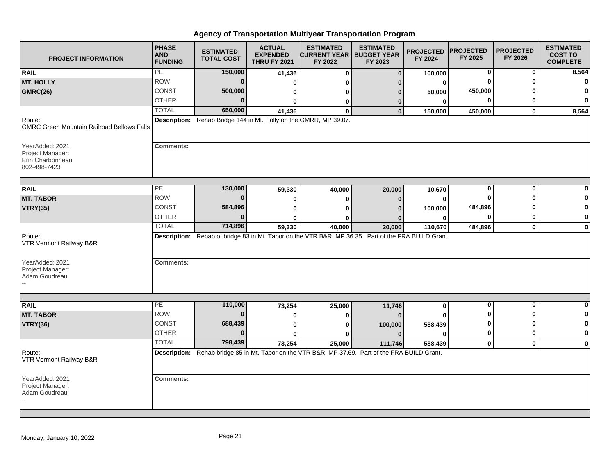| <b>PROJECT INFORMATION</b>                                               | <b>PHASE</b><br><b>AND</b><br><b>FUNDING</b> | <b>ESTIMATED</b><br><b>TOTAL COST</b>                             | <b>ACTUAL</b><br><b>EXPENDED</b><br><b>THRU FY 2021</b> | <b>ESTIMATED</b><br><b>CURRENT YEAR   BUDGET YEAR</b><br>FY 2022                                           | <b>ESTIMATED</b><br>FY 2023 | <b>PROJECTED</b><br>FY 2024 | <b>PROJECTED</b><br>FY 2025 | <b>PROJECTED</b><br>FY 2026 | <b>ESTIMATED</b><br><b>COST TO</b><br><b>COMPLETE</b> |
|--------------------------------------------------------------------------|----------------------------------------------|-------------------------------------------------------------------|---------------------------------------------------------|------------------------------------------------------------------------------------------------------------|-----------------------------|-----------------------------|-----------------------------|-----------------------------|-------------------------------------------------------|
| <b>RAIL</b>                                                              | PE                                           | 150,000                                                           | 41,436                                                  | $\bf{0}$                                                                                                   | $\bf{0}$                    | 100,000                     | 0                           | 0                           | 8,564                                                 |
| <b>MT. HOLLY</b>                                                         | <b>ROW</b>                                   | $\bf{0}$                                                          | O                                                       | ŋ                                                                                                          | n                           | 0                           |                             |                             | 0                                                     |
| <b>GMRC(26)</b>                                                          | CONST                                        | 500,000                                                           | 0                                                       | o                                                                                                          | 0                           | 50,000                      | 450,000                     |                             | 0                                                     |
|                                                                          | <b>OTHER</b>                                 | U                                                                 | 0                                                       | 0                                                                                                          | 0                           | 0                           | $\bf{0}$                    | ŋ                           | $\mathbf 0$                                           |
|                                                                          | <b>TOTAL</b>                                 | 650,000                                                           | 41,436                                                  | $\bf{0}$                                                                                                   | $\bf{0}$                    | 150,000                     | 450,000                     | $\mathbf 0$                 | 8,564                                                 |
| Route:<br><b>GMRC Green Mountain Railroad Bellows Falls</b>              |                                              | Description: Rehab Bridge 144 in Mt. Holly on the GMRR, MP 39.07. |                                                         |                                                                                                            |                             |                             |                             |                             |                                                       |
| YearAdded: 2021<br>Project Manager:<br>Erin Charbonneau<br>802-498-7423  | <b>Comments:</b>                             |                                                                   |                                                         |                                                                                                            |                             |                             |                             |                             |                                                       |
| <b>RAIL</b>                                                              | PE                                           | 130,000                                                           |                                                         |                                                                                                            |                             |                             | 0                           | 0                           |                                                       |
| <b>MT. TABOR</b>                                                         | <b>ROW</b>                                   | $\bf{0}$                                                          | 59,330                                                  | 40,000                                                                                                     | 20,000                      | 10,670                      | $\bf{0}$                    | ŋ                           |                                                       |
| <b>VTRY(35)</b>                                                          | <b>CONST</b>                                 | 584,896                                                           | 0                                                       | ŋ                                                                                                          | $\Omega$                    | $\bf{0}$                    | 484,896                     |                             |                                                       |
|                                                                          | <b>OTHER</b>                                 | $\bf{0}$                                                          | 0                                                       | ŋ                                                                                                          |                             | 100,000                     | $\bf{0}$                    | o                           | 0                                                     |
|                                                                          | <b>TOTAL</b>                                 | 714,896                                                           | 0<br>59,330                                             | 0<br>40,000                                                                                                | 20,000                      | 0<br>110,670                | 484,896                     | $\mathbf 0$                 | $\bf{0}$                                              |
| Route:<br>VTR Vermont Railway B&R<br>YearAdded: 2021<br>Project Manager: | <b>Comments:</b>                             |                                                                   |                                                         | Description: Rebab of bridge 83 in Mt. Tabor on the VTR B&R, MP 36.35. Part of the FRA BUILD Grant.        |                             |                             |                             |                             |                                                       |
| Adam Goudreau                                                            |                                              |                                                                   |                                                         |                                                                                                            |                             |                             |                             |                             | $\Omega$                                              |
| <b>RAIL</b>                                                              | PE<br><b>ROW</b>                             | 110,000<br>$\bf{0}$                                               | 73,254                                                  | 25,000                                                                                                     | 11,746                      | 0                           | $\bf{0}$                    | 0<br>ŋ                      | 0                                                     |
| <b>MT. TABOR</b>                                                         |                                              |                                                                   | 0                                                       | 0                                                                                                          |                             |                             |                             |                             |                                                       |
| <b>VTRY(36)</b>                                                          | <b>CONST</b>                                 | 688,439                                                           | 0                                                       | 0                                                                                                          | 100,000                     | 588,439                     | o                           | n                           | 0                                                     |
|                                                                          | <b>OTHER</b>                                 | $\bf{0}$                                                          | $\bf{0}$                                                |                                                                                                            |                             | $\bf{0}$                    | 0                           | 0                           | $\bf{0}$                                              |
| Route:<br>VTR Vermont Railway B&R                                        | <b>TOTAL</b>                                 | 798,439                                                           | 73,254                                                  | 25,000<br>Description: Rehab bridge 85 in Mt. Tabor on the VTR B&R, MP 37.69. Part of the FRA BUILD Grant. | 111,746                     | 588,439                     | $\mathbf 0$                 | $\mathbf 0$                 | $\mathbf 0$                                           |
| YearAdded: 2021<br>Project Manager:<br>Adam Goudreau                     | <b>Comments:</b>                             |                                                                   |                                                         |                                                                                                            |                             |                             |                             |                             |                                                       |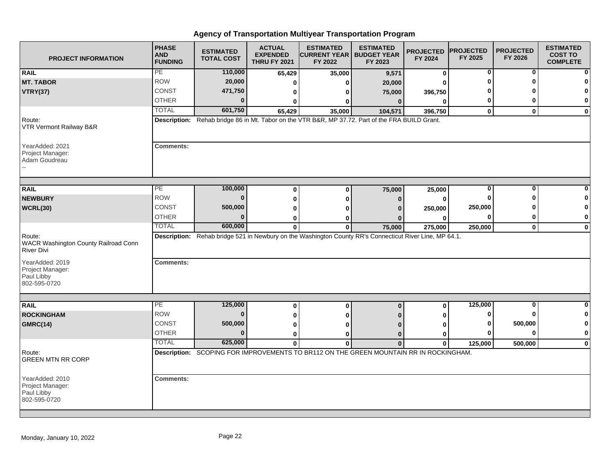| <b>PROJECT INFORMATION</b>                                          | <b>PHASE</b><br><b>AND</b><br><b>FUNDING</b> | <b>ESTIMATED</b><br><b>TOTAL COST</b> | <b>ACTUAL</b><br><b>EXPENDED</b><br><b>THRU FY 2021</b> | <b>ESTIMATED</b><br><b>CURRENT YEAR   BUDGET YEAR</b><br>FY 2022                                        | <b>ESTIMATED</b><br>FY 2023 | <b>PROJECTED</b><br>FY 2024 | <b>PROJECTED</b><br>FY 2025 | <b>PROJECTED</b><br>FY 2026 | <b>ESTIMATED</b><br><b>COST TO</b><br><b>COMPLETE</b> |
|---------------------------------------------------------------------|----------------------------------------------|---------------------------------------|---------------------------------------------------------|---------------------------------------------------------------------------------------------------------|-----------------------------|-----------------------------|-----------------------------|-----------------------------|-------------------------------------------------------|
| <b>RAIL</b>                                                         | PE                                           | 110,000                               | 65,429                                                  | 35,000                                                                                                  | 9,571                       | $\bf{0}$                    | 0                           | 0                           |                                                       |
| <b>MT. TABOR</b>                                                    | <b>ROW</b>                                   | 20,000                                | 0                                                       | Λ                                                                                                       | 20,000                      | ŋ                           | Ω                           |                             |                                                       |
| <b>VTRY(37)</b>                                                     | <b>CONST</b>                                 | 471,750                               | 0                                                       | 0                                                                                                       | 75,000                      | 396,750                     |                             |                             |                                                       |
|                                                                     | <b>OTHER</b>                                 | $\bf{0}$                              | 0                                                       | 0                                                                                                       | $\mathbf{0}$                | $\bf{0}$                    | 0                           | ŋ                           | 0                                                     |
|                                                                     | <b>TOTAL</b>                                 | 601,750                               | 65,429                                                  | 35,000                                                                                                  | 104,571                     | 396,750                     | $\mathbf 0$                 | $\bf{0}$                    | $\mathbf 0$                                           |
| Route:<br>VTR Vermont Railway B&R                                   |                                              |                                       |                                                         | Description: Rehab bridge 86 in Mt. Tabor on the VTR B&R, MP 37.72. Part of the FRA BUILD Grant.        |                             |                             |                             |                             |                                                       |
| YearAdded: 2021<br>Project Manager:<br>Adam Goudreau                | <b>Comments:</b>                             |                                       |                                                         |                                                                                                         |                             |                             |                             |                             |                                                       |
|                                                                     |                                              |                                       |                                                         |                                                                                                         |                             |                             |                             |                             |                                                       |
| <b>RAIL</b>                                                         | PE                                           | 100,000                               | $\bf{0}$                                                | $\bf{0}$                                                                                                | 75,000                      | 25,000                      | 0                           | 0<br>ŋ                      |                                                       |
| <b>NEWBURY</b>                                                      | <b>ROW</b>                                   | $\bf{0}$                              | $\bf{0}$                                                | $\bf{0}$                                                                                                | $\Omega$                    | $\bf{0}$                    | 0                           |                             |                                                       |
| WCRL(30)                                                            | <b>CONST</b>                                 | 500,000                               | $\bf{0}$                                                |                                                                                                         |                             | 250,000                     | 250,000                     |                             |                                                       |
|                                                                     | <b>OTHER</b>                                 | $\mathbf{0}$                          | 0                                                       | o                                                                                                       |                             | 0                           | $\bf{0}$                    | 0                           | $\mathbf 0$                                           |
|                                                                     | <b>TOTAL</b>                                 | 600,000                               | $\mathbf{0}$                                            | 0                                                                                                       | 75,000                      | 275,000                     | 250,000                     | $\mathbf 0$                 | $\bf{0}$                                              |
| Route:<br>WACR Washington County Railroad Conn<br><b>River Divi</b> |                                              |                                       |                                                         | Description: Rehab bridge 521 in Newbury on the Washington County RR's Connecticut River Line, MP 64.1. |                             |                             |                             |                             |                                                       |
| YearAdded: 2019<br>Project Manager:<br>Paul Libby<br>802-595-0720   | <b>Comments:</b>                             |                                       |                                                         |                                                                                                         |                             |                             |                             |                             |                                                       |
|                                                                     |                                              |                                       |                                                         |                                                                                                         |                             |                             |                             |                             |                                                       |
| <b>RAIL</b>                                                         | PE                                           | 125,000                               | 0                                                       | $\bf{0}$                                                                                                | $\bf{0}$                    | 0                           | 125,000                     | $\bf{0}$                    | <sup>0</sup>                                          |
| <b>ROCKINGHAM</b>                                                   | <b>ROW</b>                                   | $\mathbf{0}$                          | 0                                                       | ŋ                                                                                                       |                             | 0                           | 0                           | ŋ                           |                                                       |
| <b>GMRC(14)</b>                                                     | <b>CONST</b>                                 | 500,000                               | 0                                                       | Λ                                                                                                       |                             | 0                           | 0                           | 500,000                     | 0                                                     |
|                                                                     | <b>OTHER</b>                                 | $\bf{0}$                              | $\bf{0}$                                                | $\bf{0}$                                                                                                | $\mathbf{0}$                | $\bf{0}$                    | Ω                           | $\bf{0}$                    | $\bf{0}$                                              |
|                                                                     | <b>TOTAL</b>                                 | 625,000                               | $\bf{0}$                                                | $\bf{0}$                                                                                                | $\Omega$                    | $\bf{0}$                    | 125,000                     | 500,000                     | $\mathbf 0$                                           |
| Route:<br><b>GREEN MTN RR CORP</b>                                  |                                              |                                       |                                                         | Description: SCOPING FOR IMPROVEMENTS TO BR112 ON THE GREEN MOUNTAIN RR IN ROCKINGHAM.                  |                             |                             |                             |                             |                                                       |
| YearAdded: 2010<br>Project Manager:<br>Paul Libby<br>802-595-0720   | <b>Comments:</b>                             |                                       |                                                         |                                                                                                         |                             |                             |                             |                             |                                                       |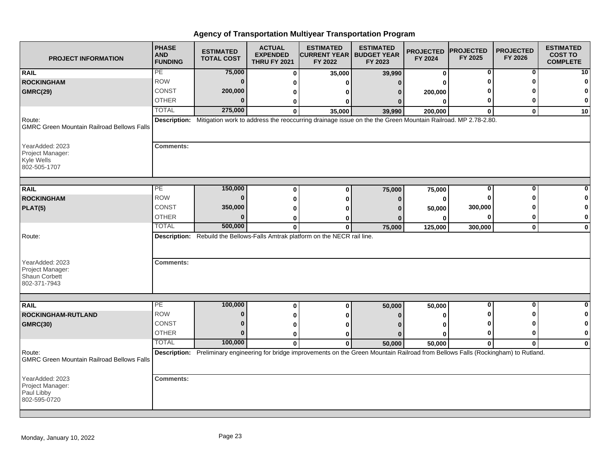| <b>PROJECT INFORMATION</b>                                                     | <b>PHASE</b><br><b>AND</b><br><b>FUNDING</b> | <b>ESTIMATED</b><br><b>TOTAL COST</b> | <b>ACTUAL</b><br><b>EXPENDED</b><br><b>THRU FY 2021</b> | <b>ESTIMATED</b><br><b>CURRENT YEAR   BUDGET YEAR</b><br>FY 2022                                                                        | <b>ESTIMATED</b><br>FY 2023 | <b>PROJECTED</b><br>FY 2024 | <b>PROJECTED</b><br>FY 2025 | <b>PROJECTED</b><br>FY 2026 | <b>ESTIMATED</b><br><b>COST TO</b><br><b>COMPLETE</b> |
|--------------------------------------------------------------------------------|----------------------------------------------|---------------------------------------|---------------------------------------------------------|-----------------------------------------------------------------------------------------------------------------------------------------|-----------------------------|-----------------------------|-----------------------------|-----------------------------|-------------------------------------------------------|
| <b>RAIL</b>                                                                    | PE                                           | 75,000                                | $\bf{0}$                                                | 35,000                                                                                                                                  | 39,990                      | 0                           | 0                           | $\bf{0}$                    | 10                                                    |
| <b>ROCKINGHAM</b>                                                              | <b>ROW</b>                                   | $\mathbf{0}$                          | ŋ                                                       | O                                                                                                                                       | $\Omega$                    | ŋ                           |                             | n                           | 0                                                     |
| <b>GMRC(29)</b>                                                                | CONST                                        | 200,000                               | 0                                                       | ŋ                                                                                                                                       | $\Omega$                    | 200,000                     |                             |                             | 0                                                     |
|                                                                                | <b>OTHER</b>                                 | $\bf{0}$                              | 0                                                       | 0                                                                                                                                       |                             | $\bf{0}$                    | 0                           | ŋ                           | 0                                                     |
|                                                                                | <b>TOTAL</b>                                 | 275,000                               | $\Omega$                                                | 35,000                                                                                                                                  | 39,990                      | 200,000                     | $\bf{0}$                    | $\mathbf{0}$                | 10                                                    |
| Route:<br><b>GMRC Green Mountain Railroad Bellows Falls</b>                    |                                              |                                       |                                                         | Description: Mitigation work to address the reoccurring drainage issue on the the Green Mountain Railroad. MP 2.78-2.80.                |                             |                             |                             |                             |                                                       |
| YearAdded: 2023<br>Project Manager:<br>Kyle Wells<br>802-505-1707              | <b>Comments:</b>                             |                                       |                                                         |                                                                                                                                         |                             |                             |                             |                             |                                                       |
|                                                                                | PE                                           | 150,000                               |                                                         |                                                                                                                                         |                             |                             | 0                           | 0                           |                                                       |
| <b>RAIL</b><br><b>ROCKINGHAM</b>                                               | <b>ROW</b>                                   | $\bf{0}$                              | $\bf{0}$                                                | $\bf{0}$                                                                                                                                | 75,000                      | 75,000                      | 0                           | ŋ                           |                                                       |
|                                                                                | CONST                                        | 350,000                               | 0                                                       | 0                                                                                                                                       | 0                           | 0                           | 300,000                     |                             | n                                                     |
| PLAT(5)                                                                        | <b>OTHER</b>                                 | $\bf{0}$                              | ŋ                                                       | ŋ                                                                                                                                       |                             | 50,000                      | 0                           | 0                           | 0                                                     |
|                                                                                | <b>TOTAL</b>                                 | 500,000                               | 0                                                       | O                                                                                                                                       |                             | 0                           |                             |                             |                                                       |
|                                                                                |                                              |                                       | $\mathbf{0}$                                            | $\mathbf{0}$<br>Description: Rebuild the Bellows-Falls Amtrak platform on the NECR rail line.                                           | 75,000                      | 125,000                     | 300,000                     | $\mathbf 0$                 | $\mathbf 0$                                           |
| Route:<br>YearAdded: 2023<br>Project Manager:<br>Shaun Corbett<br>802-371-7943 | <b>Comments:</b>                             |                                       |                                                         |                                                                                                                                         |                             |                             |                             |                             |                                                       |
|                                                                                |                                              |                                       |                                                         |                                                                                                                                         |                             |                             |                             |                             |                                                       |
| <b>RAIL</b>                                                                    | PE                                           | 100,000                               | $\bf{0}$                                                | $\bf{0}$                                                                                                                                | 50,000                      | 50,000                      | 0                           | 0                           | 0                                                     |
| ROCKINGHAM-RUTLAND                                                             | <b>ROW</b>                                   | $\bf{0}$                              | 0                                                       | O                                                                                                                                       |                             | 0                           |                             | ŋ                           | 0                                                     |
| <b>GMRC(30)</b>                                                                | <b>CONST</b>                                 | $\bf{0}$                              | $\bf{0}$                                                | ŋ                                                                                                                                       |                             | ŋ                           |                             |                             | $\mathbf 0$                                           |
|                                                                                | <b>OTHER</b>                                 | $\bf{0}$                              | 0                                                       | O                                                                                                                                       | n                           | ŋ                           | 0                           | 0                           | $\mathbf 0$                                           |
|                                                                                | <b>TOTAL</b>                                 | 100,000                               | $\mathbf{0}$                                            | $\mathbf{0}$                                                                                                                            | 50,000                      | 50,000                      | $\mathbf 0$                 | $\mathbf{0}$                | $\mathbf 0$                                           |
| Route:<br><b>GMRC Green Mountain Railroad Bellows Falls</b>                    |                                              |                                       |                                                         | Description: Preliminary engineering for bridge improvements on the Green Mountain Railroad from Bellows Falls (Rockingham) to Rutland. |                             |                             |                             |                             |                                                       |
| YearAdded: 2023<br>Project Manager:<br>Paul Libby<br>802-595-0720              | <b>Comments:</b>                             |                                       |                                                         |                                                                                                                                         |                             |                             |                             |                             |                                                       |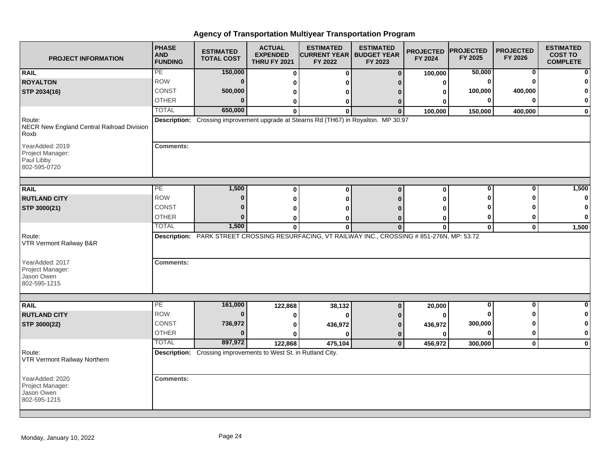| <b>PROJECT INFORMATION</b>                                        | <b>PHASE</b><br><b>AND</b><br><b>FUNDING</b> | <b>ESTIMATED</b><br><b>TOTAL COST</b>                           | <b>ACTUAL</b><br><b>EXPENDED</b><br><b>THRU FY 2021</b> | <b>ESTIMATED</b><br><b>CURRENT YEAR   BUDGET YEAR</b><br>FY 2022                               | <b>ESTIMATED</b><br>FY 2023 | <b>PROJECTED</b><br>FY 2024 | <b>PROJECTED</b><br>FY 2025 | <b>PROJECTED</b><br>FY 2026 | <b>ESTIMATED</b><br><b>COST TO</b><br><b>COMPLETE</b> |
|-------------------------------------------------------------------|----------------------------------------------|-----------------------------------------------------------------|---------------------------------------------------------|------------------------------------------------------------------------------------------------|-----------------------------|-----------------------------|-----------------------------|-----------------------------|-------------------------------------------------------|
| <b>RAIL</b>                                                       | PE                                           | 150,000                                                         | $\bf{0}$                                                | $\bf{0}$                                                                                       | $\Omega$                    | 100,000                     | 50,000                      | 0                           | $\mathbf{0}$                                          |
| <b>ROYALTON</b>                                                   | <b>ROW</b>                                   | $\bf{0}$                                                        | 0                                                       |                                                                                                |                             | 0                           | O                           |                             | $\mathbf{0}$                                          |
| STP 2034(16)                                                      | <b>CONST</b>                                 | 500,000                                                         | 0                                                       | o                                                                                              |                             | 0                           | 100,000                     | 400,000                     | $\mathbf{0}$                                          |
|                                                                   | <b>OTHER</b>                                 | $\bf{0}$                                                        | 0                                                       | 0                                                                                              | 0                           | 0                           | 0                           |                             | 0                                                     |
|                                                                   | <b>TOTAL</b>                                 | 650,000                                                         | $\bf{0}$                                                | 0                                                                                              | $\bf{0}$                    | 100,000                     | 150,000                     | 400,000                     | $\mathbf{0}$                                          |
| Route:<br>NECR New England Central Railroad Division<br>Roxb      |                                              |                                                                 |                                                         | Description: Crossing improvement upgrade at Stearns Rd (TH67) in Royalton. MP 30.97           |                             |                             |                             |                             |                                                       |
| YearAdded: 2019<br>Project Manager:<br>Paul Libby<br>802-595-0720 | <b>Comments:</b>                             |                                                                 |                                                         |                                                                                                |                             |                             |                             |                             |                                                       |
| <b>RAIL</b>                                                       | $\overline{PE}$                              | 1,500                                                           | $\bf{0}$                                                | $\Omega$                                                                                       | $\Omega$                    | $\bf{0}$                    | 0                           | $\Omega$                    | 1,500                                                 |
| <b>RUTLAND CITY</b>                                               | <b>ROW</b>                                   | $\bf{0}$                                                        | 0                                                       | Λ                                                                                              |                             | 0                           |                             |                             | $\mathbf{0}$                                          |
| STP 3000(21)                                                      | CONST                                        | 0                                                               | 0                                                       |                                                                                                |                             |                             |                             |                             | $\mathbf{0}$                                          |
|                                                                   | <b>OTHER</b>                                 | $\Omega$                                                        | 0                                                       |                                                                                                |                             | 0                           | 0                           |                             | 0                                                     |
|                                                                   | <b>TOTAL</b>                                 | 1,500                                                           | $\mathbf{0}$                                            | $\mathbf{0}$                                                                                   | $\Omega$                    | $\bf{0}$                    | $\mathbf{0}$                | $\mathbf 0$                 | 1,500                                                 |
| Route:<br>VTR Vermont Railway B&R                                 |                                              |                                                                 |                                                         | Description: PARK STREET CROSSING RESURFACING, VT RAILWAY INC., CROSSING # 851-276N, MP: 53.72 |                             |                             |                             |                             |                                                       |
| YearAdded: 2017<br>Project Manager:<br>Jason Owen<br>802-595-1215 | <b>Comments:</b>                             |                                                                 |                                                         |                                                                                                |                             |                             |                             |                             |                                                       |
|                                                                   |                                              |                                                                 |                                                         |                                                                                                |                             |                             |                             |                             |                                                       |
| <b>RAIL</b>                                                       | PE                                           | 161,000                                                         | 122,868                                                 | 38,132                                                                                         | $\Omega$                    | 20,000                      | $\bf{0}$                    | $\bf{0}$                    | $\mathbf{0}$                                          |
| <b>RUTLAND CITY</b>                                               | <b>ROW</b>                                   | $\bf{0}$                                                        | 0                                                       |                                                                                                |                             | 0                           |                             |                             | $\mathbf{0}$                                          |
| STP 3000(22)                                                      | <b>CONST</b>                                 | 736,972                                                         | 0                                                       | 436,972                                                                                        |                             | 436,972                     | 300,000                     |                             | $\mathbf{0}$                                          |
|                                                                   | OTHER                                        | $\bf{0}$                                                        | 0                                                       | ŋ                                                                                              | 0                           | $\bf{0}$                    | 0                           | 0                           | $\mathbf{0}$                                          |
|                                                                   | <b>TOTAL</b>                                 | 897,972                                                         | 122,868                                                 | 475,104                                                                                        | $\mathbf{0}$                | 456,972                     | 300,000                     | $\mathbf{0}$                | $\mathbf{0}$                                          |
| Route:<br>VTR Vermont Railway Northern                            |                                              | Description: Crossing improvements to West St. in Rutland City. |                                                         |                                                                                                |                             |                             |                             |                             |                                                       |
| YearAdded: 2020<br>Project Manager:<br>Jason Owen<br>802-595-1215 | <b>Comments:</b>                             |                                                                 |                                                         |                                                                                                |                             |                             |                             |                             |                                                       |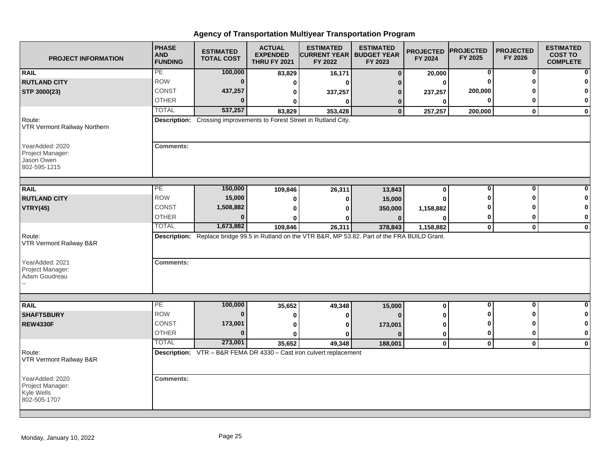| <b>PROJECT INFORMATION</b>                                        | <b>PHASE</b><br><b>AND</b><br><b>FUNDING</b> | <b>ESTIMATED</b><br><b>TOTAL COST</b>                                | <b>ACTUAL</b><br><b>EXPENDED</b><br><b>THRU FY 2021</b> | <b>ESTIMATED</b><br><b>CURRENT YEAR   BUDGET YEAR</b><br>FY 2022                                   | <b>ESTIMATED</b><br>FY 2023 | <b>PROJECTED</b><br>FY 2024 | <b>PROJECTED</b><br>FY 2025 | <b>PROJECTED</b><br>FY 2026 | <b>ESTIMATED</b><br><b>COST TO</b><br><b>COMPLETE</b> |
|-------------------------------------------------------------------|----------------------------------------------|----------------------------------------------------------------------|---------------------------------------------------------|----------------------------------------------------------------------------------------------------|-----------------------------|-----------------------------|-----------------------------|-----------------------------|-------------------------------------------------------|
| <b>RAIL</b>                                                       | PE                                           | 100,000                                                              | 83,829                                                  | 16,171                                                                                             | $\bf{0}$                    | 20,000                      | 0                           | 0                           |                                                       |
| <b>RUTLAND CITY</b>                                               | <b>ROW</b>                                   | $\bf{0}$                                                             | 0                                                       | ŋ                                                                                                  | n                           | 0                           | $\bf{0}$                    | ŋ                           |                                                       |
| STP 3000(23)                                                      | <b>CONST</b>                                 | 437,257                                                              | 0                                                       | 337,257                                                                                            | 0                           | 237,257                     | 200,000                     |                             |                                                       |
|                                                                   | <b>OTHER</b>                                 | 0                                                                    | 0                                                       | 0                                                                                                  | 0                           | $\bf{0}$                    | 0                           | 0                           | 0                                                     |
|                                                                   | <b>TOTAL</b>                                 | 537,257                                                              | 83,829                                                  | 353,428                                                                                            | $\bf{0}$                    | 257,257                     | 200,000                     | $\mathbf{0}$                | $\mathbf 0$                                           |
| Route:<br>VTR Vermont Railway Northern                            |                                              | Description: Crossing improvements to Forest Street in Rutland City. |                                                         |                                                                                                    |                             |                             |                             |                             |                                                       |
| YearAdded: 2020<br>Project Manager:<br>Jason Owen<br>802-595-1215 | <b>Comments:</b>                             |                                                                      |                                                         |                                                                                                    |                             |                             |                             |                             |                                                       |
| <b>RAIL</b>                                                       | $\overline{PE}$                              | 150,000                                                              | 109,846                                                 | 26,311                                                                                             | 13,843                      | 0                           | 0                           | $\bf{0}$                    |                                                       |
| <b>RUTLAND CITY</b>                                               | <b>ROW</b>                                   | 15,000                                                               | 0                                                       | 0                                                                                                  | 15,000                      | 0                           | ŋ                           | ŋ                           |                                                       |
| <b>VTRY(45)</b>                                                   | CONST                                        | 1,508,882                                                            | 0                                                       | 0                                                                                                  | 350,000                     | 1,158,882                   |                             |                             |                                                       |
|                                                                   | <b>OTHER</b>                                 | $\bf{0}$                                                             | 0                                                       | o                                                                                                  |                             | 0                           | 0                           | 0                           | 0                                                     |
|                                                                   | <b>TOTAL</b>                                 | 1,673,882                                                            | 109,846                                                 | 26,311                                                                                             | 378,843                     | 1,158,882                   | $\mathbf{0}$                | $\mathbf{0}$                | $\mathbf 0$                                           |
| Route:<br>VTR Vermont Railway B&R                                 |                                              |                                                                      |                                                         | Description: Replace bridge 99.5 in Rutland on the VTR B&R, MP 53.82. Part of the FRA BUILD Grant. |                             |                             |                             |                             |                                                       |
| YearAdded: 2021<br>Project Manager:<br>Adam Goudreau              | <b>Comments:</b>                             |                                                                      |                                                         |                                                                                                    |                             |                             |                             |                             |                                                       |
|                                                                   |                                              |                                                                      |                                                         |                                                                                                    |                             |                             |                             |                             |                                                       |
| <b>RAIL</b>                                                       | PE                                           | 100,000                                                              | 35,652                                                  | 49,348                                                                                             | 15,000                      | $\bf{0}$                    | 0                           | $\bf{0}$                    | $\bf{0}$                                              |
| <b>SHAFTSBURY</b>                                                 | <b>ROW</b>                                   | $\bf{0}$                                                             | 0                                                       | 0                                                                                                  |                             | 0                           | O                           | U                           | O                                                     |
| <b>REW4330F</b>                                                   | <b>CONST</b>                                 | 173,001                                                              | 0                                                       | 0                                                                                                  | 173,001                     | 0                           | ŋ                           | ŋ                           |                                                       |
|                                                                   | <b>OTHER</b>                                 | $\bf{0}$                                                             | $\bf{0}$                                                | 0                                                                                                  |                             | $\mathbf 0$                 | 0                           | 0                           | $\mathbf 0$                                           |
|                                                                   | <b>TOTAL</b>                                 | 273,001                                                              | 35,652                                                  | 49,348                                                                                             | 188,001                     | $\mathbf 0$                 | $\mathbf 0$                 | $\mathbf{0}$                | $\bf{0}$                                              |
| Route:<br>VTR Vermont Railway B&R                                 |                                              |                                                                      |                                                         | <b>Description:</b> VTR - B&R FEMA DR 4330 - Cast iron culvert replacement                         |                             |                             |                             |                             |                                                       |
| YearAdded: 2020<br>Project Manager:<br>Kyle Wells<br>802-505-1707 | <b>Comments:</b>                             |                                                                      |                                                         |                                                                                                    |                             |                             |                             |                             |                                                       |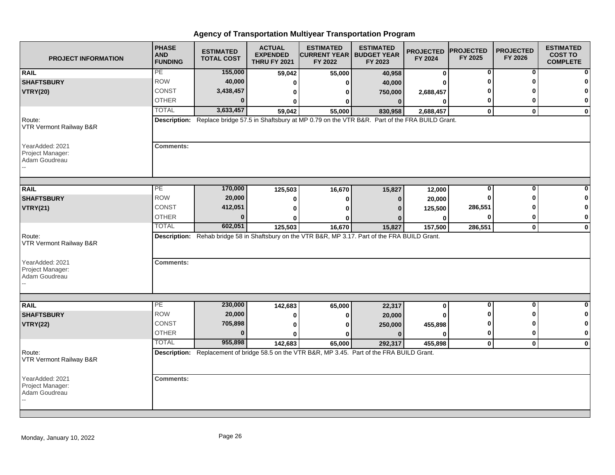| <b>PROJECT INFORMATION</b>                           | <b>PHASE</b><br><b>AND</b><br><b>FUNDING</b> | <b>ESTIMATED</b><br><b>TOTAL COST</b> | <b>ACTUAL</b><br><b>EXPENDED</b><br><b>THRU FY 2021</b> | <b>ESTIMATED</b><br><b>CURRENT YEAR   BUDGET YEAR</b><br>FY 2022                                        | <b>ESTIMATED</b><br>FY 2023 | <b>PROJECTED</b><br>FY 2024 | <b>PROJECTED</b><br>FY 2025 | <b>PROJECTED</b><br>FY 2026 | <b>ESTIMATED</b><br><b>COST TO</b><br><b>COMPLETE</b> |
|------------------------------------------------------|----------------------------------------------|---------------------------------------|---------------------------------------------------------|---------------------------------------------------------------------------------------------------------|-----------------------------|-----------------------------|-----------------------------|-----------------------------|-------------------------------------------------------|
| <b>RAIL</b>                                          | PE                                           | 155,000                               | 59,042                                                  | 55,000                                                                                                  | 40,958                      | 0                           | 0                           | 0                           |                                                       |
| <b>SHAFTSBURY</b>                                    | <b>ROW</b>                                   | 40,000                                | ŋ                                                       | O                                                                                                       | 40,000                      | ŋ                           |                             |                             |                                                       |
| <b>VTRY(20)</b>                                      | CONST                                        | 3,438,457                             | 0                                                       | o                                                                                                       | 750,000                     | 2,688,457                   |                             |                             |                                                       |
|                                                      | <b>OTHER</b>                                 | U                                     | 0                                                       | 0                                                                                                       | $\bf{0}$                    | 0                           | 0                           | o                           | 0                                                     |
|                                                      | <b>TOTAL</b>                                 | 3,633,457                             | 59,042                                                  | 55,000                                                                                                  | 830,958                     | 2,688,457                   | $\mathbf 0$                 | $\mathbf{0}$                | $\mathbf 0$                                           |
| Route:<br>VTR Vermont Railway B&R                    |                                              |                                       |                                                         | Description: Replace bridge 57.5 in Shaftsbury at MP 0.79 on the VTR B&R. Part of the FRA BUILD Grant.  |                             |                             |                             |                             |                                                       |
| YearAdded: 2021<br>Project Manager:<br>Adam Goudreau | <b>Comments:</b>                             |                                       |                                                         |                                                                                                         |                             |                             |                             |                             |                                                       |
| <b>RAIL</b>                                          | PE                                           | 170,000                               | 125,503                                                 | 16,670                                                                                                  | 15,827                      | 12,000                      | 0                           | 0                           |                                                       |
| <b>SHAFTSBURY</b>                                    | <b>ROW</b>                                   | 20,000                                | 0                                                       | 0                                                                                                       | $\bf{0}$                    | 20,000                      | ŋ                           | ŋ                           |                                                       |
| <b>VTRY(21)</b>                                      | CONST                                        | 412,051                               | 0                                                       | 0                                                                                                       |                             | 125,500                     | 286,551                     |                             | 0                                                     |
|                                                      | <b>OTHER</b>                                 | $\bf{0}$                              | O                                                       | ŋ                                                                                                       |                             | 0                           | 0                           | 0                           | 0                                                     |
|                                                      | <b>TOTAL</b>                                 | 602,051                               | 125,503                                                 | 16,670                                                                                                  | 15,827                      | 157,500                     | 286,551                     | $\mathbf 0$                 | $\mathbf 0$                                           |
| Route:<br>VTR Vermont Railway B&R                    |                                              |                                       |                                                         | Description: Rehab bridge 58 in Shaftsbury on the VTR B&R, MP 3.17. Part of the FRA BUILD Grant.        |                             |                             |                             |                             |                                                       |
| YearAdded: 2021<br>Project Manager:<br>Adam Goudreau | <b>Comments:</b>                             |                                       |                                                         |                                                                                                         |                             |                             |                             |                             |                                                       |
|                                                      | PE                                           |                                       |                                                         |                                                                                                         |                             |                             | 0                           | $\bf{0}$                    | $\bf{0}$                                              |
| <b>RAIL</b>                                          | <b>ROW</b>                                   | 230,000<br>20,000                     | 142,683                                                 | 65,000                                                                                                  | 22,317                      | $\mathbf 0$                 |                             | ŋ                           | 0                                                     |
| <b>SHAFTSBURY</b>                                    | <b>CONST</b>                                 | 705,898                               | 0                                                       | 0                                                                                                       | 20,000                      |                             | 0                           | ŋ                           | 0                                                     |
| <b>VTRY(22)</b>                                      | <b>OTHER</b>                                 | $\bf{0}$                              | 0                                                       | ŋ                                                                                                       | 250,000                     | 455,898                     | 0                           | $\bf{0}$                    | $\mathbf 0$                                           |
|                                                      | <b>TOTAL</b>                                 | 955,898                               | 0                                                       | ŋ                                                                                                       | $\Omega$                    | 0                           |                             |                             |                                                       |
| Route:<br>VTR Vermont Railway B&R                    |                                              |                                       | 142,683                                                 | 65,000<br>Description: Replacement of bridge 58.5 on the VTR B&R, MP 3.45. Part of the FRA BUILD Grant. | 292,317                     | 455,898                     | $\mathbf 0$                 | $\mathbf 0$                 | $\mathbf 0$                                           |
| YearAdded: 2021<br>Project Manager:<br>Adam Goudreau | <b>Comments:</b>                             |                                       |                                                         |                                                                                                         |                             |                             |                             |                             |                                                       |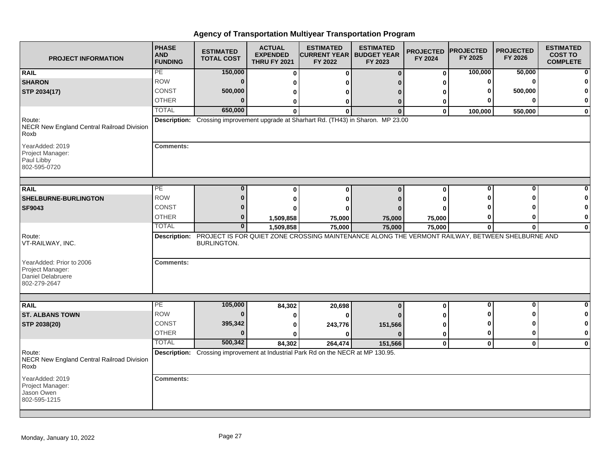| <b>PROJECT INFORMATION</b>                                                        | <b>PHASE</b><br><b>AND</b><br><b>FUNDING</b> | <b>ESTIMATED</b><br><b>TOTAL COST</b> | <b>ACTUAL</b><br><b>EXPENDED</b><br><b>THRU FY 2021</b> | <b>ESTIMATED</b><br><b>CURRENT YEAR   BUDGET YEAR</b><br>FY 2022                                             | <b>ESTIMATED</b><br>FY 2023 | <b>PROJECTED</b><br>FY 2024 | <b>PROJECTED</b><br>FY 2025 | <b>PROJECTED</b><br>FY 2026 | <b>ESTIMATED</b><br><b>COST TO</b><br><b>COMPLETE</b> |
|-----------------------------------------------------------------------------------|----------------------------------------------|---------------------------------------|---------------------------------------------------------|--------------------------------------------------------------------------------------------------------------|-----------------------------|-----------------------------|-----------------------------|-----------------------------|-------------------------------------------------------|
| <b>RAIL</b>                                                                       | PE                                           | 150,000                               | $\bf{0}$                                                | $\bf{0}$                                                                                                     | $\bf{0}$                    | $\bf{0}$                    | 100,000                     | 50,000                      |                                                       |
| <b>SHARON</b>                                                                     | <b>ROW</b>                                   | $\mathbf{0}$                          | 0                                                       | ŋ                                                                                                            |                             | 0                           | 0                           | $\Omega$                    |                                                       |
| STP 2034(17)                                                                      | <b>CONST</b>                                 | 500,000                               | 0                                                       | 0                                                                                                            | n                           | 0                           |                             | 500,000                     |                                                       |
|                                                                                   | <b>OTHER</b>                                 | 0                                     | 0                                                       | 0                                                                                                            | $\Omega$                    | 0                           |                             | U                           | 0                                                     |
|                                                                                   | <b>TOTAL</b>                                 | 650,000                               | $\bf{0}$                                                | $\bf{0}$                                                                                                     | $\mathbf{0}$                | $\mathbf{0}$                | 100,000                     | 550,000                     | $\mathbf 0$                                           |
| Route:<br>NECR New England Central Railroad Division<br>Roxb                      |                                              |                                       |                                                         | Description: Crossing improvement upgrade at Sharhart Rd. (TH43) in Sharon. MP 23.00                         |                             |                             |                             |                             |                                                       |
| YearAdded: 2019<br>Project Manager:<br>Paul Libby<br>802-595-0720                 | <b>Comments:</b>                             |                                       |                                                         |                                                                                                              |                             |                             |                             |                             |                                                       |
| <b>RAIL</b>                                                                       | $\overline{PE}$                              | $\bf{0}$                              | $\bf{0}$                                                | $\bf{0}$                                                                                                     | $\mathbf{0}$                | 0                           | $\bf{0}$                    | $\bf{0}$                    |                                                       |
| SHELBURNE-BURLINGTON                                                              | <b>ROW</b>                                   | $\bf{0}$                              | 0                                                       | 0                                                                                                            |                             | 0                           | ŋ                           | ŋ                           |                                                       |
| <b>SF9043</b>                                                                     | <b>CONST</b>                                 | 0                                     | 0                                                       | 0                                                                                                            |                             | 0                           |                             |                             |                                                       |
|                                                                                   | <b>OTHER</b>                                 | 0                                     | 1,509,858                                               | 75,000                                                                                                       | 75,000                      | 75,000                      | 0                           | 0                           | 0                                                     |
|                                                                                   | <b>TOTAL</b>                                 | $\bf{0}$                              | 1,509,858                                               | 75,000                                                                                                       | 75,000                      | 75,000                      | $\mathbf{0}$                | $\mathbf{0}$                | $\mathbf 0$                                           |
| Route:<br>VT-RAILWAY, INC.                                                        |                                              | <b>BURLINGTON.</b>                    |                                                         | Description: PROJECT IS FOR QUIET ZONE CROSSING MAINTENANCE ALONG THE VERMONT RAILWAY, BETWEEN SHELBURNE AND |                             |                             |                             |                             |                                                       |
| YearAdded: Prior to 2006<br>Project Manager:<br>Daniel Delabruere<br>802-279-2647 | <b>Comments:</b>                             |                                       |                                                         |                                                                                                              |                             |                             |                             |                             |                                                       |
|                                                                                   |                                              |                                       |                                                         |                                                                                                              |                             |                             |                             |                             |                                                       |
| <b>RAIL</b>                                                                       | PE                                           | 105,000                               | 84,302                                                  | 20,698                                                                                                       | $\mathbf{0}$                | $\bf{0}$                    | 0                           | $\bf{0}$                    | $\bf{0}$                                              |
| <b>ST. ALBANS TOWN</b>                                                            | <b>ROW</b>                                   | $\bf{0}$                              | 0                                                       | 0                                                                                                            |                             | 0                           | O                           | ŋ                           |                                                       |
| STP 2038(20)                                                                      | <b>CONST</b>                                 | 395,342                               | 0                                                       | 243,776                                                                                                      | 151,566                     | 0                           | ŋ                           | ŋ                           |                                                       |
|                                                                                   | <b>OTHER</b>                                 | $\bf{0}$                              | $\bf{0}$                                                | 0                                                                                                            | $\Omega$                    | $\mathbf 0$                 | 0                           | 0                           | $\mathbf 0$                                           |
|                                                                                   | <b>TOTAL</b>                                 | 500,342                               | 84,302                                                  | 264,474                                                                                                      | 151,566                     | $\mathbf 0$                 | $\mathbf 0$                 | $\mathbf{0}$                | $\bf{0}$                                              |
| Route:<br>NECR New England Central Railroad Division<br>Roxb                      |                                              |                                       |                                                         | Description: Crossing improvement at Industrial Park Rd on the NECR at MP 130.95.                            |                             |                             |                             |                             |                                                       |
| YearAdded: 2019<br>Project Manager:<br>Jason Owen<br>802-595-1215                 | <b>Comments:</b>                             |                                       |                                                         |                                                                                                              |                             |                             |                             |                             |                                                       |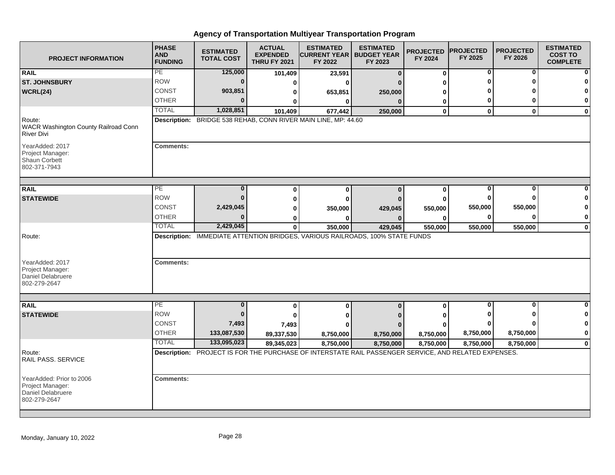| <b>PROJECT INFORMATION</b>                                                        | <b>PHASE</b><br><b>AND</b><br><b>FUNDING</b> | <b>ESTIMATED</b><br><b>TOTAL COST</b> | <b>ACTUAL</b><br><b>EXPENDED</b><br><b>THRU FY 2021</b> | <b>ESTIMATED</b><br><b>CURRENT YEAR   BUDGET YEAR</b><br>FY 2022                                     | <b>ESTIMATED</b><br>FY 2023 | <b>PROJECTED</b><br>FY 2024 | <b>PROJECTED</b><br>FY 2025 | <b>PROJECTED</b><br>FY 2026 | <b>ESTIMATED</b><br><b>COST TO</b><br><b>COMPLETE</b> |
|-----------------------------------------------------------------------------------|----------------------------------------------|---------------------------------------|---------------------------------------------------------|------------------------------------------------------------------------------------------------------|-----------------------------|-----------------------------|-----------------------------|-----------------------------|-------------------------------------------------------|
| <b>RAIL</b>                                                                       | PE                                           | 125,000                               | 101,409                                                 | 23,591                                                                                               | $\mathbf{0}$                | $\bf{0}$                    | 0                           | 0                           |                                                       |
| <b>ST. JOHNSBURY</b>                                                              | <b>ROW</b>                                   | $\mathbf 0$                           | 0                                                       | $\bf{0}$                                                                                             |                             | O                           | ŋ                           | U                           |                                                       |
| WCRL(24)                                                                          | <b>CONST</b>                                 | 903,851                               | 0                                                       | 653,851                                                                                              | 250,000                     | 0                           |                             |                             |                                                       |
|                                                                                   | <b>OTHER</b>                                 | $\bf{0}$                              |                                                         | $\mathbf{0}$                                                                                         | $\Omega$                    | 0                           | 0                           | 0                           | $\bf{0}$                                              |
|                                                                                   | <b>TOTAL</b>                                 | 1,028,851                             | 101,409                                                 | 677,442                                                                                              | 250,000                     | $\bf{0}$                    | $\mathbf 0$                 | $\mathbf{0}$                | $\bf{0}$                                              |
| Route:<br>WACR Washington County Railroad Conn<br><b>River Divi</b>               |                                              |                                       |                                                         | Description: BRIDGE 538 REHAB, CONN RIVER MAIN LINE, MP: 44.60                                       |                             |                             |                             |                             |                                                       |
| YearAdded: 2017<br>Project Manager:<br>Shaun Corbett<br>802-371-7943              | <b>Comments:</b>                             |                                       |                                                         |                                                                                                      |                             |                             |                             |                             |                                                       |
| <b>RAIL</b>                                                                       | $\overline{PE}$                              | $\bf{0}$                              | $\bf{0}$                                                | $\bf{0}$                                                                                             | $\mathbf{0}$                | $\bf{0}$                    | 0                           | 0                           |                                                       |
| <b>STATEWIDE</b>                                                                  | <b>ROW</b>                                   | $\Omega$                              | $\bf{0}$                                                | $\bf{0}$                                                                                             |                             | $\bf{0}$                    | 0                           | U                           |                                                       |
|                                                                                   | <b>CONST</b>                                 | 2,429,045                             | ŋ                                                       | 350,000                                                                                              | 429,045                     | 550,000                     | 550,000                     | 550,000                     |                                                       |
|                                                                                   | <b>OTHER</b>                                 | $\bf{0}$                              | 0                                                       |                                                                                                      |                             | 0                           | 0                           | $\bf{0}$                    | $\mathbf 0$                                           |
|                                                                                   | <b>TOTAL</b>                                 | 2,429,045                             | $\bf{0}$                                                | 350,000                                                                                              | 429,045                     | 550,000                     | 550,000                     | 550,000                     | $\bf{0}$                                              |
| Route:<br>YearAdded: 2017<br>Project Manager:<br><b>Daniel Delabruere</b>         | <b>Comments:</b>                             |                                       |                                                         | Description: IMMEDIATE ATTENTION BRIDGES, VARIOUS RAILROADS, 100% STATE FUNDS                        |                             |                             |                             |                             |                                                       |
| 802-279-2647                                                                      |                                              |                                       |                                                         |                                                                                                      |                             |                             |                             |                             |                                                       |
| <b>RAIL</b>                                                                       | PE                                           | $\bf{0}$                              |                                                         |                                                                                                      |                             |                             | 0                           | $\bf{0}$                    | $\Omega$                                              |
|                                                                                   | <b>ROW</b>                                   | $\bf{0}$                              | 0                                                       | $\bf{0}$                                                                                             | $\bf{0}$                    | $\bf{0}$                    |                             | ŋ                           | $\mathbf{0}$                                          |
| <b>STATEWIDE</b>                                                                  | <b>CONST</b>                                 | 7,493                                 | 0                                                       | 0                                                                                                    |                             | ŋ                           |                             |                             | $\mathbf 0$                                           |
|                                                                                   | <b>OTHER</b>                                 | 133,087,530                           | 7,493                                                   | Λ                                                                                                    |                             |                             | 8,750,000                   | 8,750,000                   | $\mathbf 0$                                           |
|                                                                                   | <b>TOTAL</b>                                 | 133,095,023                           | 89,337,530<br>89,345,023                                | 8,750,000<br>8,750,000                                                                               | 8,750,000<br>8,750,000      | 8,750,000<br>8,750,000      | 8,750,000                   | 8,750,000                   | $\mathbf 0$                                           |
| Route:<br>RAIL PASS. SERVICE                                                      |                                              |                                       |                                                         | Description: PROJECT IS FOR THE PURCHASE OF INTERSTATE RAIL PASSENGER SERVICE, AND RELATED EXPENSES. |                             |                             |                             |                             |                                                       |
| YearAdded: Prior to 2006<br>Project Manager:<br>Daniel Delabruere<br>802-279-2647 | <b>Comments:</b>                             |                                       |                                                         |                                                                                                      |                             |                             |                             |                             |                                                       |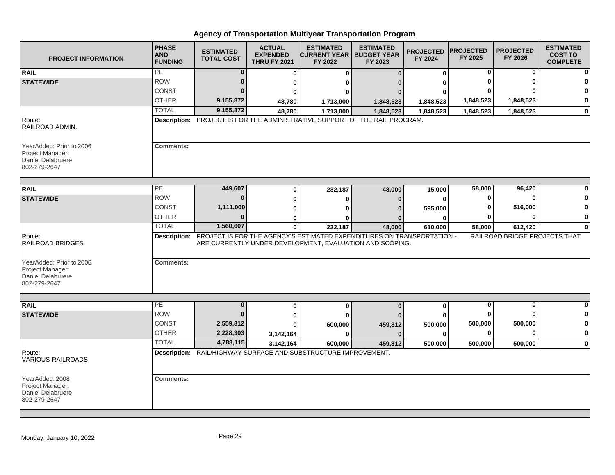| <b>PROJECT INFORMATION</b>                                                        | <b>PHASE</b><br><b>AND</b><br><b>FUNDING</b> | <b>ESTIMATED</b><br><b>TOTAL COST</b> | <b>ACTUAL</b><br><b>EXPENDED</b><br><b>THRU FY 2021</b> | <b>ESTIMATED</b><br><b>CURRENT YEAR   BUDGET YEAR</b><br>FY 2022                                                                                | <b>ESTIMATED</b><br>FY 2023 | <b>PROJECTED</b><br>FY 2024 | <b>PROJECTED</b><br>FY 2025 | <b>PROJECTED</b><br>FY 2026   | <b>ESTIMATED</b><br><b>COST TO</b><br><b>COMPLETE</b> |
|-----------------------------------------------------------------------------------|----------------------------------------------|---------------------------------------|---------------------------------------------------------|-------------------------------------------------------------------------------------------------------------------------------------------------|-----------------------------|-----------------------------|-----------------------------|-------------------------------|-------------------------------------------------------|
| <b>RAIL</b>                                                                       | PE                                           | 0                                     | 0                                                       | 0                                                                                                                                               | $\Omega$                    | $\mathbf 0$                 | 0                           | 0                             | 0                                                     |
| <b>STATEWIDE</b>                                                                  | <b>ROW</b>                                   |                                       | 0                                                       |                                                                                                                                                 |                             |                             |                             |                               |                                                       |
|                                                                                   | CONST                                        |                                       |                                                         |                                                                                                                                                 |                             |                             |                             |                               | $\mathbf{0}$                                          |
|                                                                                   | <b>OTHER</b>                                 | 9,155,872                             | 48,780                                                  | 1,713,000                                                                                                                                       | 1,848,523                   | 1,848,523                   | 1,848,523                   | 1,848,523                     | $\mathbf{0}$                                          |
|                                                                                   | <b>TOTAL</b>                                 | 9,155,872                             | 48,780                                                  | 1,713,000                                                                                                                                       | 1,848,523                   | 1,848,523                   | 1,848,523                   | 1,848,523                     | $\mathbf{0}$                                          |
| Route:<br>RAILROAD ADMIN.                                                         |                                              |                                       |                                                         | Description: PROJECT IS FOR THE ADMINISTRATIVE SUPPORT OF THE RAIL PROGRAM.                                                                     |                             |                             |                             |                               |                                                       |
| YearAdded: Prior to 2006<br>Project Manager:<br>Daniel Delabruere<br>802-279-2647 | <b>Comments:</b>                             |                                       |                                                         |                                                                                                                                                 |                             |                             |                             |                               |                                                       |
| <b>RAIL</b>                                                                       | PE.                                          | 449,607                               | 0                                                       | 232,187                                                                                                                                         | 48,000                      | 15,000                      | 58,000                      | 96,420                        |                                                       |
| <b>STATEWIDE</b>                                                                  | <b>ROW</b>                                   | $\Omega$                              | O                                                       |                                                                                                                                                 |                             | ŋ                           | O                           |                               | 0                                                     |
|                                                                                   | <b>CONST</b>                                 | 1,111,000                             | U                                                       |                                                                                                                                                 |                             | 595,000                     |                             | 516,000                       | $\bf{0}$                                              |
|                                                                                   | <b>OTHER</b>                                 |                                       | ŋ                                                       |                                                                                                                                                 |                             |                             |                             |                               | $\mathbf{0}$                                          |
|                                                                                   | <b>TOTAL</b>                                 | 1,560,607                             | 0                                                       | 232,187                                                                                                                                         | 48,000                      | 610,000                     | 58,000                      | 612,420                       | $\mathbf{0}$                                          |
| Route:<br><b>RAILROAD BRIDGES</b>                                                 |                                              |                                       |                                                         | Description: PROJECT IS FOR THE AGENCY'S ESTIMATED EXPENDITURES ON TRANSPORTATION -<br>ARE CURRENTLY UNDER DEVELOPMENT, EVALUATION AND SCOPING. |                             |                             |                             | RAILROAD BRIDGE PROJECTS THAT |                                                       |
| YearAdded: Prior to 2006<br>Project Manager:<br>Daniel Delabruere<br>802-279-2647 | <b>Comments:</b>                             |                                       |                                                         |                                                                                                                                                 |                             |                             |                             |                               |                                                       |
|                                                                                   |                                              |                                       |                                                         |                                                                                                                                                 |                             |                             |                             |                               |                                                       |
| <b>RAIL</b>                                                                       | PE<br><b>ROW</b>                             | $\bf{0}$<br>n                         | 0                                                       | 0                                                                                                                                               | $\Omega$                    | 0                           | $\bf{0}$                    | $\bf{0}$                      | $\mathbf{0}$<br>$\mathbf{0}$                          |
| <b>STATEWIDE</b>                                                                  | <b>CONST</b>                                 | 2,559,812                             | 0                                                       |                                                                                                                                                 |                             |                             | 500,000                     | 500,000                       | $\mathbf{0}$                                          |
|                                                                                   | <b>OTHER</b>                                 | 2,228,303                             |                                                         | 600,000<br>ŋ                                                                                                                                    | 459,812<br>$\Omega$         | 500,000<br>ŋ                | 0                           |                               | $\mathbf{0}$                                          |
|                                                                                   | <b>TOTAL</b>                                 | 4,788,115                             | 3,142,164<br>3,142,164                                  | 600,000                                                                                                                                         | 459,812                     | 500,000                     | 500,000                     | 500,000                       | $\mathbf{0}$                                          |
| Route:<br><b>VARIOUS-RAILROADS</b>                                                |                                              |                                       |                                                         | Description: RAIL/HIGHWAY SURFACE AND SUBSTRUCTURE IMPROVEMENT.                                                                                 |                             |                             |                             |                               |                                                       |
| YearAdded: 2008<br>Project Manager:<br>Daniel Delabruere<br>802-279-2647          | <b>Comments:</b>                             |                                       |                                                         |                                                                                                                                                 |                             |                             |                             |                               |                                                       |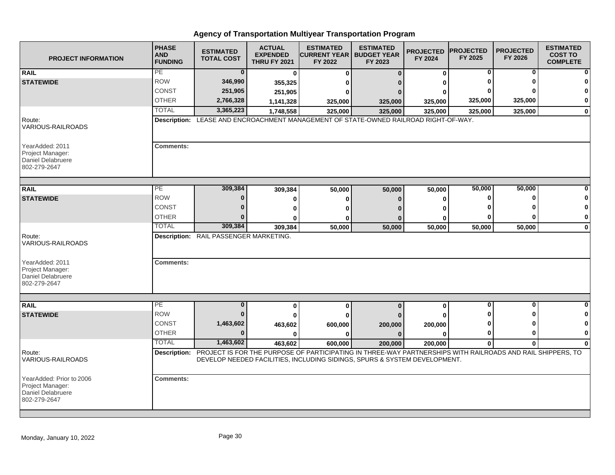| <b>PROJECT INFORMATION</b>                                                        | <b>PHASE</b><br><b>AND</b><br><b>FUNDING</b> | <b>ESTIMATED</b><br><b>TOTAL COST</b>  | <b>ACTUAL</b><br><b>EXPENDED</b><br><b>THRU FY 2021</b> | <b>ESTIMATED</b><br><b>ICURRENT YEAR   BUDGET YEAR</b><br>FY 2022                                                                                                                                    | <b>ESTIMATED</b><br>FY 2023 | <b>PROJECTED</b><br>FY 2024 | <b>PROJECTED</b><br>FY 2025 | <b>PROJECTED</b><br>FY 2026 | <b>ESTIMATED</b><br><b>COST TO</b><br><b>COMPLETE</b> |
|-----------------------------------------------------------------------------------|----------------------------------------------|----------------------------------------|---------------------------------------------------------|------------------------------------------------------------------------------------------------------------------------------------------------------------------------------------------------------|-----------------------------|-----------------------------|-----------------------------|-----------------------------|-------------------------------------------------------|
| <b>RAIL</b>                                                                       | PE                                           | $\bf{0}$                               | 0                                                       | $\bf{0}$                                                                                                                                                                                             | $\Omega$                    | $\bf{0}$                    | 0                           | 0                           |                                                       |
| <b>STATEWIDE</b>                                                                  | <b>ROW</b>                                   | 346,990                                | 355,325                                                 | ŋ                                                                                                                                                                                                    |                             | ŋ                           |                             |                             |                                                       |
|                                                                                   | <b>CONST</b>                                 | 251,905                                | 251,905                                                 | 0                                                                                                                                                                                                    |                             |                             |                             |                             |                                                       |
|                                                                                   | <b>OTHER</b>                                 | 2,766,328                              | 1,141,328                                               | 325,000                                                                                                                                                                                              | 325,000                     | 325,000                     | 325,000                     | 325,000                     | 0                                                     |
|                                                                                   | <b>TOTAL</b>                                 | 3,365,223                              | 1,748,558                                               | 325,000                                                                                                                                                                                              | 325,000                     | 325,000                     | 325,000                     | 325,000                     | $\bf{0}$                                              |
| Route:<br>VARIOUS-RAILROADS                                                       |                                              |                                        |                                                         | Description: LEASE AND ENCROACHMENT MANAGEMENT OF STATE-OWNED RAILROAD RIGHT-OF-WAY.                                                                                                                 |                             |                             |                             |                             |                                                       |
| YearAdded: 2011<br>Project Manager:<br>Daniel Delabruere<br>802-279-2647          | <b>Comments:</b>                             |                                        |                                                         |                                                                                                                                                                                                      |                             |                             |                             |                             |                                                       |
| <b>RAIL</b>                                                                       | PE                                           | 309,384                                | 309,384                                                 | 50,000                                                                                                                                                                                               | 50,000                      | 50,000                      | 50,000                      | 50,000                      |                                                       |
| <b>STATEWIDE</b>                                                                  | <b>ROW</b>                                   | 0                                      | $\bf{0}$                                                | $\bf{0}$                                                                                                                                                                                             | n                           | $\bf{0}$                    | 0                           | O                           |                                                       |
|                                                                                   | <b>CONST</b>                                 | $\bf{0}$                               | 0                                                       | ŋ                                                                                                                                                                                                    |                             | ŋ                           |                             |                             | 0                                                     |
|                                                                                   | <b>OTHER</b>                                 |                                        |                                                         | ŋ                                                                                                                                                                                                    |                             | ŋ                           | 0                           | ŋ                           | $\mathbf 0$                                           |
|                                                                                   | <b>TOTAL</b>                                 | 309,384                                | 309,384                                                 | 50,000                                                                                                                                                                                               | 50,000                      | 50,000                      | 50,000                      | 50,000                      | $\mathbf 0$                                           |
| Route:<br>VARIOUS-RAILROADS                                                       |                                              | Description: RAIL PASSENGER MARKETING. |                                                         |                                                                                                                                                                                                      |                             |                             |                             |                             |                                                       |
| YearAdded: 2011<br>Project Manager:<br><b>Daniel Delabruere</b><br>802-279-2647   | <b>Comments:</b>                             |                                        |                                                         |                                                                                                                                                                                                      |                             |                             |                             |                             |                                                       |
|                                                                                   |                                              |                                        |                                                         |                                                                                                                                                                                                      |                             |                             |                             |                             |                                                       |
| <b>RAIL</b>                                                                       | PE                                           | $\bf{0}$                               | 0                                                       | $\bf{0}$                                                                                                                                                                                             | $\Omega$                    | $\mathbf 0$                 | $\mathbf 0$                 | $\mathbf{0}$                |                                                       |
| <b>STATEWIDE</b>                                                                  | <b>ROW</b>                                   | $\bf{0}$                               |                                                         | U                                                                                                                                                                                                    |                             |                             |                             |                             |                                                       |
|                                                                                   | CONST                                        | 1,463,602                              | 463,602                                                 | 600,000                                                                                                                                                                                              | 200,000                     | 200,000                     |                             |                             |                                                       |
|                                                                                   | <b>OTHER</b>                                 | $\bf{0}$                               | 0                                                       | $\bf{0}$                                                                                                                                                                                             | $\Omega$                    | O                           | 0                           | ŋ                           | 0                                                     |
|                                                                                   | <b>TOTAL</b>                                 | 1,463,602                              | 463,602                                                 | 600,000                                                                                                                                                                                              | 200,000                     | 200,000                     | $\mathbf 0$                 | $\bf{0}$                    | $\bf{0}$                                              |
| Route:<br><b>VARIOUS-RAILROADS</b>                                                |                                              |                                        |                                                         | Description: PROJECT IS FOR THE PURPOSE OF PARTICIPATING IN THREE-WAY PARTNERSHIPS WITH RAILROADS AND RAIL SHIPPERS, TO<br>DEVELOP NEEDED FACILITIES, INCLUDING SIDINGS, SPURS & SYSTEM DEVELOPMENT. |                             |                             |                             |                             |                                                       |
| YearAdded: Prior to 2006<br>Project Manager:<br>Daniel Delabruere<br>802-279-2647 | <b>Comments:</b>                             |                                        |                                                         |                                                                                                                                                                                                      |                             |                             |                             |                             |                                                       |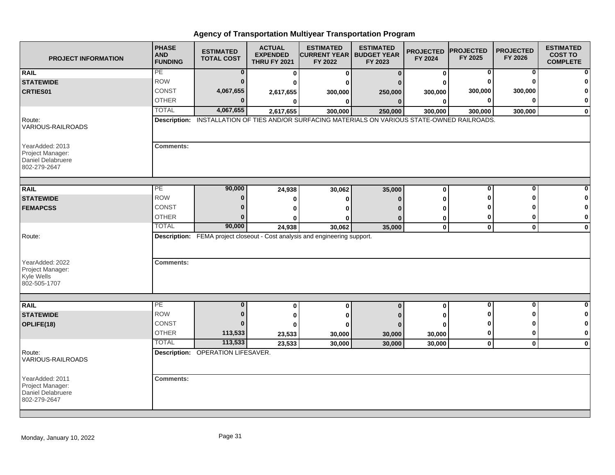| <b>PROJECT INFORMATION</b>                                               | <b>PHASE</b><br><b>AND</b><br><b>FUNDING</b> | <b>ESTIMATED</b><br><b>TOTAL COST</b> | <b>ACTUAL</b><br><b>EXPENDED</b><br><b>THRU FY 2021</b> | <b>ESTIMATED</b><br><b>CURRENT YEAR   BUDGET YEAR</b><br>FY 2022                               | <b>ESTIMATED</b><br>FY 2023 | <b>PROJECTED</b><br>FY 2024 | <b>PROJECTED</b><br>FY 2025 | <b>PROJECTED</b><br>FY 2026 | <b>ESTIMATED</b><br><b>COST TO</b><br><b>COMPLETE</b> |
|--------------------------------------------------------------------------|----------------------------------------------|---------------------------------------|---------------------------------------------------------|------------------------------------------------------------------------------------------------|-----------------------------|-----------------------------|-----------------------------|-----------------------------|-------------------------------------------------------|
| <b>RAIL</b>                                                              | PE                                           | $\bf{0}$                              | 0                                                       | 0                                                                                              | $\bf{0}$                    | 0                           | 0                           | $\bf{0}$                    | $\Omega$                                              |
| <b>STATEWIDE</b>                                                         | <b>ROW</b>                                   | $\Omega$                              | 0                                                       | O                                                                                              |                             | O                           | 0                           | n                           | ŋ                                                     |
| <b>CRTIES01</b>                                                          | CONST                                        | 4,067,655                             | 2,617,655                                               | 300,000                                                                                        | 250,000                     | 300,000                     | 300,000                     | 300,000                     | 0                                                     |
|                                                                          | <b>OTHER</b>                                 | $\Omega$                              | 0                                                       | 0                                                                                              | $\bf{0}$                    | $\bf{0}$                    | 0                           | ŋ                           | 0                                                     |
|                                                                          | <b>TOTAL</b>                                 | 4,067,655                             | 2,617,655                                               | 300,000                                                                                        | 250,000                     | 300,000                     | 300,000                     | 300,000                     | $\pmb{0}$                                             |
| Route:<br>VARIOUS-RAILROADS                                              |                                              |                                       |                                                         | Description: INSTALLATION OF TIES AND/OR SURFACING MATERIALS ON VARIOUS STATE-OWNED RAILROADS. |                             |                             |                             |                             |                                                       |
| YearAdded: 2013<br>Project Manager:<br>Daniel Delabruere<br>802-279-2647 | <b>Comments:</b>                             |                                       |                                                         |                                                                                                |                             |                             |                             |                             |                                                       |
| <b>RAIL</b>                                                              | PE                                           | 90,000                                | 24,938                                                  | 30,062                                                                                         | 35,000                      | $\bf{0}$                    | $\bf{0}$                    | $\bf{0}$                    |                                                       |
| <b>STATEWIDE</b>                                                         | <b>ROW</b>                                   | $\bf{0}$                              |                                                         |                                                                                                | $\Omega$                    | Λ                           |                             | ŋ                           | 0                                                     |
| <b>FEMAPCSS</b>                                                          | CONST                                        | $\bf{0}$                              | 0                                                       | 0                                                                                              |                             |                             |                             |                             | $\bf{0}$                                              |
|                                                                          | <b>OTHER</b>                                 | $\Omega$                              | 0                                                       | 0                                                                                              |                             | ŋ                           | 0                           | 0                           | 0                                                     |
|                                                                          | <b>TOTAL</b>                                 | 90,000                                | 0                                                       | O                                                                                              | $\Omega$                    | 0<br>$\mathbf 0$            | $\mathbf{0}$                |                             | $\mathbf 0$                                           |
| Route:                                                                   |                                              |                                       | 24,938                                                  | 30,062<br>Description: FEMA project closeout - Cost analysis and engineering support.          | 35,000                      |                             |                             | $\mathbf 0$                 |                                                       |
| YearAdded: 2022<br>Project Manager:<br>Kyle Wells<br>802-505-1707        | <b>Comments:</b>                             |                                       |                                                         |                                                                                                |                             |                             |                             |                             |                                                       |
|                                                                          | PE                                           |                                       |                                                         |                                                                                                |                             |                             |                             |                             |                                                       |
| <b>RAIL</b>                                                              | <b>ROW</b>                                   | $\bf{0}$<br>$\bf{0}$                  | 0                                                       | $\bf{0}$                                                                                       | $\mathbf 0$                 | 0                           | 0                           | 0                           | 0<br>0                                                |
| <b>STATEWIDE</b>                                                         | CONST                                        | $\bf{0}$                              | 0                                                       | 0                                                                                              |                             | ŋ                           |                             |                             | 0                                                     |
| OPLIFE(18)                                                               | <b>OTHER</b>                                 |                                       | 0                                                       | O                                                                                              | $\Omega$                    | U                           |                             | O                           | 0                                                     |
|                                                                          | <b>TOTAL</b>                                 | 113,533<br>113,533                    | 23,533                                                  | 30,000                                                                                         | 30,000                      | 30,000                      | 0                           |                             |                                                       |
|                                                                          |                                              |                                       | 23,533                                                  | 30,000                                                                                         | 30,000                      | 30,000                      | $\mathbf 0$                 | $\mathbf 0$                 | $\mathbf 0$                                           |
| Route:<br><b>VARIOUS-RAILROADS</b>                                       |                                              | Description: OPERATION LIFESAVER.     |                                                         |                                                                                                |                             |                             |                             |                             |                                                       |
| YearAdded: 2011                                                          | <b>Comments:</b>                             |                                       |                                                         |                                                                                                |                             |                             |                             |                             |                                                       |
| Project Manager:                                                         |                                              |                                       |                                                         |                                                                                                |                             |                             |                             |                             |                                                       |
| Daniel Delabruere<br>802-279-2647                                        |                                              |                                       |                                                         |                                                                                                |                             |                             |                             |                             |                                                       |
|                                                                          |                                              |                                       |                                                         |                                                                                                |                             |                             |                             |                             |                                                       |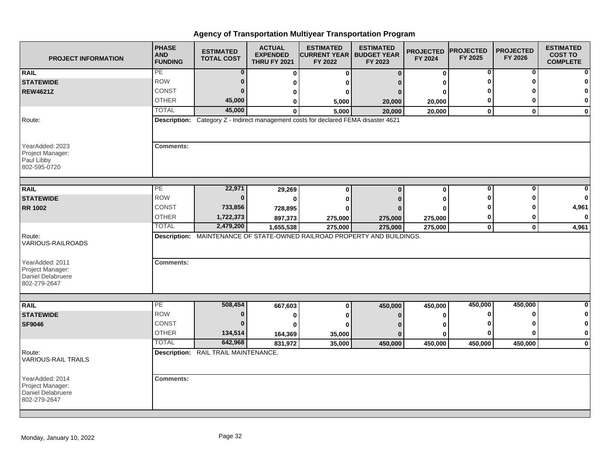| <b>PROJECT INFORMATION</b>                                               | <b>PHASE</b><br><b>AND</b><br><b>FUNDING</b> | <b>ESTIMATED</b><br><b>TOTAL COST</b> | <b>ACTUAL</b><br><b>EXPENDED</b><br><b>THRU FY 2021</b> | <b>ESTIMATED</b><br><b>CURRENT YEAR</b>  <br>FY 2022                                | <b>ESTIMATED</b><br><b>BUDGET YEAR</b><br>FY 2023 | <b>PROJECTED</b><br>FY 2024 | <b>PROJECTED</b><br>FY 2025 | <b>PROJECTED</b><br>FY 2026 | <b>ESTIMATED</b><br><b>COST TO</b><br><b>COMPLETE</b> |
|--------------------------------------------------------------------------|----------------------------------------------|---------------------------------------|---------------------------------------------------------|-------------------------------------------------------------------------------------|---------------------------------------------------|-----------------------------|-----------------------------|-----------------------------|-------------------------------------------------------|
| <b>RAIL</b>                                                              | PE                                           | $\bf{0}$                              | 0                                                       | 0                                                                                   | $\Omega$                                          | $\mathbf 0$                 | 0                           | 0                           | $\mathbf{0}$                                          |
| <b>STATEWIDE</b>                                                         | <b>ROW</b>                                   | $\bf{0}$                              | ŋ                                                       |                                                                                     |                                                   |                             |                             |                             | $\mathbf{0}$                                          |
| <b>REW4621Z</b>                                                          | <b>CONST</b>                                 | $\bf{0}$                              |                                                         |                                                                                     |                                                   |                             |                             |                             | $\mathbf{0}$                                          |
|                                                                          | <b>OTHER</b>                                 | 45,000                                | ŋ                                                       | 5,000                                                                               | 20,000                                            | 20,000                      | 0                           |                             | $\mathbf{0}$                                          |
|                                                                          | <b>TOTAL</b>                                 | 45,000                                | $\bf{0}$                                                | 5,000                                                                               | 20,000                                            | 20,000                      | $\mathbf 0$                 | $\mathbf{0}$                | $\mathbf{0}$                                          |
| Route:                                                                   |                                              |                                       |                                                         | Description: Category Z - Indirect management costs for declared FEMA disaster 4621 |                                                   |                             |                             |                             |                                                       |
| YearAdded: 2023<br>Project Manager:<br>Paul Libby<br>802-595-0720        | <b>Comments:</b>                             |                                       |                                                         |                                                                                     |                                                   |                             |                             |                             |                                                       |
| <b>RAIL</b>                                                              | PE                                           | 22,971                                | 29,269                                                  | 0                                                                                   | $\Omega$                                          | 0                           | 0                           | $\bf{0}$                    | $\mathbf{0}$                                          |
| <b>STATEWIDE</b>                                                         | <b>ROW</b>                                   | $\bf{0}$                              |                                                         | ŋ                                                                                   |                                                   |                             |                             |                             | $\mathbf{0}$                                          |
| <b>RR 1002</b>                                                           | <b>CONST</b>                                 | 733,856                               | 728,895                                                 |                                                                                     |                                                   |                             |                             |                             | 4,961                                                 |
|                                                                          | <b>OTHER</b>                                 | 1,722,373                             | 897,373                                                 | 275,000                                                                             | 275,000                                           | 275,000                     | 0                           |                             | $\mathbf{0}$                                          |
|                                                                          | <b>TOTAL</b>                                 | 2,479,200                             | 1,655,538                                               | 275,000                                                                             | 275,000                                           | 275,000                     | $\pmb{0}$                   | $\mathbf{0}$                | 4,961                                                 |
| Route:<br><b>VARIOUS-RAILROADS</b>                                       |                                              |                                       |                                                         | Description: MAINTENANCE OF STATE-OWNED RAILROAD PROPERTY AND BUILDINGS.            |                                                   |                             |                             |                             |                                                       |
| YearAdded: 2011<br>Project Manager:<br>Daniel Delabruere<br>802-279-2647 | <b>Comments:</b>                             |                                       |                                                         |                                                                                     |                                                   |                             |                             |                             |                                                       |
|                                                                          |                                              |                                       |                                                         |                                                                                     |                                                   |                             |                             |                             |                                                       |
| <b>RAIL</b>                                                              | PE                                           | 508,454                               | 667,603                                                 | 0                                                                                   | 450,000                                           | 450,000                     | 450,000                     | 450,000                     | $\mathbf{0}$                                          |
| <b>STATEWIDE</b>                                                         | <b>ROW</b>                                   | 0                                     | 0                                                       |                                                                                     |                                                   |                             | ŋ                           |                             | 0                                                     |
| <b>SF9046</b>                                                            | CONST                                        | $\bf{0}$                              | O                                                       |                                                                                     |                                                   |                             |                             |                             | $\mathbf{0}$                                          |
|                                                                          | <b>OTHER</b>                                 | 134,514                               | 164,369                                                 | 35,000                                                                              | n                                                 | ŋ                           | 0                           |                             | $\mathbf{0}$                                          |
|                                                                          | <b>TOTAL</b>                                 | 642,968                               | 831,972                                                 | 35,000                                                                              | 450,000                                           | 450,000                     | 450,000                     | 450,000                     | $\mathbf{0}$                                          |
| Route:<br><b>VARIOUS-RAIL TRAILS</b>                                     |                                              | Description: RAIL TRAIL MAINTENANCE.  |                                                         |                                                                                     |                                                   |                             |                             |                             |                                                       |
| YearAdded: 2014<br>Project Manager:<br>Daniel Delabruere<br>802-279-2647 | <b>Comments:</b>                             |                                       |                                                         |                                                                                     |                                                   |                             |                             |                             |                                                       |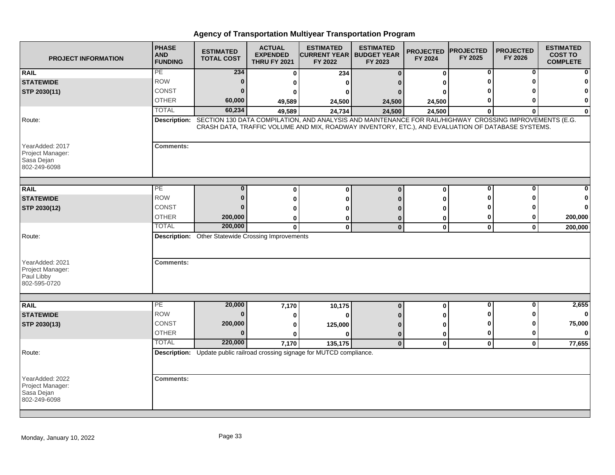| <b>PROJECT INFORMATION</b>                                        | <b>PHASE</b><br><b>AND</b><br><b>FUNDING</b> | <b>ESTIMATED</b><br><b>TOTAL COST</b>                     | <b>ACTUAL</b><br><b>EXPENDED</b><br><b>THRU FY 2021</b> | <b>ESTIMATED</b><br><b>CURRENT YEAR   BUDGET YEAR</b><br>FY 2022                                                                                                                                             | <b>ESTIMATED</b><br>FY 2023 | <b>PROJECTED</b><br>FY 2024 | <b>PROJECTED</b><br>FY 2025 | <b>PROJECTED</b><br>FY 2026 | <b>ESTIMATED</b><br><b>COST TO</b><br><b>COMPLETE</b> |
|-------------------------------------------------------------------|----------------------------------------------|-----------------------------------------------------------|---------------------------------------------------------|--------------------------------------------------------------------------------------------------------------------------------------------------------------------------------------------------------------|-----------------------------|-----------------------------|-----------------------------|-----------------------------|-------------------------------------------------------|
| <b>RAIL</b>                                                       | PE                                           | 234                                                       | $\bf{0}$                                                | 234                                                                                                                                                                                                          | $\Omega$                    | 0                           | 0                           | 0                           |                                                       |
| <b>STATEWIDE</b>                                                  | <b>ROW</b>                                   | $\bf{0}$                                                  | U                                                       | <sup>0</sup>                                                                                                                                                                                                 |                             | U                           |                             |                             |                                                       |
| STP 2030(11)                                                      | CONST                                        | $\bf{0}$                                                  | 0                                                       | 0                                                                                                                                                                                                            |                             | ŋ                           |                             |                             |                                                       |
|                                                                   | <b>OTHER</b>                                 | 60,000                                                    | 49,589                                                  | 24,500                                                                                                                                                                                                       | 24,500                      | 24,500                      | 0                           | ŋ                           | $\bf{0}$                                              |
|                                                                   | <b>TOTAL</b>                                 | 60,234                                                    | 49,589                                                  | 24,734                                                                                                                                                                                                       | 24,500                      | 24,500                      | $\bf{0}$                    | $\bf{0}$                    | $\bf{0}$                                              |
| Route:                                                            | <b>Description:</b>                          |                                                           |                                                         | SECTION 130 DATA COMPILATION, AND ANALYSIS AND MAINTENANCE FOR RAIL/HIGHWAY CROSSING IMPROVEMENTS (E.G.<br>CRASH DATA, TRAFFIC VOLUME AND MIX, ROADWAY INVENTORY, ETC.), AND EVALUATION OF DATABASE SYSTEMS. |                             |                             |                             |                             |                                                       |
| YearAdded: 2017<br>Project Manager:<br>Sasa Dejan<br>802-249-6098 | <b>Comments:</b>                             |                                                           |                                                         |                                                                                                                                                                                                              |                             |                             |                             |                             |                                                       |
|                                                                   | PE                                           | $\bf{0}$                                                  |                                                         |                                                                                                                                                                                                              |                             |                             | $\bf{0}$                    | $\bf{0}$                    |                                                       |
| <b>RAIL</b><br><b>STATEWIDE</b>                                   | <b>ROW</b>                                   | $\bf{0}$                                                  | $\bf{0}$                                                | $\bf{0}$                                                                                                                                                                                                     | $\bf{0}$                    | $\bf{0}$                    | Λ                           | ∩                           |                                                       |
|                                                                   | CONST                                        | 0                                                         | $\bf{0}$                                                | 0                                                                                                                                                                                                            |                             | 0                           |                             |                             | 0                                                     |
| STP 2030(12)                                                      | <b>OTHER</b>                                 | 200,000                                                   | 0                                                       | ŋ                                                                                                                                                                                                            |                             | ŋ                           | 0                           | 0                           | 200,000                                               |
|                                                                   | <b>TOTAL</b>                                 | 200,000                                                   | 0<br>$\mathbf{0}$                                       | 0<br>$\mathbf{0}$                                                                                                                                                                                            | 0<br>$\bf{0}$               | 0<br>$\mathbf 0$            | $\mathbf{0}$                | $\mathbf{0}$                | 200,000                                               |
| Route:<br>YearAdded: 2021                                         | <b>Comments:</b>                             | <b>Description:</b> Other Statewide Crossing Improvements |                                                         |                                                                                                                                                                                                              |                             |                             |                             |                             |                                                       |
| Project Manager:<br>Paul Libby<br>802-595-0720                    |                                              |                                                           |                                                         |                                                                                                                                                                                                              |                             |                             |                             |                             |                                                       |
| <b>RAIL</b>                                                       | PE                                           | 20,000                                                    | 7,170                                                   | 10,175                                                                                                                                                                                                       | $\bf{0}$                    | 0                           | 0                           | 0                           | 2,655                                                 |
| <b>STATEWIDE</b>                                                  | <b>ROW</b>                                   | $\bf{0}$                                                  | 0                                                       | $\bf{0}$                                                                                                                                                                                                     |                             | U                           | ŋ                           | ŋ                           | $\mathbf{0}$                                          |
| STP 2030(13)                                                      | <b>CONST</b>                                 | 200,000                                                   | 0                                                       | 125,000                                                                                                                                                                                                      |                             | 0                           | 0                           | ŋ                           | 75,000                                                |
|                                                                   | <b>OTHER</b>                                 | $\Omega$                                                  | 0                                                       | O                                                                                                                                                                                                            | $\bf{0}$                    | 0                           | $\mathbf 0$                 | 0                           | $\bf{0}$                                              |
|                                                                   | <b>TOTAL</b>                                 | 220,000                                                   | 7,170                                                   | 135,175                                                                                                                                                                                                      | $\bf{0}$                    | $\mathbf 0$                 | $\mathbf 0$                 | $\mathbf 0$                 | 77,655                                                |
| Route:                                                            |                                              |                                                           |                                                         | Description: Update public railroad crossing signage for MUTCD compliance.                                                                                                                                   |                             |                             |                             |                             |                                                       |
| YearAdded: 2022<br>Project Manager:<br>Sasa Dejan<br>802-249-6098 | <b>Comments:</b>                             |                                                           |                                                         |                                                                                                                                                                                                              |                             |                             |                             |                             |                                                       |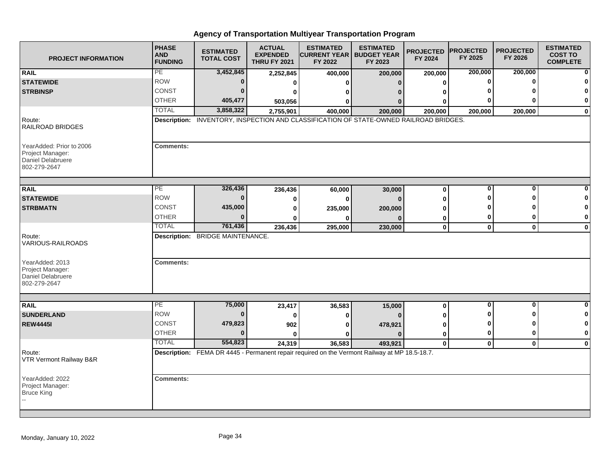| <b>PROJECT INFORMATION</b>                                                               | <b>PHASE</b><br><b>AND</b><br><b>FUNDING</b> | <b>ESTIMATED</b><br><b>TOTAL COST</b> | <b>ACTUAL</b><br><b>EXPENDED</b><br><b>THRU FY 2021</b> | <b>ESTIMATED</b><br><b>CURRENT YEAR   BUDGET YEAR</b><br>FY 2022                                        | <b>ESTIMATED</b><br>FY 2023 | <b>PROJECTED</b><br>FY 2024 | <b>PROJECTED</b><br>FY 2025 | <b>PROJECTED</b><br>FY 2026 | <b>ESTIMATED</b><br><b>COST TO</b><br><b>COMPLETE</b> |
|------------------------------------------------------------------------------------------|----------------------------------------------|---------------------------------------|---------------------------------------------------------|---------------------------------------------------------------------------------------------------------|-----------------------------|-----------------------------|-----------------------------|-----------------------------|-------------------------------------------------------|
| <b>RAIL</b>                                                                              | PE                                           | 3,452,845                             | 2,252,845                                               | 400,000                                                                                                 | 200,000                     | 200,000                     | 200,000                     | 200,000                     |                                                       |
| <b>STATEWIDE</b>                                                                         | <b>ROW</b>                                   | $\bf{0}$                              | $\bf{0}$                                                | <sup>0</sup>                                                                                            |                             | $\bf{0}$                    | $\bf{0}$                    | $\bf{0}$                    |                                                       |
| <b>STRBINSP</b>                                                                          | <b>CONST</b>                                 | $\Omega$                              | 0                                                       | ŋ                                                                                                       |                             |                             |                             |                             |                                                       |
|                                                                                          | <b>OTHER</b>                                 | 405,477                               | 503,056                                                 | 0                                                                                                       |                             |                             |                             |                             | $\bf{0}$                                              |
|                                                                                          | <b>TOTAL</b>                                 | 3,858,322                             | 2,755,901                                               | 400,000                                                                                                 | 200,000                     | 200,000                     | 200,000                     | 200,000                     | $\mathbf 0$                                           |
| Route:<br>RAILROAD BRIDGES                                                               |                                              |                                       |                                                         | Description: INVENTORY, INSPECTION AND CLASSIFICATION OF STATE-OWNED RAILROAD BRIDGES.                  |                             |                             |                             |                             |                                                       |
| YearAdded: Prior to 2006<br>Project Manager:<br><b>Daniel Delabruere</b><br>802-279-2647 | <b>Comments:</b>                             |                                       |                                                         |                                                                                                         |                             |                             |                             |                             |                                                       |
| <b>RAIL</b>                                                                              | PЕ                                           | 326,436                               | 236,436                                                 | 60,000                                                                                                  | 30,000                      | 0                           | $\bf{0}$                    | $\bf{0}$                    |                                                       |
| <b>STATEWIDE</b>                                                                         | <b>ROW</b>                                   | $\Omega$                              | 0                                                       | 0                                                                                                       | $\Omega$                    | 0                           | ŋ                           | ŋ                           |                                                       |
| <b>STRBMATN</b>                                                                          | <b>CONST</b>                                 | 435,000                               | 0                                                       | 235,000                                                                                                 | 200,000                     | ŋ                           |                             |                             | 0                                                     |
|                                                                                          | <b>OTHER</b>                                 | $\Omega$                              | 0                                                       | 0                                                                                                       |                             | 0                           | 0                           | 0                           | 0                                                     |
|                                                                                          | <b>TOTAL</b>                                 | 761,436                               | 236,436                                                 | 295,000                                                                                                 | 230,000                     | $\mathbf 0$                 | $\mathbf{0}$                | $\mathbf{0}$                | $\mathbf 0$                                           |
| Route:<br>VARIOUS-RAILROADS                                                              |                                              | Description: BRIDGE MAINTENANCE.      |                                                         |                                                                                                         |                             |                             |                             |                             |                                                       |
| YearAdded: 2013<br>Project Manager:<br><b>Daniel Delabruere</b><br>802-279-2647          | <b>Comments:</b>                             |                                       |                                                         |                                                                                                         |                             |                             |                             |                             |                                                       |
|                                                                                          | РE                                           |                                       |                                                         |                                                                                                         |                             |                             | 0                           | 0                           | $\bf{0}$                                              |
| <b>RAIL</b>                                                                              | <b>ROW</b>                                   | 75,000<br>$\bf{0}$                    | 23,417                                                  | 36,583                                                                                                  | 15,000                      | 0                           | ŋ                           | ŋ                           | 0                                                     |
| <b>SUNDERLAND</b>                                                                        | CONST                                        | 479,823                               | 0                                                       | 0                                                                                                       |                             | U                           | $\bf{0}$                    | ŋ                           | 0                                                     |
| <b>REW4445I</b>                                                                          | <b>OTHER</b>                                 | $\Omega$                              | 902                                                     | 0                                                                                                       | 478,921                     | 0                           | $\mathbf 0$                 | $\bf{0}$                    | $\mathbf 0$                                           |
|                                                                                          | <b>TOTAL</b>                                 | 554,823                               | $\bf{0}$                                                | <sup>0</sup>                                                                                            | n                           | 0                           |                             |                             |                                                       |
| Route:<br>VTR Vermont Railway B&R                                                        |                                              |                                       | 24,319                                                  | 36,583<br>Description: FEMA DR 4445 - Permanent repair required on the Vermont Railway at MP 18.5-18.7. | 493,921                     | 0                           | $\mathbf 0$                 | $\mathbf{0}$                | $\mathbf 0$                                           |
| YearAdded: 2022<br>Project Manager:<br><b>Bruce King</b>                                 | <b>Comments:</b>                             |                                       |                                                         |                                                                                                         |                             |                             |                             |                             |                                                       |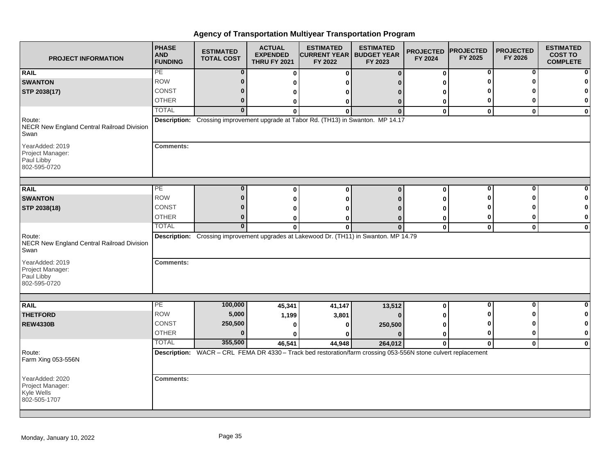| <b>PROJECT INFORMATION</b>                                        | <b>PHASE</b><br><b>AND</b><br><b>FUNDING</b> | <b>ESTIMATED</b><br><b>TOTAL COST</b> | <b>ACTUAL</b><br><b>EXPENDED</b><br><b>THRU FY 2021</b> | <b>ESTIMATED</b><br><b>CURRENT YEAR   BUDGET YEAR</b><br>FY 2022                                              | <b>ESTIMATED</b><br>FY 2023 | <b>PROJECTED</b><br>FY 2024 | <b>PROJECTED</b><br>FY 2025 | <b>PROJECTED</b><br>FY 2026 | <b>ESTIMATED</b><br><b>COST TO</b><br><b>COMPLETE</b> |
|-------------------------------------------------------------------|----------------------------------------------|---------------------------------------|---------------------------------------------------------|---------------------------------------------------------------------------------------------------------------|-----------------------------|-----------------------------|-----------------------------|-----------------------------|-------------------------------------------------------|
| <b>RAIL</b>                                                       | PE                                           | $\bf{0}$                              | $\mathbf 0$                                             | 0                                                                                                             | $\bf{0}$                    | 0                           | 0                           | 0                           |                                                       |
| <b>SWANTON</b>                                                    | <b>ROW</b>                                   | $\bf{0}$                              | 0                                                       | ŋ                                                                                                             |                             | ŋ                           | ŋ                           | ŋ                           |                                                       |
| STP 2038(17)                                                      | <b>CONST</b>                                 | 0                                     | 0                                                       | 0                                                                                                             |                             | 0                           |                             |                             |                                                       |
|                                                                   | <b>OTHER</b>                                 | $\bf{0}$                              | 0                                                       | 0                                                                                                             | 0                           | 0                           | 0                           | 0                           | 0                                                     |
|                                                                   | <b>TOTAL</b>                                 | $\overline{0}$                        | $\Omega$                                                | $\Omega$                                                                                                      | $\Omega$                    | $\mathbf{0}$                | $\mathbf{0}$                | $\mathbf{0}$                | $\bf{0}$                                              |
| Route:<br>NECR New England Central Railroad Division<br>Swan      |                                              |                                       |                                                         | Description: Crossing improvement upgrade at Tabor Rd. (TH13) in Swanton. MP 14.17                            |                             |                             |                             |                             |                                                       |
| YearAdded: 2019<br>Project Manager:<br>Paul Libby<br>802-595-0720 | <b>Comments:</b>                             |                                       |                                                         |                                                                                                               |                             |                             |                             |                             |                                                       |
|                                                                   | PE                                           | $\bf{0}$                              |                                                         |                                                                                                               |                             |                             | 0                           | 0                           | ŋ                                                     |
| <b>RAIL</b><br><b>SWANTON</b>                                     | <b>ROW</b>                                   | $\mathbf{0}$                          | 0                                                       | $\bf{0}$                                                                                                      | $\bf{0}$                    | 0                           | 0                           | ŋ                           |                                                       |
|                                                                   | <b>CONST</b>                                 | 0                                     | 0                                                       | 0                                                                                                             | n                           | 0                           |                             |                             | O                                                     |
| STP 2038(18)                                                      | <b>OTHER</b>                                 | $\bf{0}$                              | 0                                                       | 0                                                                                                             |                             | ŋ                           | 0                           | 0                           | $\mathbf 0$                                           |
|                                                                   | <b>TOTAL</b>                                 | $\mathbf{0}$                          | 0<br>$\mathbf{0}$                                       | 0<br>$\bf{0}$                                                                                                 | $\Omega$<br>$\bf{0}$        | 0<br>$\mathbf 0$            | $\mathbf{0}$                | $\mathbf 0$                 | $\bf{0}$                                              |
| Route:<br>NECR New England Central Railroad Division<br>Swan      |                                              |                                       |                                                         | Description: Crossing improvement upgrades at Lakewood Dr. (TH11) in Swanton. MP 14.79                        |                             |                             |                             |                             |                                                       |
| YearAdded: 2019<br>Project Manager:<br>Paul Libby<br>802-595-0720 | <b>Comments:</b>                             |                                       |                                                         |                                                                                                               |                             |                             |                             |                             |                                                       |
| <b>RAIL</b>                                                       | $\overline{PE}$                              | 100,000                               | 45,341                                                  | 41,147                                                                                                        | 13,512                      | 0                           | 0                           | 0                           | $\Omega$                                              |
| <b>THETFORD</b>                                                   | <b>ROW</b>                                   | 5,000                                 | 1,199                                                   | 3,801                                                                                                         | $\mathbf{0}$                | 0                           |                             | Λ                           | 0                                                     |
| <b>REW4330B</b>                                                   | <b>CONST</b>                                 | 250,500                               | 0                                                       | 0                                                                                                             | 250,500                     | 0                           | 0                           | ŋ                           | $\mathbf 0$                                           |
|                                                                   | <b>OTHER</b>                                 | U                                     |                                                         |                                                                                                               |                             | 0                           | 0                           | 0                           | $\bf{0}$                                              |
|                                                                   | <b>TOTAL</b>                                 | 355,500                               | 46,541                                                  | 44,948                                                                                                        | 264,012                     | $\mathbf{0}$                | $\mathbf{0}$                | $\mathbf{0}$                | $\mathbf 0$                                           |
| Route:<br>Farm Xing 053-556N                                      |                                              |                                       |                                                         | Description: WACR - CRL FEMA DR 4330 - Track bed restoration/farm crossing 053-556N stone culvert replacement |                             |                             |                             |                             |                                                       |
| YearAdded: 2020<br>Project Manager:<br>Kyle Wells<br>802-505-1707 | <b>Comments:</b>                             |                                       |                                                         |                                                                                                               |                             |                             |                             |                             |                                                       |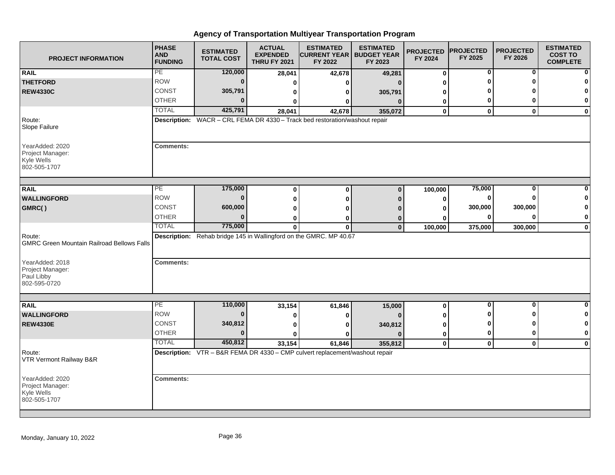| <b>PROJECT INFORMATION</b>                                        | <b>PHASE</b><br><b>AND</b><br><b>FUNDING</b> | <b>ESTIMATED</b><br><b>TOTAL COST</b> | <b>ACTUAL</b><br><b>EXPENDED</b><br><b>THRU FY 2021</b> | <b>ESTIMATED</b><br><b>CURRENT YEAR   BUDGET YEAR</b><br>FY 2022                       | <b>ESTIMATED</b><br>FY 2023 | <b>PROJECTED</b><br>FY 2024 | <b>PROJECTED</b><br>FY 2025 | <b>PROJECTED</b><br>FY 2026 | <b>ESTIMATED</b><br><b>COST TO</b><br><b>COMPLETE</b> |
|-------------------------------------------------------------------|----------------------------------------------|---------------------------------------|---------------------------------------------------------|----------------------------------------------------------------------------------------|-----------------------------|-----------------------------|-----------------------------|-----------------------------|-------------------------------------------------------|
| <b>RAIL</b>                                                       | PE                                           | 120,000                               | 28,041                                                  | 42,678                                                                                 | 49,281                      | 0                           | 0                           | 0                           |                                                       |
| <b>THETFORD</b>                                                   | <b>ROW</b>                                   | $\bf{0}$                              | ŋ                                                       | 0                                                                                      | $\Omega$                    | ŋ                           |                             |                             |                                                       |
| <b>REW4330C</b>                                                   | <b>CONST</b>                                 | 305,791                               | 0                                                       | 0                                                                                      | 305,791                     |                             |                             |                             | O                                                     |
|                                                                   | <b>OTHER</b>                                 | $\bf{0}$                              | ŋ                                                       | 0                                                                                      | $\Omega$                    | 0                           | 0                           | 0                           | 0                                                     |
|                                                                   | <b>TOTAL</b>                                 | 425,791                               | 28,041                                                  | 42,678                                                                                 | 355,072                     | 0                           | $\mathbf 0$                 | $\mathbf{0}$                | $\mathbf 0$                                           |
| Route:<br>Slope Failure                                           |                                              |                                       |                                                         | Description: WACR - CRL FEMA DR 4330 - Track bed restoration/washout repair            |                             |                             |                             |                             |                                                       |
| YearAdded: 2020<br>Project Manager:<br>Kyle Wells<br>802-505-1707 | <b>Comments:</b>                             |                                       |                                                         |                                                                                        |                             |                             |                             |                             |                                                       |
|                                                                   | PE                                           |                                       |                                                         |                                                                                        |                             |                             |                             | 0                           |                                                       |
| <b>RAIL</b>                                                       | <b>ROW</b>                                   | 175,000<br>$\bf{0}$                   | 0                                                       | $\bf{0}$                                                                               | $\bf{0}$                    | 100,000                     | 75,000<br>0                 | 0                           |                                                       |
| <b>WALLINGFORD</b>                                                | <b>CONST</b>                                 | 600,000                               | O                                                       | O                                                                                      |                             | 0                           | 300,000                     | 300,000                     | 0                                                     |
| GMRC()                                                            | <b>OTHER</b>                                 | $\bf{0}$                              | O                                                       | ŋ                                                                                      |                             | U                           | 0                           | $\bf{0}$                    | 0                                                     |
|                                                                   | <b>TOTAL</b>                                 | 775,000                               | 0                                                       | ŋ                                                                                      | $\Omega$<br>$\mathbf 0$     | 0                           |                             |                             |                                                       |
| Route:<br><b>GMRC Green Mountain Railroad Bellows Falls</b>       |                                              |                                       | $\mathbf 0$                                             | $\mathbf 0$<br>Description: Rehab bridge 145 in Wallingford on the GMRC. MP 40.67      |                             | 100,000                     | 375,000                     | 300,000                     | $\mathbf 0$                                           |
| YearAdded: 2018<br>Project Manager:<br>Paul Libby<br>802-595-0720 | <b>Comments:</b>                             |                                       |                                                         |                                                                                        |                             |                             |                             |                             |                                                       |
|                                                                   |                                              |                                       |                                                         |                                                                                        |                             |                             |                             |                             |                                                       |
| <b>RAIL</b>                                                       | PE<br><b>ROW</b>                             | 110,000<br>$\bf{0}$                   | 33,154                                                  | 61,846                                                                                 | 15,000                      | 0                           | $\bf{0}$                    | $\bf{0}$<br>ŋ               | 0<br>0                                                |
| <b>WALLINGFORD</b>                                                |                                              |                                       | 0                                                       | ŋ                                                                                      |                             | 0                           | Ω                           | ŋ                           | 0                                                     |
| <b>REW4330E</b>                                                   | <b>CONST</b><br><b>OTHER</b>                 | 340,812<br>$\bf{0}$                   | $\bf{0}$                                                | 0                                                                                      | 340,812                     | 0                           |                             | 0                           | $\mathbf 0$                                           |
|                                                                   | <b>TOTAL</b>                                 | 450,812                               | $\bf{0}$                                                | 0                                                                                      | $\Omega$                    | 0                           | 0                           |                             |                                                       |
| Route:<br>VTR Vermont Railway B&R                                 |                                              |                                       | 33,154                                                  | 61,846<br>Description: VTR - B&R FEMA DR 4330 - CMP culvert replacement/washout repair | 355,812                     | 0                           | $\pmb{0}$                   | $\mathbf{0}$                | $\mathbf 0$                                           |
| YearAdded: 2020<br>Project Manager:<br>Kyle Wells<br>802-505-1707 | <b>Comments:</b>                             |                                       |                                                         |                                                                                        |                             |                             |                             |                             |                                                       |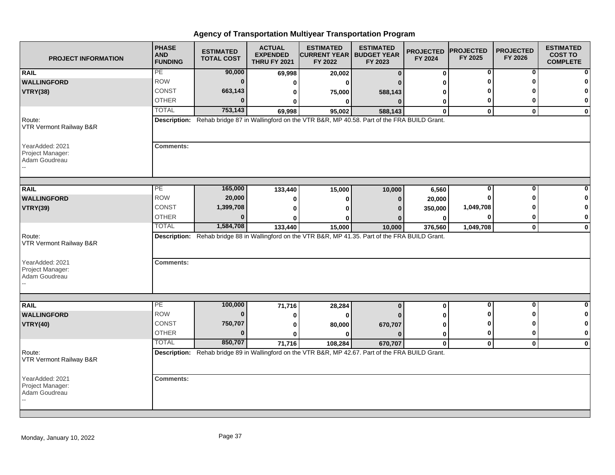| <b>PROJECT INFORMATION</b>                           | <b>PHASE</b><br><b>AND</b><br><b>FUNDING</b> | <b>ESTIMATED</b><br><b>TOTAL COST</b> | <b>ACTUAL</b><br><b>EXPENDED</b><br><b>THRU FY 2021</b> | <b>ESTIMATED</b><br><b>CURRENT YEAR   BUDGET YEAR</b><br>FY 2022                                   | <b>ESTIMATED</b><br>FY 2023 | <b>PROJECTED</b><br>FY 2024 | <b>PROJECTED</b><br>FY 2025 | <b>PROJECTED</b><br>FY 2026 | <b>ESTIMATED</b><br><b>COST TO</b><br><b>COMPLETE</b> |
|------------------------------------------------------|----------------------------------------------|---------------------------------------|---------------------------------------------------------|----------------------------------------------------------------------------------------------------|-----------------------------|-----------------------------|-----------------------------|-----------------------------|-------------------------------------------------------|
| <b>RAIL</b>                                          | PE                                           | 90,000                                | 69,998                                                  | 20,002                                                                                             | $\mathbf{0}$                | $\bf{0}$                    | 0                           | $\bf{0}$                    |                                                       |
| <b>WALLINGFORD</b>                                   | <b>ROW</b>                                   | $\mathbf{0}$                          | 0                                                       | ŋ                                                                                                  |                             |                             |                             |                             |                                                       |
| <b>VTRY(38)</b>                                      | <b>CONST</b>                                 | 663,143                               | 0                                                       | 75,000                                                                                             | 588,143                     |                             |                             |                             |                                                       |
|                                                      | <b>OTHER</b>                                 | 0                                     |                                                         | 0                                                                                                  | $\Omega$                    | 0                           | 0                           | ŋ                           | 0                                                     |
|                                                      | <b>TOTAL</b>                                 | 753,143                               | 69,998                                                  | 95,002                                                                                             | 588,143                     | $\bf{0}$                    | $\bf{0}$                    | $\bf{0}$                    | $\mathbf 0$                                           |
| Route:<br>VTR Vermont Railway B&R                    |                                              |                                       |                                                         | Description: Rehab bridge 87 in Wallingford on the VTR B&R, MP 40.58. Part of the FRA BUILD Grant. |                             |                             |                             |                             |                                                       |
| YearAdded: 2021<br>Project Manager:<br>Adam Goudreau | <b>Comments:</b>                             |                                       |                                                         |                                                                                                    |                             |                             |                             |                             |                                                       |
| <b>RAIL</b>                                          | PE                                           | 165,000                               | 133,440                                                 | 15,000                                                                                             | 10,000                      | 6,560                       | 0                           | $\bf{0}$                    |                                                       |
| <b>WALLINGFORD</b>                                   | <b>ROW</b>                                   | 20,000                                | 0                                                       | 0                                                                                                  | $\bf{0}$                    | 20,000                      |                             |                             |                                                       |
| <b>VTRY(39)</b>                                      | CONST                                        | 1,399,708                             |                                                         |                                                                                                    |                             | 350,000                     | 1,049,708                   |                             |                                                       |
|                                                      | <b>OTHER</b>                                 | 0                                     |                                                         | O                                                                                                  |                             | $\bf{0}$                    | 0                           | 0                           | 0                                                     |
|                                                      | <b>TOTAL</b>                                 | 1,584,708                             | 133,440                                                 | 15,000                                                                                             | 10,000                      | 376,560                     | 1,049,708                   | $\mathbf 0$                 | $\mathbf 0$                                           |
| Route:<br>VTR Vermont Railway B&R<br>YearAdded: 2021 | <b>Comments:</b>                             |                                       |                                                         | Description: Rehab bridge 88 in Wallingford on the VTR B&R, MP 41.35. Part of the FRA BUILD Grant. |                             |                             |                             |                             |                                                       |
| Project Manager:<br>Adam Goudreau                    |                                              |                                       |                                                         |                                                                                                    |                             |                             |                             |                             |                                                       |
| <b>RAIL</b>                                          | PE                                           | 100,000                               | 71,716                                                  | 28,284                                                                                             | $\bf{0}$                    | $\mathbf{0}$                | $\bf{0}$                    | $\bf{0}$                    | $\bf{0}$                                              |
| <b>WALLINGFORD</b>                                   | <b>ROW</b>                                   | $\bf{0}$                              |                                                         | O                                                                                                  |                             |                             |                             | n                           | 0                                                     |
| <b>VTRY(40)</b>                                      | <b>CONST</b>                                 | 750,707                               | o                                                       | 80,000                                                                                             | 670,707                     | ŋ                           |                             | n                           | 0                                                     |
|                                                      | <b>OTHER</b>                                 | $\bf{0}$                              | 0                                                       | ŋ                                                                                                  | $\Omega$                    | 0                           | 0                           | 0                           | 0                                                     |
|                                                      | <b>TOTAL</b>                                 | 850,707                               | 71,716                                                  | 108,284                                                                                            | 670,707                     | $\mathbf 0$                 | $\mathbf 0$                 | $\mathbf 0$                 | $\mathbf{0}$                                          |
| Route:<br>VTR Vermont Railway B&R                    |                                              |                                       |                                                         | Description: Rehab bridge 89 in Wallingford on the VTR B&R, MP 42.67. Part of the FRA BUILD Grant. |                             |                             |                             |                             |                                                       |
| YearAdded: 2021<br>Project Manager:<br>Adam Goudreau | <b>Comments:</b>                             |                                       |                                                         |                                                                                                    |                             |                             |                             |                             |                                                       |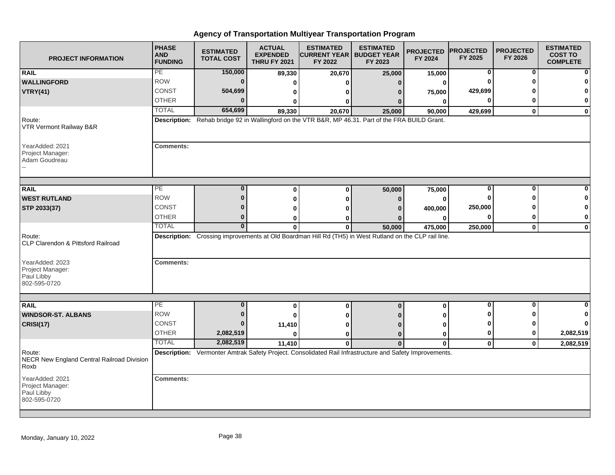| <b>PROJECT INFORMATION</b>                                        | <b>PHASE</b><br><b>AND</b><br><b>FUNDING</b> | <b>ESTIMATED</b><br><b>TOTAL COST</b> | <b>ACTUAL</b><br><b>EXPENDED</b><br><b>THRU FY 2021</b> | <b>ESTIMATED</b><br><b>CURRENT YEAR   BUDGET YEAR</b><br>FY 2022                                        | <b>ESTIMATED</b><br>FY 2023 | <b>PROJECTED</b><br>FY 2024 | <b>PROJECTED</b><br>FY 2025 | <b>PROJECTED</b><br>FY 2026 | <b>ESTIMATED</b><br><b>COST TO</b><br><b>COMPLETE</b> |
|-------------------------------------------------------------------|----------------------------------------------|---------------------------------------|---------------------------------------------------------|---------------------------------------------------------------------------------------------------------|-----------------------------|-----------------------------|-----------------------------|-----------------------------|-------------------------------------------------------|
| <b>RAIL</b>                                                       | PE                                           | 150,000                               | 89,330                                                  | 20,670                                                                                                  | 25,000                      | 15,000                      | 0                           | 0                           | $\mathbf{0}$                                          |
| <b>WALLINGFORD</b>                                                | <b>ROW</b>                                   | $\bf{0}$                              | 0                                                       |                                                                                                         | n                           | 0                           |                             |                             | $\mathbf{0}$                                          |
| <b>VTRY(41)</b>                                                   | <b>CONST</b>                                 | 504,699                               | 0                                                       | 0                                                                                                       |                             | 75,000                      | 429,699                     |                             | $\mathbf{0}$                                          |
|                                                                   | <b>OTHER</b>                                 | $\Omega$                              | $\bf{0}$                                                | ŋ                                                                                                       |                             | $\bf{0}$                    | ŋ                           |                             | 0                                                     |
|                                                                   | <b>TOTAL</b>                                 | 654,699                               | 89,330                                                  | 20,670                                                                                                  | 25,000                      | 90,000                      | 429,699                     | $\mathbf{0}$                | $\mathbf{0}$                                          |
| Route:<br>VTR Vermont Railway B&R                                 |                                              |                                       |                                                         | Description: Rehab bridge 92 in Wallingford on the VTR B&R, MP 46.31. Part of the FRA BUILD Grant.      |                             |                             |                             |                             |                                                       |
| YearAdded: 2021<br>Project Manager:<br>Adam Goudreau              | <b>Comments:</b>                             |                                       |                                                         |                                                                                                         |                             |                             |                             |                             |                                                       |
| <b>RAIL</b>                                                       | $\overline{PE}$                              | $\bf{0}$                              | $\bf{0}$                                                | $\Omega$                                                                                                | 50,000                      | 75,000                      | 0                           | $\Omega$                    | 0                                                     |
| <b>WEST RUTLAND</b>                                               | <b>ROW</b>                                   | $\mathbf{0}$                          | 0                                                       | Λ                                                                                                       |                             | 0                           |                             |                             | $\bf{0}$                                              |
| STP 2033(37)                                                      | CONST                                        | 0                                     | 0                                                       |                                                                                                         |                             | 400,000                     | 250,000                     |                             | $\mathbf{0}$                                          |
|                                                                   | <b>OTHER</b>                                 | $\bf{0}$                              | 0                                                       |                                                                                                         |                             |                             |                             | 0                           | 0                                                     |
|                                                                   | <b>TOTAL</b>                                 | $\bf{0}$                              | $\mathbf{0}$                                            | 0                                                                                                       | 50,000                      | 475,000                     | 250,000                     | $\mathbf 0$                 | $\mathbf{0}$                                          |
| Route:<br><b>CLP Clarendon &amp; Pittsford Railroad</b>           |                                              |                                       |                                                         | Description: Crossing improvements at Old Boardman Hill Rd (TH5) in West Rutland on the CLP rail line.  |                             |                             |                             |                             |                                                       |
| YearAdded: 2023<br>Project Manager:<br>Paul Libby<br>802-595-0720 | <b>Comments:</b>                             |                                       |                                                         |                                                                                                         |                             |                             |                             |                             |                                                       |
|                                                                   |                                              |                                       |                                                         |                                                                                                         |                             |                             |                             |                             |                                                       |
| <b>RAIL</b>                                                       | PE<br><b>ROW</b>                             | $\bf{0}$                              | 0                                                       | $\bf{0}$                                                                                                | $\Omega$                    | $\bf{0}$                    | $\bf{0}$                    | $\bf{0}$                    | $\mathbf{0}$                                          |
| <b>WINDSOR-ST. ALBANS</b>                                         |                                              | $\bf{0}$                              | 0                                                       |                                                                                                         |                             |                             |                             |                             | $\mathbf{0}$                                          |
| <b>CRISI(17)</b>                                                  | <b>CONST</b>                                 | $\bf{0}$                              | 11,410                                                  |                                                                                                         |                             | 0                           |                             |                             | $\mathbf{0}$                                          |
|                                                                   | OTHER                                        | 2,082,519                             | $\bf{0}$                                                | ŋ                                                                                                       | 0                           | 0                           | 0                           |                             | 2,082,519                                             |
|                                                                   | <b>TOTAL</b>                                 | 2,082,519                             | 11,410                                                  | $\mathbf{0}$                                                                                            | $\Omega$                    | $\mathbf 0$                 | $\mathbf{0}$                | $\mathbf{0}$                | 2,082,519                                             |
| Route:<br>NECR New England Central Railroad Division<br>Roxb      |                                              |                                       |                                                         | Description: Vermonter Amtrak Safety Project. Consolidated Rail Infrastructure and Safety Improvements. |                             |                             |                             |                             |                                                       |
| YearAdded: 2021<br>Project Manager:<br>Paul Libby<br>802-595-0720 | <b>Comments:</b>                             |                                       |                                                         |                                                                                                         |                             |                             |                             |                             |                                                       |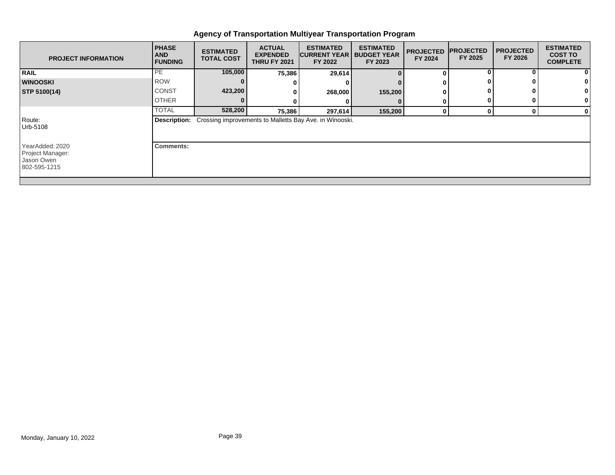| <b>PROJECT INFORMATION</b>                                        | <b>PHASE</b><br><b>AND</b><br><b>FUNDING</b> | <b>ESTIMATED</b><br><b>TOTAL COST</b> | <b>ACTUAL</b><br><b>EXPENDED</b><br><b>THRU FY 2021</b> | <b>ESTIMATED</b><br><b>ICURRENT YEAR</b><br>FY 2022                         | <b>ESTIMATED</b><br><b>BUDGET YEAR</b><br>FY 2023 | <b>PROJECTED</b><br>FY 2024 | <b>PROJECTED</b><br>FY 2025 | <b>I PROJECTED</b><br>FY 2026 | <b>ESTIMATED</b><br><b>COST TO</b><br><b>COMPLETE</b> |
|-------------------------------------------------------------------|----------------------------------------------|---------------------------------------|---------------------------------------------------------|-----------------------------------------------------------------------------|---------------------------------------------------|-----------------------------|-----------------------------|-------------------------------|-------------------------------------------------------|
| <b>RAIL</b>                                                       | PE                                           | 105,000                               | 75,386                                                  | 29,614                                                                      |                                                   | 0                           |                             |                               | 0                                                     |
| <b>WINOOSKI</b>                                                   | <b>ROW</b>                                   |                                       |                                                         |                                                                             |                                                   | 0                           |                             |                               |                                                       |
| STP 5100(14)                                                      | <b>CONST</b>                                 | 423,200                               |                                                         | 268,000                                                                     | 155,200                                           | 0                           |                             |                               |                                                       |
|                                                                   | <b>OTHER</b>                                 |                                       |                                                         |                                                                             |                                                   | 0                           |                             |                               | 0                                                     |
|                                                                   | <b>TOTAL</b>                                 | 528,200                               | 75,386                                                  | 297,614                                                                     | 155,200                                           | $\mathbf{0}$                | 0                           |                               | 0                                                     |
| Route:<br>Urb-5108                                                |                                              |                                       |                                                         | <b>Description:</b> Crossing improvements to Malletts Bay Ave. in Winooski. |                                                   |                             |                             |                               |                                                       |
| YearAdded: 2020<br>Project Manager:<br>Jason Owen<br>802-595-1215 | Comments:                                    |                                       |                                                         |                                                                             |                                                   |                             |                             |                               |                                                       |
|                                                                   |                                              |                                       |                                                         |                                                                             |                                                   |                             |                             |                               |                                                       |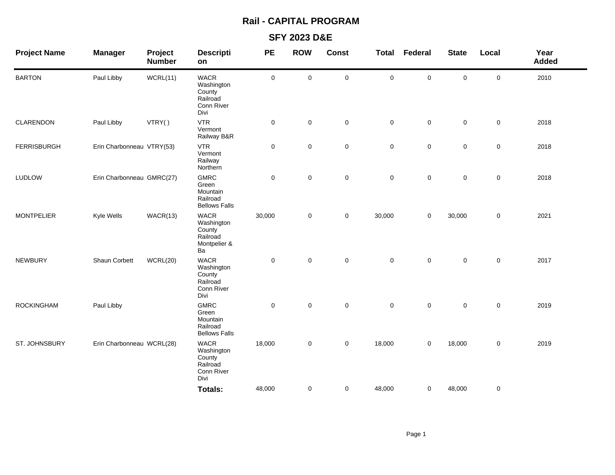# **Rail - CAPITAL PROGRAM**

## **SFY 2023 D&E**

| <b>Project Name</b> | <b>Manager</b>            | Project<br><b>Number</b> | <b>Descripti</b><br>on                                                | <b>PE</b>   | <b>ROW</b>  | <b>Const</b> | Total               | Federal     | <b>State</b>        | Local       | Year<br><b>Added</b> |
|---------------------|---------------------------|--------------------------|-----------------------------------------------------------------------|-------------|-------------|--------------|---------------------|-------------|---------------------|-------------|----------------------|
| <b>BARTON</b>       | Paul Libby                | WCRL(11)                 | <b>WACR</b><br>Washington<br>County<br>Railroad<br>Conn River<br>Divi | $\mathsf 0$ | $\mathsf 0$ | $\pmb{0}$    | $\mathbf 0$         | 0           | $\mathsf{O}\xspace$ | 0           | 2010                 |
| CLARENDON           | Paul Libby                | VTRY()                   | <b>VTR</b><br>Vermont<br>Railway B&R                                  | $\mathbf 0$ | $\pmb{0}$   | $\mathsf 0$  | $\mathbf 0$         | 0           | $\mathsf 0$         | 0           | 2018                 |
| <b>FERRISBURGH</b>  | Erin Charbonneau VTRY(53) |                          | <b>VTR</b><br>Vermont<br>Railway<br>Northern                          | $\mathbf 0$ | $\pmb{0}$   | $\mathbf 0$  | $\mathbf 0$         | 0           | $\mathsf{O}\xspace$ | 0           | 2018                 |
| <b>LUDLOW</b>       | Erin Charbonneau GMRC(27) |                          | <b>GMRC</b><br>Green<br>Mountain<br>Railroad<br><b>Bellows Falls</b>  | $\mathsf 0$ | $\mathsf 0$ | $\mathbf 0$  | $\mathbf 0$         | 0           | $\mathbf 0$         | 0           | 2018                 |
| <b>MONTPELIER</b>   | Kyle Wells                | WACR(13)                 | <b>WACR</b><br>Washington<br>County<br>Railroad<br>Montpelier &<br>Ba | 30,000      | $\mathsf 0$ | $\mathbf 0$  | 30,000              | 0           | 30,000              | $\mathsf 0$ | 2021                 |
| <b>NEWBURY</b>      | Shaun Corbett             | WCRL(20)                 | <b>WACR</b><br>Washington<br>County<br>Railroad<br>Conn River<br>Divi | $\mathbf 0$ | $\mathsf 0$ | $\mathsf 0$  | $\mathsf{O}\xspace$ | $\mathbf 0$ | $\mathsf{O}\xspace$ | $\mathsf 0$ | 2017                 |
| <b>ROCKINGHAM</b>   | Paul Libby                |                          | <b>GMRC</b><br>Green<br>Mountain<br>Railroad<br><b>Bellows Falls</b>  | $\mathsf 0$ | $\pmb{0}$   | $\mathsf 0$  | $\mathsf{O}\xspace$ | $\mathbf 0$ | $\mathbf 0$         | $\mathsf 0$ | 2019                 |
| ST. JOHNSBURY       | Erin Charbonneau WCRL(28) |                          | <b>WACR</b><br>Washington<br>County<br>Railroad<br>Conn River<br>Divi | 18,000      | 0           | $\mathbf 0$  | 18,000              | 0           | 18,000              | 0           | 2019                 |
|                     |                           |                          | Totals:                                                               | 48,000      | 0           | $\mathbf 0$  | 48,000              | 0           | 48,000              | 0           |                      |